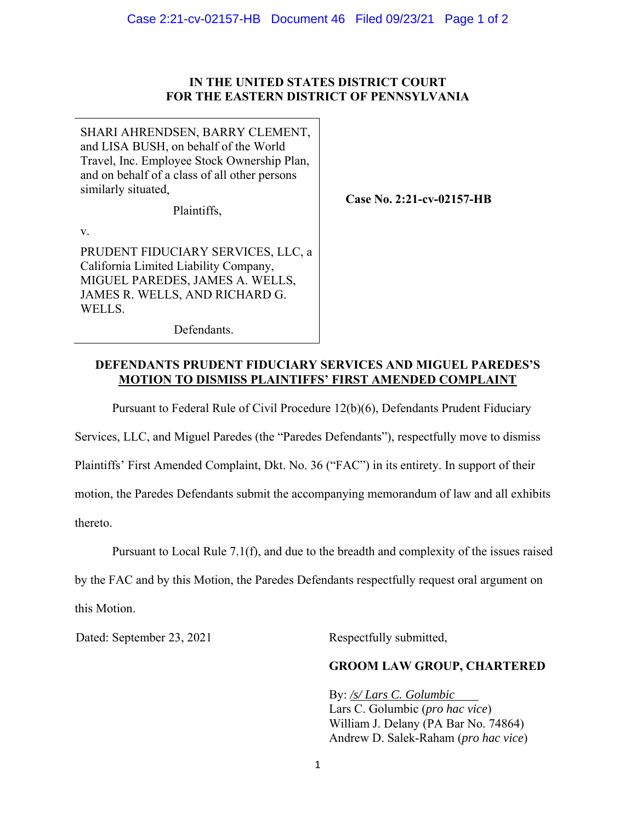## **IN THE UNITED STATES DISTRICT COURT FOR THE EASTERN DISTRICT OF PENNSYLVANIA**

SHARI AHRENDSEN, BARRY CLEMENT, and LISA BUSH, on behalf of the World Travel, Inc. Employee Stock Ownership Plan, and on behalf of a class of all other persons similarly situated,

Plaintiffs,

**Case No. 2:21-cv-02157-HB** 

v.

PRUDENT FIDUCIARY SERVICES, LLC, a California Limited Liability Company, MIGUEL PAREDES, JAMES A. WELLS, JAMES R. WELLS, AND RICHARD G. WELLS.

Defendants.

## **DEFENDANTS PRUDENT FIDUCIARY SERVICES AND MIGUEL PAREDES'S MOTION TO DISMISS PLAINTIFFS' FIRST AMENDED COMPLAINT**

Pursuant to Federal Rule of Civil Procedure 12(b)(6), Defendants Prudent Fiduciary

Services, LLC, and Miguel Paredes (the "Paredes Defendants"), respectfully move to dismiss

Plaintiffs' First Amended Complaint, Dkt. No. 36 ("FAC") in its entirety. In support of their

motion, the Paredes Defendants submit the accompanying memorandum of law and all exhibits

thereto.

Pursuant to Local Rule 7.1(f), and due to the breadth and complexity of the issues raised

by the FAC and by this Motion, the Paredes Defendants respectfully request oral argument on this Motion.

Dated: September 23, 2021 Respectfully submitted,

## **GROOM LAW GROUP, CHARTERED**

By: */s/ Lars C. Golumbic* Lars C. Golumbic (*pro hac vice*) William J. Delany (PA Bar No. 74864) Andrew D. Salek-Raham (*pro hac vice*)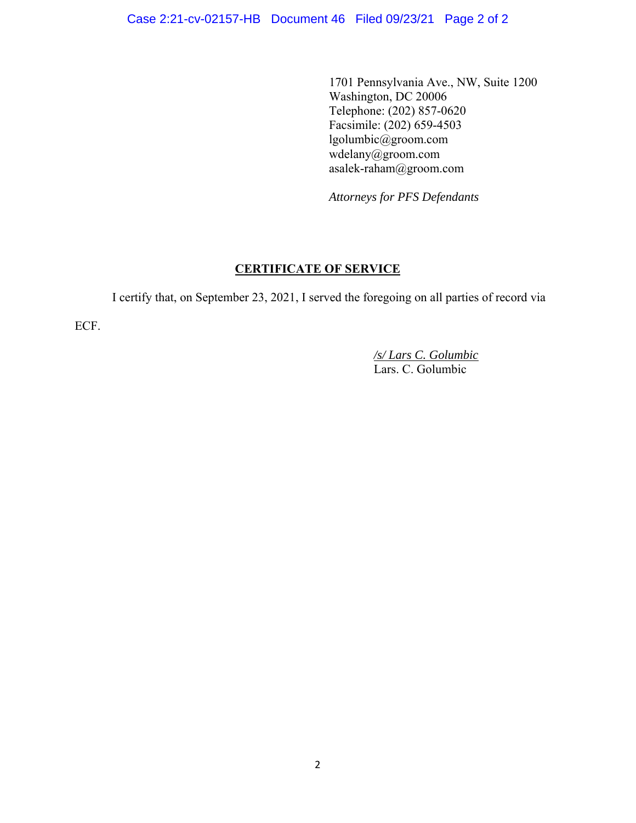1701 Pennsylvania Ave., NW, Suite 1200 Washington, DC 20006 Telephone: (202) 857-0620 Facsimile: (202) 659-4503 lgolumbic@groom.com wdelany@groom.com asalek-raham@groom.com

*Attorneys for PFS Defendants*

# **CERTIFICATE OF SERVICE**

I certify that, on September 23, 2021, I served the foregoing on all parties of record via

ECF.

 */s/ Lars C. Golumbic* Lars. C. Golumbic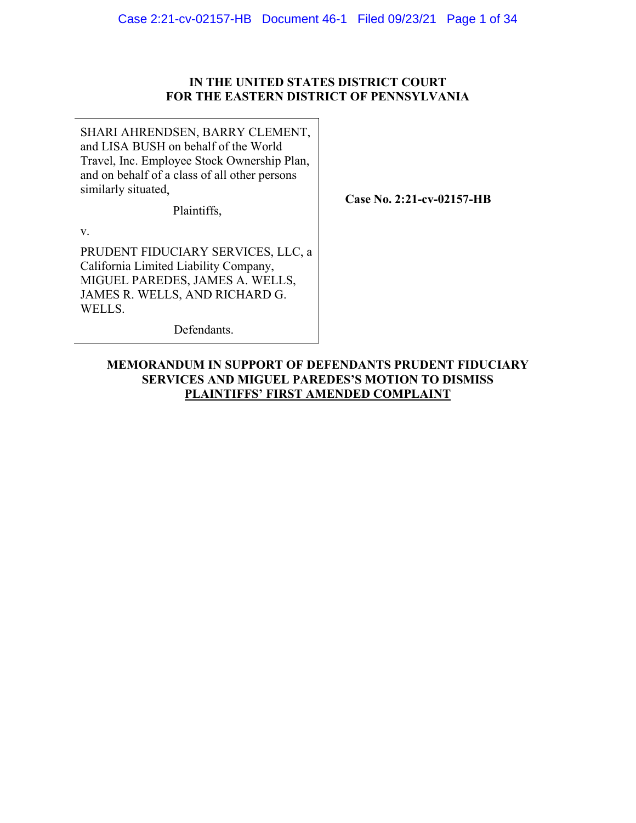## **IN THE UNITED STATES DISTRICT COURT FOR THE EASTERN DISTRICT OF PENNSYLVANIA**

SHARI AHRENDSEN, BARRY CLEMENT, and LISA BUSH on behalf of the World Travel, Inc. Employee Stock Ownership Plan, and on behalf of a class of all other persons similarly situated,

Plaintiffs,

**Case No. 2:21-cv-02157-HB** 

v.

PRUDENT FIDUCIARY SERVICES, LLC, a California Limited Liability Company, MIGUEL PAREDES, JAMES A. WELLS, JAMES R. WELLS, AND RICHARD G. WELLS.

Defendants.

## **MEMORANDUM IN SUPPORT OF DEFENDANTS PRUDENT FIDUCIARY SERVICES AND MIGUEL PAREDES'S MOTION TO DISMISS PLAINTIFFS' FIRST AMENDED COMPLAINT**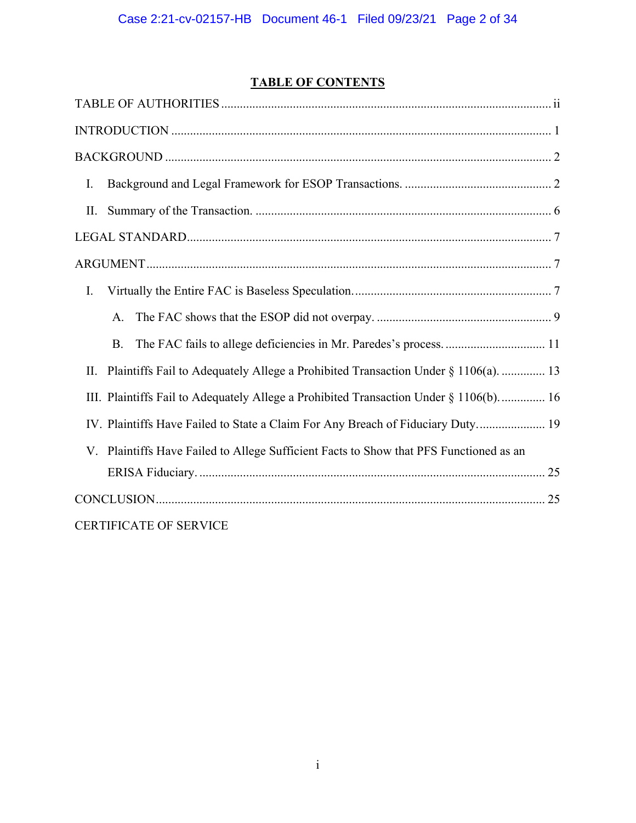# **TABLE OF CONTENTS**

| I.                                                                                       |
|------------------------------------------------------------------------------------------|
| П.                                                                                       |
|                                                                                          |
|                                                                                          |
| I.                                                                                       |
| A.                                                                                       |
| <b>B.</b>                                                                                |
| Plaintiffs Fail to Adequately Allege a Prohibited Transaction Under § 1106(a).  13<br>П. |
| III. Plaintiffs Fail to Adequately Allege a Prohibited Transaction Under § 1106(b) 16    |
| IV. Plaintiffs Have Failed to State a Claim For Any Breach of Fiduciary Duty 19          |
| V. Plaintiffs Have Failed to Allege Sufficient Facts to Show that PFS Functioned as an   |
|                                                                                          |
|                                                                                          |
| <b>CERTIFICATE OF SERVICE</b>                                                            |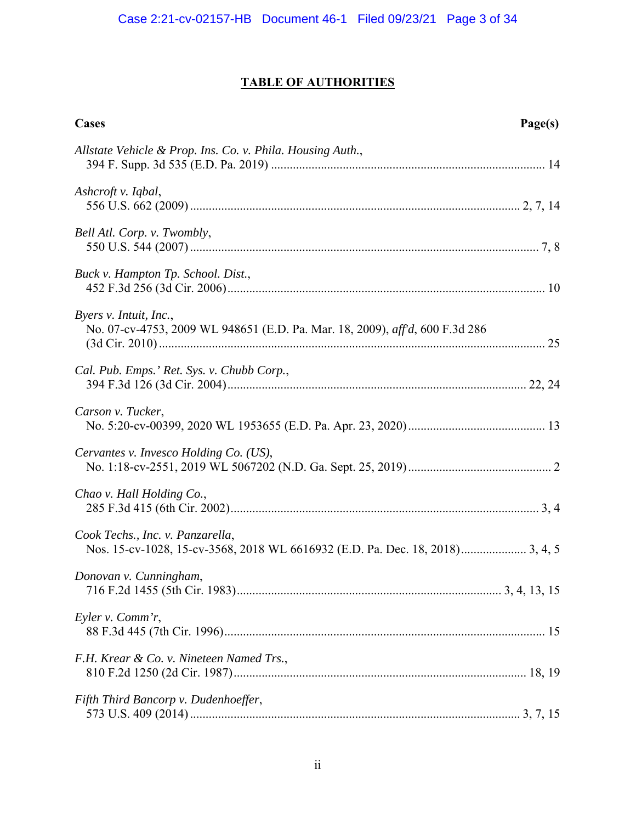# **TABLE OF AUTHORITIES**

| <b>Cases</b><br>Page(s)                                                                                |
|--------------------------------------------------------------------------------------------------------|
| Allstate Vehicle & Prop. Ins. Co. v. Phila. Housing Auth.,                                             |
| Ashcroft v. Iqbal,                                                                                     |
| Bell Atl. Corp. v. Twombly,                                                                            |
| Buck v. Hampton Tp. School. Dist.,                                                                     |
| Byers v. Intuit, Inc.,<br>No. 07-cv-4753, 2009 WL 948651 (E.D. Pa. Mar. 18, 2009), aff'd, 600 F.3d 286 |
| Cal. Pub. Emps.' Ret. Sys. v. Chubb Corp.,                                                             |
| Carson v. Tucker,                                                                                      |
| Cervantes v. Invesco Holding Co. (US),                                                                 |
| Chao v. Hall Holding Co.,                                                                              |
| Cook Techs., Inc. v. Panzarella,                                                                       |
| Donovan v. Cunningham,                                                                                 |
| Eyler v. Comm'r,                                                                                       |
| F.H. Krear & Co. v. Nineteen Named Trs.,                                                               |
| Fifth Third Bancorp v. Dudenhoeffer,                                                                   |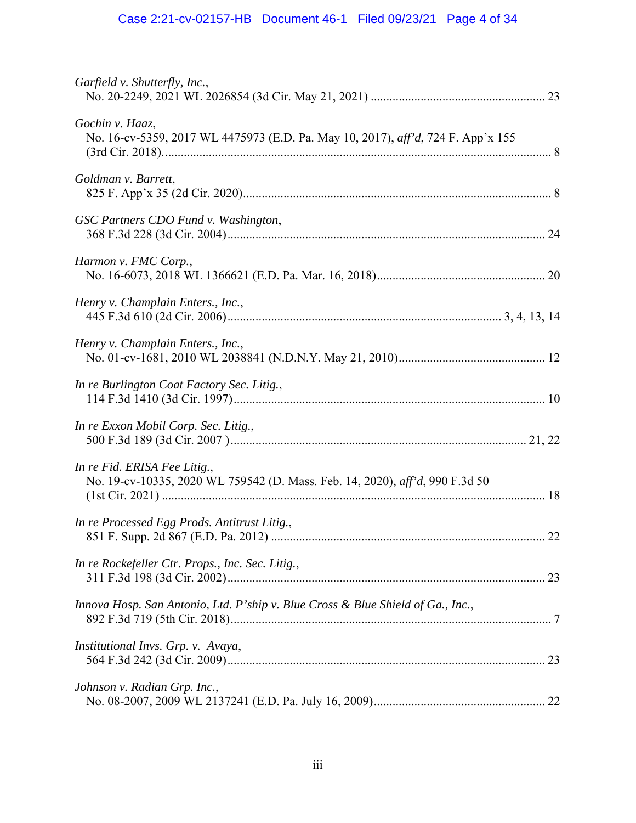| Garfield v. Shutterfly, Inc.,                                                                                |
|--------------------------------------------------------------------------------------------------------------|
| Gochin v. Haaz,<br>No. 16-cv-5359, 2017 WL 4475973 (E.D. Pa. May 10, 2017), aff'd, 724 F. App'x 155          |
| Goldman v. Barrett,                                                                                          |
| GSC Partners CDO Fund v. Washington,                                                                         |
| Harmon v. FMC Corp.,                                                                                         |
| Henry v. Champlain Enters., Inc.,                                                                            |
| Henry v. Champlain Enters., Inc.,                                                                            |
| In re Burlington Coat Factory Sec. Litig.,                                                                   |
| In re Exxon Mobil Corp. Sec. Litig.,                                                                         |
| In re Fid. ERISA Fee Litig.,<br>No. 19-cv-10335, 2020 WL 759542 (D. Mass. Feb. 14, 2020), aff'd, 990 F.3d 50 |
| In re Processed Egg Prods. Antitrust Litig.,                                                                 |
| In re Rockefeller Ctr. Props., Inc. Sec. Litig.,                                                             |
| Innova Hosp. San Antonio, Ltd. P'ship v. Blue Cross & Blue Shield of Ga., Inc.,                              |
| Institutional Invs. Grp. v. Avaya,                                                                           |
| Johnson v. Radian Grp. Inc.,                                                                                 |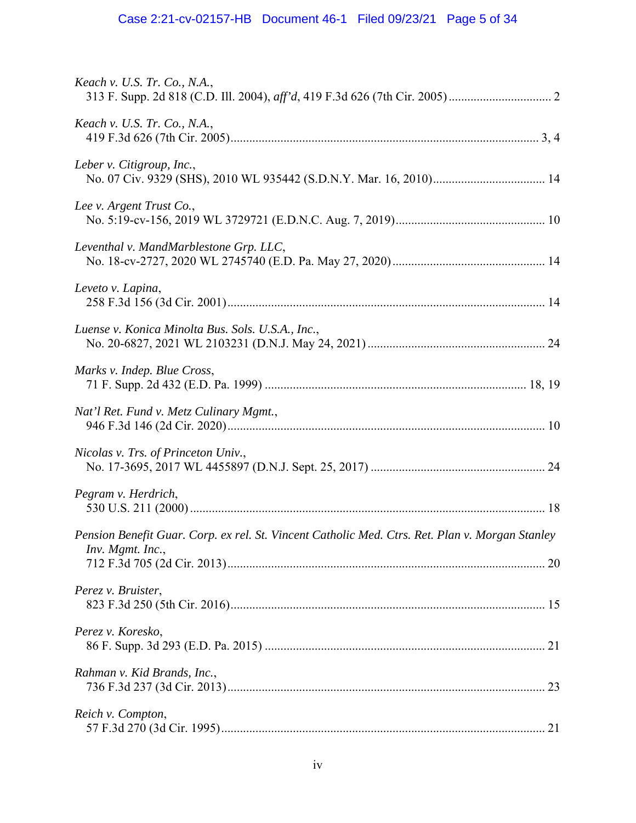| <i>Keach v. U.S. Tr. Co., N.A.,</i>                                                                                 |
|---------------------------------------------------------------------------------------------------------------------|
| Keach v. U.S. Tr. Co., N.A.,                                                                                        |
| Leber v. Citigroup, Inc.,                                                                                           |
| Lee v. Argent Trust Co.,                                                                                            |
| Leventhal v. MandMarblestone Grp. LLC,                                                                              |
| Leveto v. Lapina,                                                                                                   |
| Luense v. Konica Minolta Bus. Sols. U.S.A., Inc.,                                                                   |
| Marks v. Indep. Blue Cross,                                                                                         |
| Nat'l Ret. Fund v. Metz Culinary Mgmt.,                                                                             |
| Nicolas v. Trs. of Princeton Univ.,                                                                                 |
| Pegram v. Herdrich,                                                                                                 |
| Pension Benefit Guar. Corp. ex rel. St. Vincent Catholic Med. Ctrs. Ret. Plan v. Morgan Stanley<br>Inv. Mgmt. Inc., |
| Perez v. Bruister,                                                                                                  |
| Perez v. Koresko,                                                                                                   |
| Rahman v. Kid Brands, Inc.,                                                                                         |
| Reich v. Compton,                                                                                                   |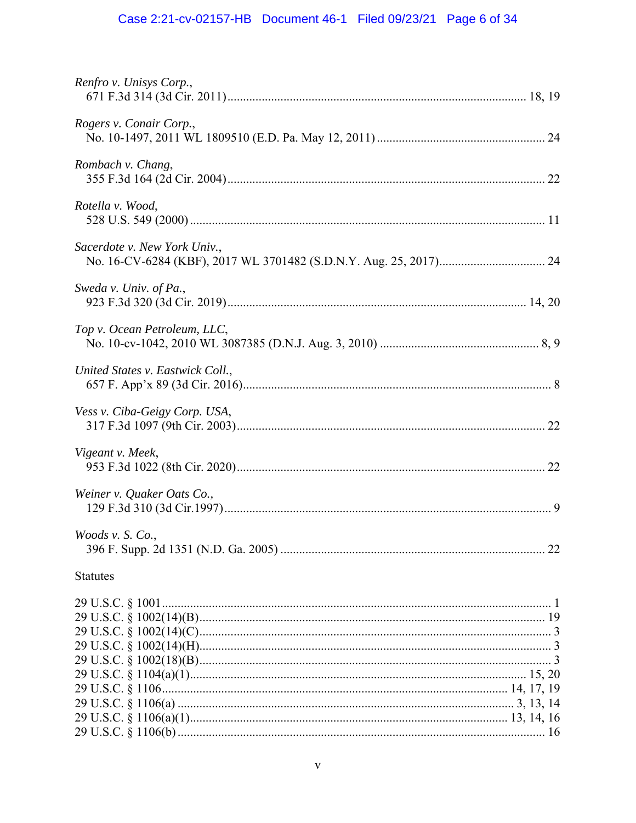# Case 2:21-cv-02157-HB Document 46-1 Filed 09/23/21 Page 6 of 34

| Renfro v. Unisys Corp.,          |
|----------------------------------|
| Rogers v. Conair Corp.,          |
| Rombach v. Chang,                |
| Rotella v. Wood,                 |
| Sacerdote v. New York Univ.,     |
| Sweda v. Univ. of Pa.,           |
| Top v. Ocean Petroleum, LLC,     |
| United States v. Eastwick Coll., |
| Vess v. Ciba-Geigy Corp. USA,    |
| Vigeant v. Meek,                 |
| Weiner v. Quaker Oats Co.,       |
| Woods v. S. Co.,                 |
| <b>Statutes</b>                  |
|                                  |
|                                  |
|                                  |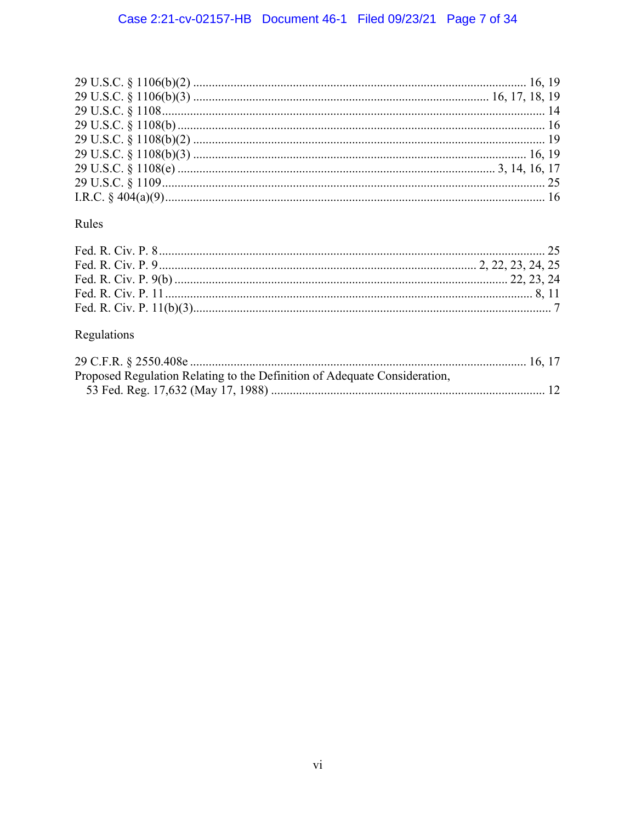# Rules

# Regulations

| Proposed Regulation Relating to the Definition of Adequate Consideration, |  |
|---------------------------------------------------------------------------|--|
|                                                                           |  |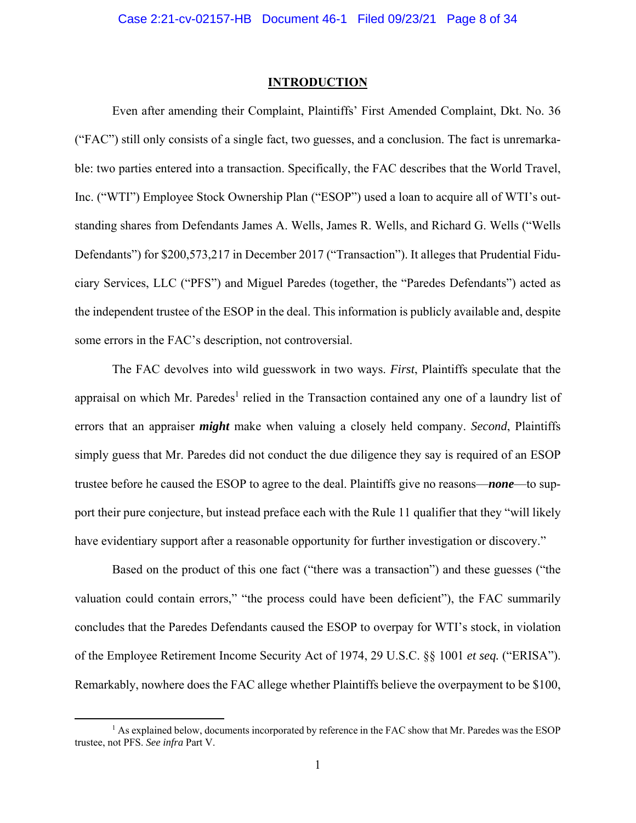#### **INTRODUCTION**

Even after amending their Complaint, Plaintiffs' First Amended Complaint, Dkt. No. 36 ("FAC") still only consists of a single fact, two guesses, and a conclusion. The fact is unremarkable: two parties entered into a transaction. Specifically, the FAC describes that the World Travel, Inc. ("WTI") Employee Stock Ownership Plan ("ESOP") used a loan to acquire all of WTI's outstanding shares from Defendants James A. Wells, James R. Wells, and Richard G. Wells ("Wells Defendants") for \$200,573,217 in December 2017 ("Transaction"). It alleges that Prudential Fiduciary Services, LLC ("PFS") and Miguel Paredes (together, the "Paredes Defendants") acted as the independent trustee of the ESOP in the deal. This information is publicly available and, despite some errors in the FAC's description, not controversial.

The FAC devolves into wild guesswork in two ways. *First*, Plaintiffs speculate that the appraisal on which Mr. Paredes<sup>1</sup> relied in the Transaction contained any one of a laundry list of errors that an appraiser *might* make when valuing a closely held company. *Second*, Plaintiffs simply guess that Mr. Paredes did not conduct the due diligence they say is required of an ESOP trustee before he caused the ESOP to agree to the deal. Plaintiffs give no reasons—*none*—to support their pure conjecture, but instead preface each with the Rule 11 qualifier that they "will likely have evidentiary support after a reasonable opportunity for further investigation or discovery."

Based on the product of this one fact ("there was a transaction") and these guesses ("the valuation could contain errors," "the process could have been deficient"), the FAC summarily concludes that the Paredes Defendants caused the ESOP to overpay for WTI's stock, in violation of the Employee Retirement Income Security Act of 1974, 29 U.S.C. §§ 1001 *et seq.* ("ERISA"). Remarkably, nowhere does the FAC allege whether Plaintiffs believe the overpayment to be \$100,

<sup>&</sup>lt;sup>1</sup> As explained below, documents incorporated by reference in the FAC show that Mr. Paredes was the ESOP trustee, not PFS. *See infra* Part V.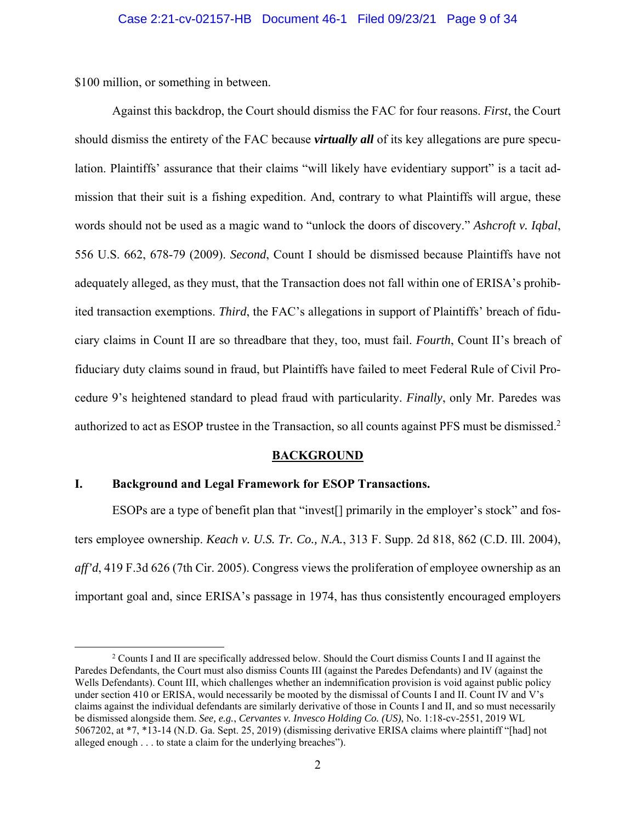\$100 million, or something in between.

Against this backdrop, the Court should dismiss the FAC for four reasons. *First*, the Court should dismiss the entirety of the FAC because *virtually all* of its key allegations are pure speculation. Plaintiffs' assurance that their claims "will likely have evidentiary support" is a tacit admission that their suit is a fishing expedition. And, contrary to what Plaintiffs will argue, these words should not be used as a magic wand to "unlock the doors of discovery." *Ashcroft v. Iqbal*, 556 U.S. 662, 678-79 (2009). *Second*, Count I should be dismissed because Plaintiffs have not adequately alleged, as they must, that the Transaction does not fall within one of ERISA's prohibited transaction exemptions. *Third*, the FAC's allegations in support of Plaintiffs' breach of fiduciary claims in Count II are so threadbare that they, too, must fail. *Fourth*, Count II's breach of fiduciary duty claims sound in fraud, but Plaintiffs have failed to meet Federal Rule of Civil Procedure 9's heightened standard to plead fraud with particularity. *Finally*, only Mr. Paredes was authorized to act as ESOP trustee in the Transaction, so all counts against PFS must be dismissed.<sup>2</sup>

#### **BACKGROUND**

#### **I. Background and Legal Framework for ESOP Transactions.**

ESOPs are a type of benefit plan that "invest[] primarily in the employer's stock" and fosters employee ownership. *Keach v. U.S. Tr. Co., N.A.*, 313 F. Supp. 2d 818, 862 (C.D. Ill. 2004), *aff'd*, 419 F.3d 626 (7th Cir. 2005). Congress views the proliferation of employee ownership as an important goal and, since ERISA's passage in 1974, has thus consistently encouraged employers

<sup>&</sup>lt;sup>2</sup> Counts I and II are specifically addressed below. Should the Court dismiss Counts I and II against the Paredes Defendants, the Court must also dismiss Counts III (against the Paredes Defendants) and IV (against the Wells Defendants). Count III, which challenges whether an indemnification provision is void against public policy under section 410 or ERISA, would necessarily be mooted by the dismissal of Counts I and II. Count IV and V's claims against the individual defendants are similarly derivative of those in Counts I and II, and so must necessarily be dismissed alongside them. *See, e.g.*, *Cervantes v. Invesco Holding Co. (US)*, No. 1:18-cv-2551, 2019 WL 5067202, at \*7, \*13-14 (N.D. Ga. Sept. 25, 2019) (dismissing derivative ERISA claims where plaintiff "[had] not alleged enough . . . to state a claim for the underlying breaches").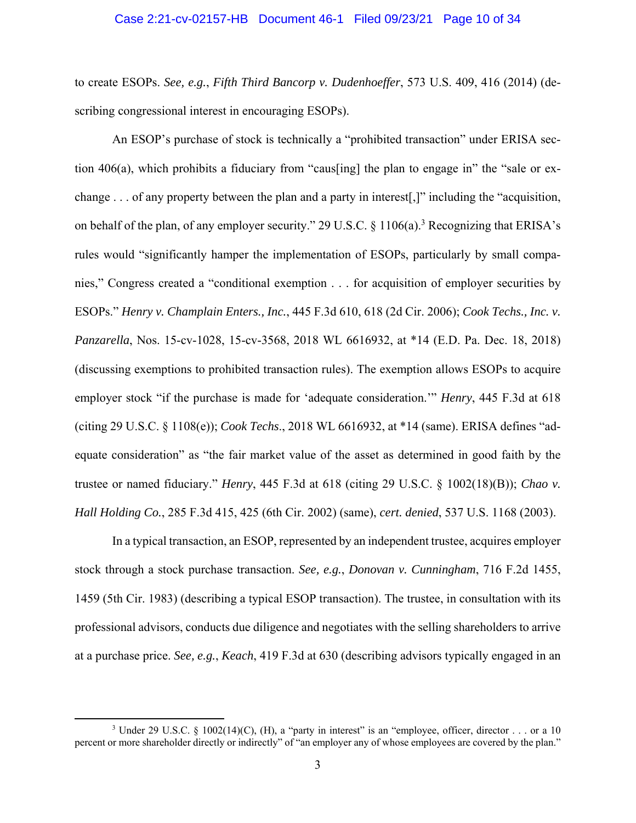#### Case 2:21-cv-02157-HB Document 46-1 Filed 09/23/21 Page 10 of 34

to create ESOPs. *See, e.g.*, *Fifth Third Bancorp v. Dudenhoeffer*, 573 U.S. 409, 416 (2014) (describing congressional interest in encouraging ESOPs).

An ESOP's purchase of stock is technically a "prohibited transaction" under ERISA section 406(a), which prohibits a fiduciary from "caus[ing] the plan to engage in" the "sale or exchange . . . of any property between the plan and a party in interest[,]" including the "acquisition, on behalf of the plan, of any employer security." 29 U.S.C.  $\S$  1106(a).<sup>3</sup> Recognizing that ERISA's rules would "significantly hamper the implementation of ESOPs, particularly by small companies," Congress created a "conditional exemption . . . for acquisition of employer securities by ESOPs." *Henry v. Champlain Enters., Inc.*, 445 F.3d 610, 618 (2d Cir. 2006); *Cook Techs., Inc. v. Panzarella*, Nos. 15-cv-1028, 15-cv-3568, 2018 WL 6616932, at \*14 (E.D. Pa. Dec. 18, 2018) (discussing exemptions to prohibited transaction rules). The exemption allows ESOPs to acquire employer stock "if the purchase is made for 'adequate consideration.'" *Henry*, 445 F.3d at 618 (citing 29 U.S.C. § 1108(e)); *Cook Techs*., 2018 WL 6616932, at \*14 (same). ERISA defines "adequate consideration" as "the fair market value of the asset as determined in good faith by the trustee or named fiduciary." *Henry*, 445 F.3d at 618 (citing 29 U.S.C. § 1002(18)(B)); *Chao v. Hall Holding Co.*, 285 F.3d 415, 425 (6th Cir. 2002) (same), *cert. denied*, 537 U.S. 1168 (2003).

In a typical transaction, an ESOP, represented by an independent trustee, acquires employer stock through a stock purchase transaction. *See, e.g.*, *Donovan v. Cunningham*, 716 F.2d 1455, 1459 (5th Cir. 1983) (describing a typical ESOP transaction). The trustee, in consultation with its professional advisors, conducts due diligence and negotiates with the selling shareholders to arrive at a purchase price. *See, e.g.*, *Keach*, 419 F.3d at 630 (describing advisors typically engaged in an

<sup>&</sup>lt;sup>3</sup> Under 29 U.S.C. § 1002(14)(C), (H), a "party in interest" is an "employee, officer, director  $\dots$  or a 10 percent or more shareholder directly or indirectly" of "an employer any of whose employees are covered by the plan."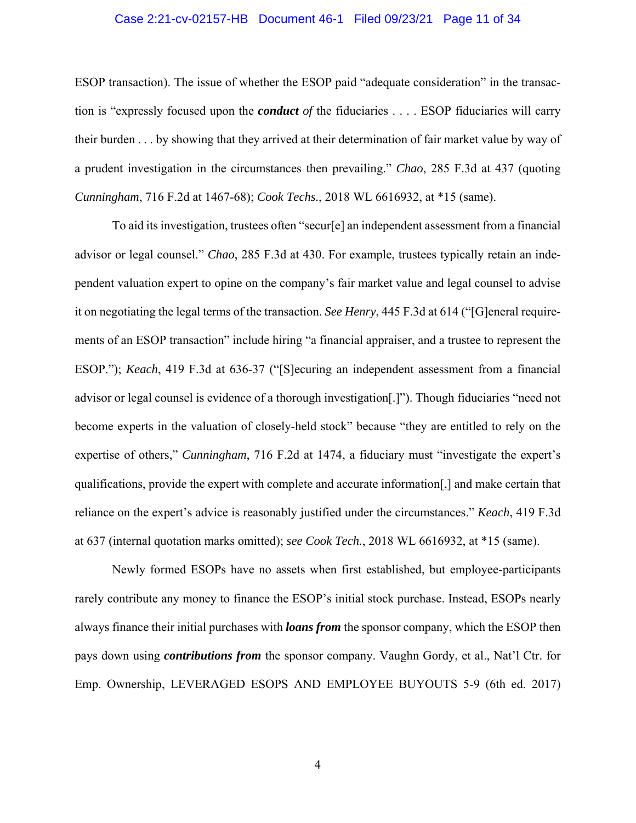#### Case 2:21-cv-02157-HB Document 46-1 Filed 09/23/21 Page 11 of 34

ESOP transaction). The issue of whether the ESOP paid "adequate consideration" in the transaction is "expressly focused upon the *conduct of* the fiduciaries . . . . ESOP fiduciaries will carry their burden . . . by showing that they arrived at their determination of fair market value by way of a prudent investigation in the circumstances then prevailing." *Chao*, 285 F.3d at 437 (quoting *Cunningham*, 716 F.2d at 1467-68); *Cook Techs.*, 2018 WL 6616932, at \*15 (same).

To aid its investigation, trustees often "secur[e] an independent assessment from a financial advisor or legal counsel." *Chao*, 285 F.3d at 430. For example, trustees typically retain an independent valuation expert to opine on the company's fair market value and legal counsel to advise it on negotiating the legal terms of the transaction. *See Henry*, 445 F.3d at 614 ("[G]eneral requirements of an ESOP transaction" include hiring "a financial appraiser, and a trustee to represent the ESOP."); *Keach*, 419 F.3d at 636-37 ("[S]ecuring an independent assessment from a financial advisor or legal counsel is evidence of a thorough investigation[.]"). Though fiduciaries "need not become experts in the valuation of closely-held stock" because "they are entitled to rely on the expertise of others," *Cunningham*, 716 F.2d at 1474, a fiduciary must "investigate the expert's qualifications, provide the expert with complete and accurate information[,] and make certain that reliance on the expert's advice is reasonably justified under the circumstances." *Keach*, 419 F.3d at 637 (internal quotation marks omitted); *see Cook Tech.*, 2018 WL 6616932, at \*15 (same).

Newly formed ESOPs have no assets when first established, but employee-participants rarely contribute any money to finance the ESOP's initial stock purchase. Instead, ESOPs nearly always finance their initial purchases with *loans from* the sponsor company, which the ESOP then pays down using *contributions from* the sponsor company. Vaughn Gordy, et al., Nat'l Ctr. for Emp. Ownership, LEVERAGED ESOPS AND EMPLOYEE BUYOUTS 5-9 (6th ed. 2017)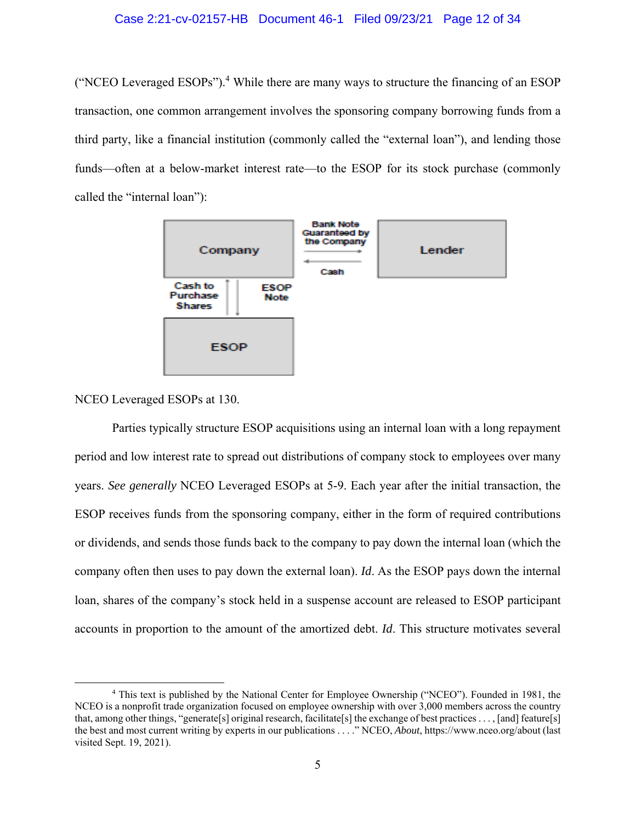("NCEO Leveraged ESOPs").<sup>4</sup> While there are many ways to structure the financing of an ESOP transaction, one common arrangement involves the sponsoring company borrowing funds from a third party, like a financial institution (commonly called the "external loan"), and lending those funds—often at a below-market interest rate—to the ESOP for its stock purchase (commonly called the "internal loan"):



#### NCEO Leveraged ESOPs at 130.

Parties typically structure ESOP acquisitions using an internal loan with a long repayment period and low interest rate to spread out distributions of company stock to employees over many years. *See generally* NCEO Leveraged ESOPs at 5-9. Each year after the initial transaction, the ESOP receives funds from the sponsoring company, either in the form of required contributions or dividends, and sends those funds back to the company to pay down the internal loan (which the company often then uses to pay down the external loan). *Id*. As the ESOP pays down the internal loan, shares of the company's stock held in a suspense account are released to ESOP participant accounts in proportion to the amount of the amortized debt. *Id*. This structure motivates several

<sup>4</sup> This text is published by the National Center for Employee Ownership ("NCEO"). Founded in 1981, the NCEO is a nonprofit trade organization focused on employee ownership with over 3,000 members across the country that, among other things, "generate[s] original research, facilitate[s] the exchange of best practices . . . , [and] feature[s] the best and most current writing by experts in our publications . . . ." NCEO, *About*, https://www.nceo.org/about (last visited Sept. 19, 2021).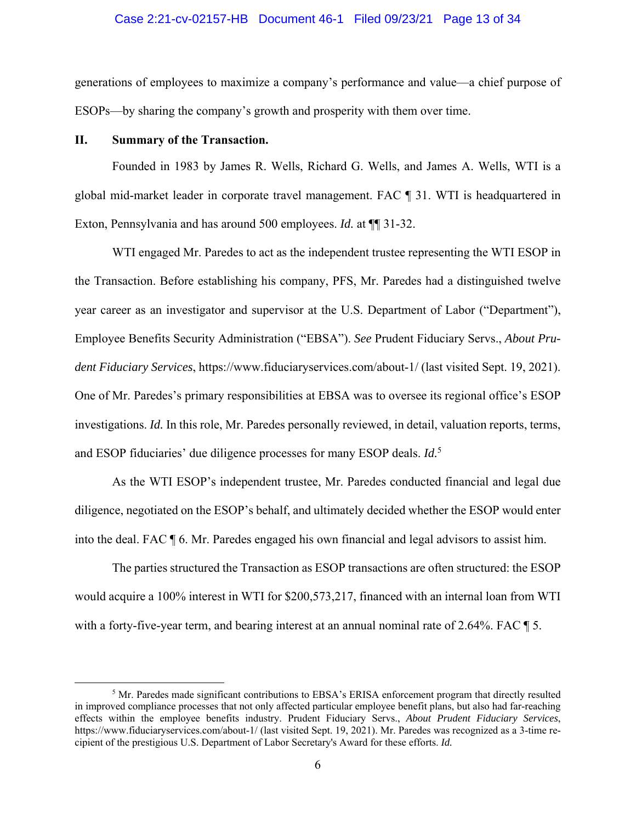#### Case 2:21-cv-02157-HB Document 46-1 Filed 09/23/21 Page 13 of 34

generations of employees to maximize a company's performance and value—a chief purpose of ESOPs—by sharing the company's growth and prosperity with them over time.

#### **II. Summary of the Transaction.**

Founded in 1983 by James R. Wells, Richard G. Wells, and James A. Wells, WTI is a global mid-market leader in corporate travel management. FAC ¶ 31. WTI is headquartered in Exton, Pennsylvania and has around 500 employees. *Id.* at ¶¶ 31-32.

WTI engaged Mr. Paredes to act as the independent trustee representing the WTI ESOP in the Transaction. Before establishing his company, PFS, Mr. Paredes had a distinguished twelve year career as an investigator and supervisor at the U.S. Department of Labor ("Department"), Employee Benefits Security Administration ("EBSA"). *See* Prudent Fiduciary Servs., *About Prudent Fiduciary Services*, https://www.fiduciaryservices.com/about-1/ (last visited Sept. 19, 2021). One of Mr. Paredes's primary responsibilities at EBSA was to oversee its regional office's ESOP investigations. *Id.* In this role, Mr. Paredes personally reviewed, in detail, valuation reports, terms, and ESOP fiduciaries' due diligence processes for many ESOP deals. *Id.*<sup>5</sup>

As the WTI ESOP's independent trustee, Mr. Paredes conducted financial and legal due diligence, negotiated on the ESOP's behalf, and ultimately decided whether the ESOP would enter into the deal. FAC ¶ 6. Mr. Paredes engaged his own financial and legal advisors to assist him.

The parties structured the Transaction as ESOP transactions are often structured: the ESOP would acquire a 100% interest in WTI for \$200,573,217, financed with an internal loan from WTI with a forty-five-year term, and bearing interest at an annual nominal rate of 2.64%. FAC  $\parallel$  5.

<sup>&</sup>lt;sup>5</sup> Mr. Paredes made significant contributions to EBSA's ERISA enforcement program that directly resulted in improved compliance processes that not only affected particular employee benefit plans, but also had far-reaching effects within the employee benefits industry. Prudent Fiduciary Servs., *About Prudent Fiduciary Services*, https://www.fiduciaryservices.com/about-1/ (last visited Sept. 19, 2021). Mr. Paredes was recognized as a 3-time recipient of the prestigious U.S. Department of Labor Secretary's Award for these efforts. *Id.*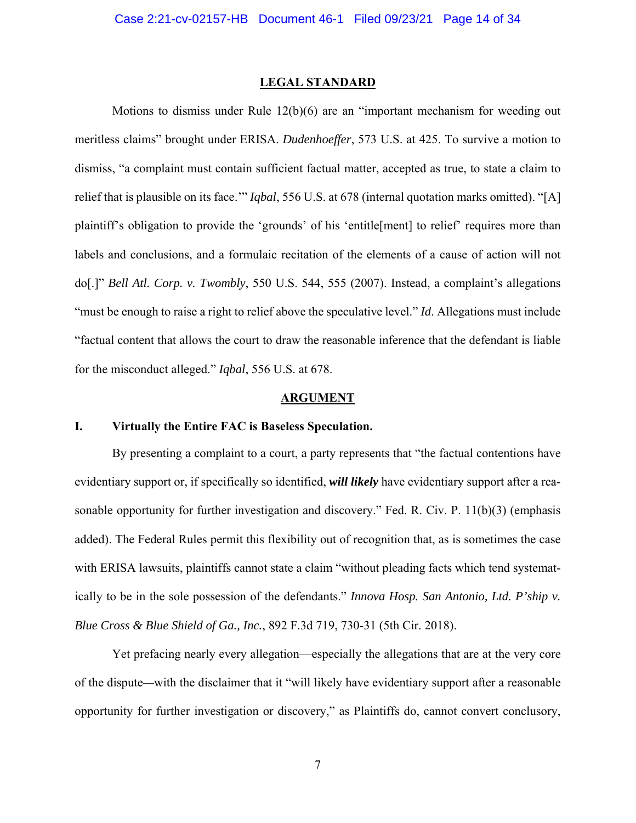#### **LEGAL STANDARD**

 Motions to dismiss under Rule 12(b)(6) are an "important mechanism for weeding out meritless claims" brought under ERISA. *Dudenhoeffer*, 573 U.S. at 425. To survive a motion to dismiss, "a complaint must contain sufficient factual matter, accepted as true, to state a claim to relief that is plausible on its face.'" *Iqbal*, 556 U.S. at 678 (internal quotation marks omitted). "[A] plaintiff's obligation to provide the 'grounds' of his 'entitle[ment] to relief' requires more than labels and conclusions, and a formulaic recitation of the elements of a cause of action will not do[.]" *Bell Atl. Corp. v. Twombly*, 550 U.S. 544, 555 (2007). Instead, a complaint's allegations "must be enough to raise a right to relief above the speculative level." *Id*. Allegations must include "factual content that allows the court to draw the reasonable inference that the defendant is liable for the misconduct alleged." *Iqbal*, 556 U.S. at 678.

#### **ARGUMENT**

#### **I. Virtually the Entire FAC is Baseless Speculation.**

By presenting a complaint to a court, a party represents that "the factual contentions have evidentiary support or, if specifically so identified, *will likely* have evidentiary support after a reasonable opportunity for further investigation and discovery." Fed. R. Civ. P. 11(b)(3) (emphasis added). The Federal Rules permit this flexibility out of recognition that, as is sometimes the case with ERISA lawsuits, plaintiffs cannot state a claim "without pleading facts which tend systematically to be in the sole possession of the defendants." *Innova Hosp. San Antonio, Ltd. P'ship v. Blue Cross & Blue Shield of Ga., Inc.*, 892 F.3d 719, 730-31 (5th Cir. 2018).

Yet prefacing nearly every allegation—especially the allegations that are at the very core of the dispute*—*with the disclaimer that it "will likely have evidentiary support after a reasonable opportunity for further investigation or discovery," as Plaintiffs do, cannot convert conclusory,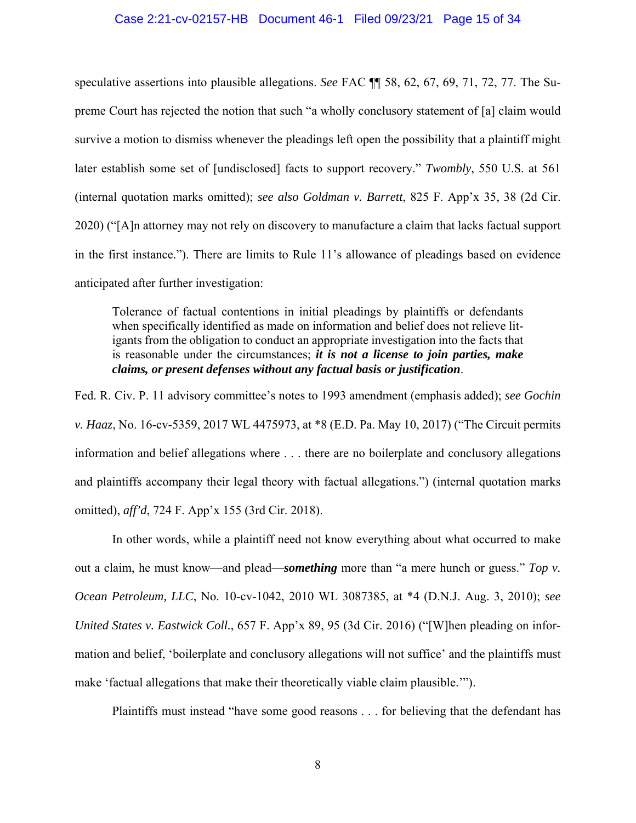#### Case 2:21-cv-02157-HB Document 46-1 Filed 09/23/21 Page 15 of 34

speculative assertions into plausible allegations. *See* FAC ¶¶ 58, 62, 67, 69, 71, 72, 77. The Supreme Court has rejected the notion that such "a wholly conclusory statement of [a] claim would survive a motion to dismiss whenever the pleadings left open the possibility that a plaintiff might later establish some set of [undisclosed] facts to support recovery." *Twombly*, 550 U.S. at 561 (internal quotation marks omitted); *see also Goldman v. Barrett*, 825 F. App'x 35, 38 (2d Cir. 2020) ("[A]n attorney may not rely on discovery to manufacture a claim that lacks factual support in the first instance."). There are limits to Rule 11's allowance of pleadings based on evidence anticipated after further investigation:

Tolerance of factual contentions in initial pleadings by plaintiffs or defendants when specifically identified as made on information and belief does not relieve litigants from the obligation to conduct an appropriate investigation into the facts that is reasonable under the circumstances; *it is not a license to join parties, make claims, or present defenses without any factual basis or justification*.

Fed. R. Civ. P. 11 advisory committee's notes to 1993 amendment (emphasis added); *see Gochin v. Haaz*, No. 16-cv-5359, 2017 WL 4475973, at \*8 (E.D. Pa. May 10, 2017) ("The Circuit permits information and belief allegations where . . . there are no boilerplate and conclusory allegations and plaintiffs accompany their legal theory with factual allegations.") (internal quotation marks omitted), *aff'd*, 724 F. App'x 155 (3rd Cir. 2018).

In other words, while a plaintiff need not know everything about what occurred to make out a claim, he must know—and plead—*something* more than "a mere hunch or guess." *Top v. Ocean Petroleum, LLC*, No. 10-cv-1042, 2010 WL 3087385, at \*4 (D.N.J. Aug. 3, 2010); *see United States v. Eastwick Coll.*, 657 F. App'x 89, 95 (3d Cir. 2016) ("[W]hen pleading on information and belief, 'boilerplate and conclusory allegations will not suffice' and the plaintiffs must make 'factual allegations that make their theoretically viable claim plausible.'").

Plaintiffs must instead "have some good reasons . . . for believing that the defendant has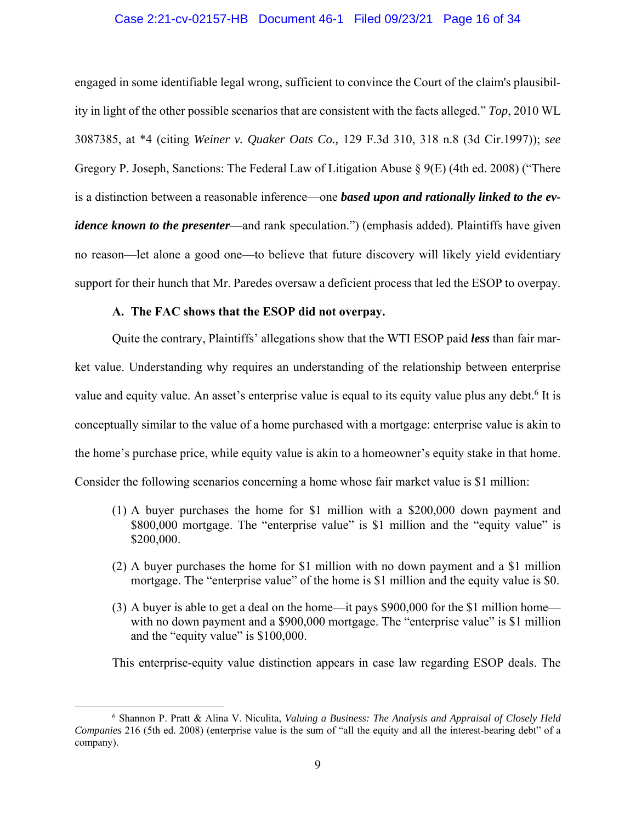#### Case 2:21-cv-02157-HB Document 46-1 Filed 09/23/21 Page 16 of 34

engaged in some identifiable legal wrong, sufficient to convince the Court of the claim's plausibility in light of the other possible scenarios that are consistent with the facts alleged." *Top*, 2010 WL 3087385, at \*4 (citing *Weiner v. Quaker Oats Co.,* 129 F.3d 310, 318 n.8 (3d Cir.1997)); *see*  Gregory P. Joseph, Sanctions: The Federal Law of Litigation Abuse § 9(E) (4th ed. 2008) ("There is a distinction between a reasonable inference––one *based upon and rationally linked to the evidence known to the presenter—and rank speculation.*") (emphasis added). Plaintiffs have given no reason—let alone a good one—to believe that future discovery will likely yield evidentiary support for their hunch that Mr. Paredes oversaw a deficient process that led the ESOP to overpay.

#### **A. The FAC shows that the ESOP did not overpay.**

Quite the contrary, Plaintiffs' allegations show that the WTI ESOP paid *less* than fair market value. Understanding why requires an understanding of the relationship between enterprise value and equity value. An asset's enterprise value is equal to its equity value plus any debt.<sup>6</sup> It is conceptually similar to the value of a home purchased with a mortgage: enterprise value is akin to the home's purchase price, while equity value is akin to a homeowner's equity stake in that home. Consider the following scenarios concerning a home whose fair market value is \$1 million:

- (1) A buyer purchases the home for \$1 million with a \$200,000 down payment and \$800,000 mortgage. The "enterprise value" is \$1 million and the "equity value" is \$200,000.
- (2) A buyer purchases the home for \$1 million with no down payment and a \$1 million mortgage. The "enterprise value" of the home is \$1 million and the equity value is \$0.
- (3) A buyer is able to get a deal on the home—it pays \$900,000 for the \$1 million home with no down payment and a \$900,000 mortgage. The "enterprise value" is \$1 million and the "equity value" is \$100,000.

This enterprise-equity value distinction appears in case law regarding ESOP deals. The

<sup>6</sup> Shannon P. Pratt & Alina V. Niculita, *Valuing a Business: The Analysis and Appraisal of Closely Held Companies* 216 (5th ed. 2008) (enterprise value is the sum of "all the equity and all the interest-bearing debt" of a company).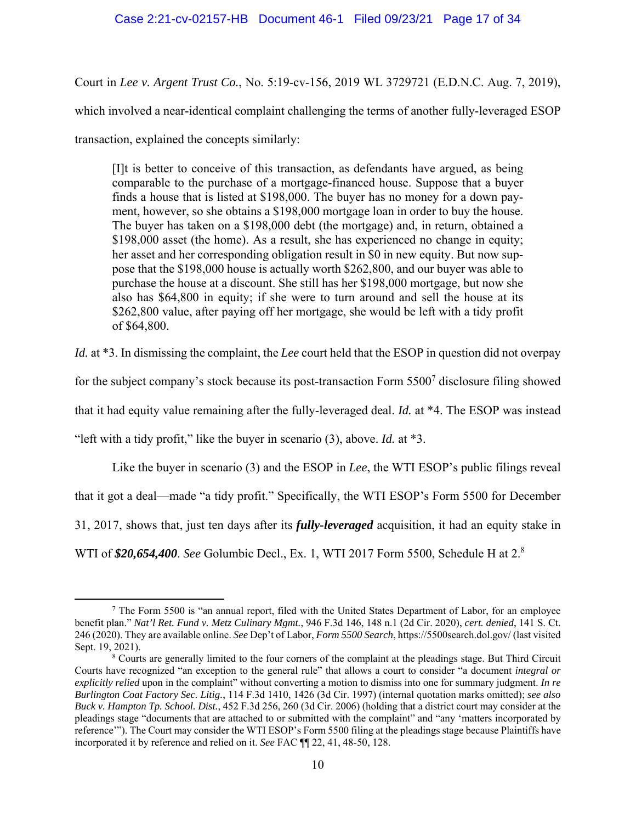#### Case 2:21-cv-02157-HB Document 46-1 Filed 09/23/21 Page 17 of 34

Court in *Lee v. Argent Trust Co.*, No. 5:19-cv-156, 2019 WL 3729721 (E.D.N.C. Aug. 7, 2019), which involved a near-identical complaint challenging the terms of another fully-leveraged ESOP transaction, explained the concepts similarly:

[I]t is better to conceive of this transaction, as defendants have argued, as being comparable to the purchase of a mortgage-financed house. Suppose that a buyer finds a house that is listed at \$198,000. The buyer has no money for a down payment, however, so she obtains a \$198,000 mortgage loan in order to buy the house. The buyer has taken on a \$198,000 debt (the mortgage) and, in return, obtained a \$198,000 asset (the home). As a result, she has experienced no change in equity; her asset and her corresponding obligation result in \$0 in new equity. But now suppose that the \$198,000 house is actually worth \$262,800, and our buyer was able to purchase the house at a discount. She still has her \$198,000 mortgage, but now she also has \$64,800 in equity; if she were to turn around and sell the house at its \$262,800 value, after paying off her mortgage, she would be left with a tidy profit of \$64,800.

*Id.* at \*3. In dismissing the complaint, the *Lee* court held that the ESOP in question did not overpay

for the subject company's stock because its post-transaction Form  $5500<sup>7</sup>$  disclosure filing showed

that it had equity value remaining after the fully-leveraged deal. *Id.* at \*4. The ESOP was instead

"left with a tidy profit," like the buyer in scenario (3), above. *Id.* at \*3.

Like the buyer in scenario (3) and the ESOP in *Lee*, the WTI ESOP's public filings reveal that it got a deal—made "a tidy profit." Specifically, the WTI ESOP's Form 5500 for December 31, 2017, shows that, just ten days after its *fully-leveraged* acquisition, it had an equity stake in WTI of *\$20,654,400*. *See* Golumbic Decl., Ex. 1, WTI 2017 Form 5500, Schedule H at 2.8

<sup>&</sup>lt;sup>7</sup> The Form 5500 is "an annual report, filed with the United States Department of Labor, for an employee benefit plan." *Nat'l Ret. Fund v. Metz Culinary Mgmt.*, 946 F.3d 146, 148 n.1 (2d Cir. 2020), *cert. denied*, 141 S. Ct. 246 (2020). They are available online. *See* Dep't of Labor, *Form 5500 Search*, https://5500search.dol.gov/ (last visited Sept. 19, 2021).

<sup>&</sup>lt;sup>8</sup> Courts are generally limited to the four corners of the complaint at the pleadings stage. But Third Circuit Courts have recognized "an exception to the general rule" that allows a court to consider "a document *integral or explicitly relied* upon in the complaint" without converting a motion to dismiss into one for summary judgment. *In re Burlington Coat Factory Sec. Litig.*, 114 F.3d 1410, 1426 (3d Cir. 1997) (internal quotation marks omitted); *see also Buck v. Hampton Tp. School. Dist.*, 452 F.3d 256, 260 (3d Cir. 2006) (holding that a district court may consider at the pleadings stage "documents that are attached to or submitted with the complaint" and "any 'matters incorporated by reference'"). The Court may consider the WTI ESOP's Form 5500 filing at the pleadings stage because Plaintiffs have incorporated it by reference and relied on it. *See* FAC ¶¶ 22, 41, 48-50, 128.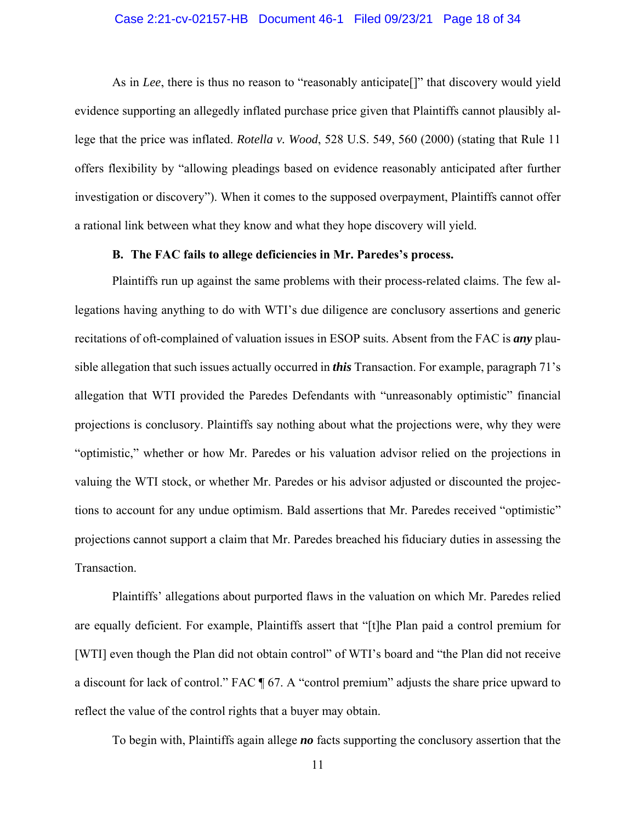#### Case 2:21-cv-02157-HB Document 46-1 Filed 09/23/21 Page 18 of 34

As in *Lee*, there is thus no reason to "reasonably anticipate[]" that discovery would yield evidence supporting an allegedly inflated purchase price given that Plaintiffs cannot plausibly allege that the price was inflated. *Rotella v. Wood*, 528 U.S. 549, 560 (2000) (stating that Rule 11 offers flexibility by "allowing pleadings based on evidence reasonably anticipated after further investigation or discovery"). When it comes to the supposed overpayment, Plaintiffs cannot offer a rational link between what they know and what they hope discovery will yield.

#### **B. The FAC fails to allege deficiencies in Mr. Paredes's process.**

Plaintiffs run up against the same problems with their process-related claims. The few allegations having anything to do with WTI's due diligence are conclusory assertions and generic recitations of oft-complained of valuation issues in ESOP suits. Absent from the FAC is *any* plausible allegation that such issues actually occurred in *this* Transaction. For example, paragraph 71's allegation that WTI provided the Paredes Defendants with "unreasonably optimistic" financial projections is conclusory. Plaintiffs say nothing about what the projections were, why they were "optimistic," whether or how Mr. Paredes or his valuation advisor relied on the projections in valuing the WTI stock, or whether Mr. Paredes or his advisor adjusted or discounted the projections to account for any undue optimism. Bald assertions that Mr. Paredes received "optimistic" projections cannot support a claim that Mr. Paredes breached his fiduciary duties in assessing the Transaction.

Plaintiffs' allegations about purported flaws in the valuation on which Mr. Paredes relied are equally deficient. For example, Plaintiffs assert that "[t]he Plan paid a control premium for [WTI] even though the Plan did not obtain control" of WTI's board and "the Plan did not receive a discount for lack of control." FAC ¶ 67. A "control premium" adjusts the share price upward to reflect the value of the control rights that a buyer may obtain.

To begin with, Plaintiffs again allege *no* facts supporting the conclusory assertion that the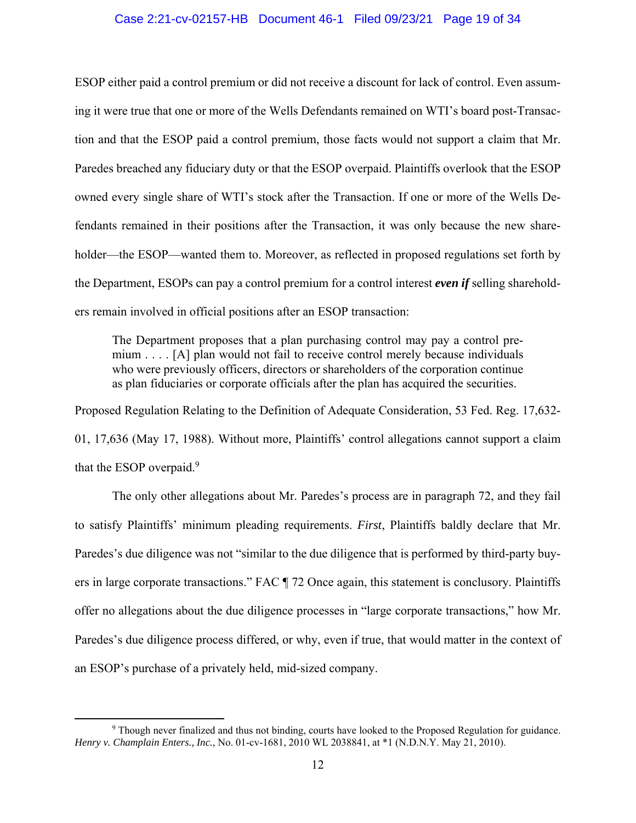#### Case 2:21-cv-02157-HB Document 46-1 Filed 09/23/21 Page 19 of 34

ESOP either paid a control premium or did not receive a discount for lack of control. Even assuming it were true that one or more of the Wells Defendants remained on WTI's board post-Transaction and that the ESOP paid a control premium, those facts would not support a claim that Mr. Paredes breached any fiduciary duty or that the ESOP overpaid. Plaintiffs overlook that the ESOP owned every single share of WTI's stock after the Transaction. If one or more of the Wells Defendants remained in their positions after the Transaction, it was only because the new shareholder—the ESOP—wanted them to. Moreover, as reflected in proposed regulations set forth by the Department, ESOPs can pay a control premium for a control interest *even if* selling shareholders remain involved in official positions after an ESOP transaction:

The Department proposes that a plan purchasing control may pay a control premium . . . . [A] plan would not fail to receive control merely because individuals who were previously officers, directors or shareholders of the corporation continue as plan fiduciaries or corporate officials after the plan has acquired the securities.

Proposed Regulation Relating to the Definition of Adequate Consideration, 53 Fed. Reg. 17,632- 01, 17,636 (May 17, 1988). Without more, Plaintiffs' control allegations cannot support a claim that the ESOP overpaid.<sup>9</sup>

The only other allegations about Mr. Paredes's process are in paragraph 72, and they fail to satisfy Plaintiffs' minimum pleading requirements. *First*, Plaintiffs baldly declare that Mr. Paredes's due diligence was not "similar to the due diligence that is performed by third-party buyers in large corporate transactions." FAC ¶ 72 Once again, this statement is conclusory. Plaintiffs offer no allegations about the due diligence processes in "large corporate transactions," how Mr. Paredes's due diligence process differed, or why, even if true, that would matter in the context of an ESOP's purchase of a privately held, mid-sized company.

<sup>&</sup>lt;sup>9</sup> Though never finalized and thus not binding, courts have looked to the Proposed Regulation for guidance. *Henry v. Champlain Enters., Inc.*, No. 01-cv-1681, 2010 WL 2038841, at \*1 (N.D.N.Y. May 21, 2010).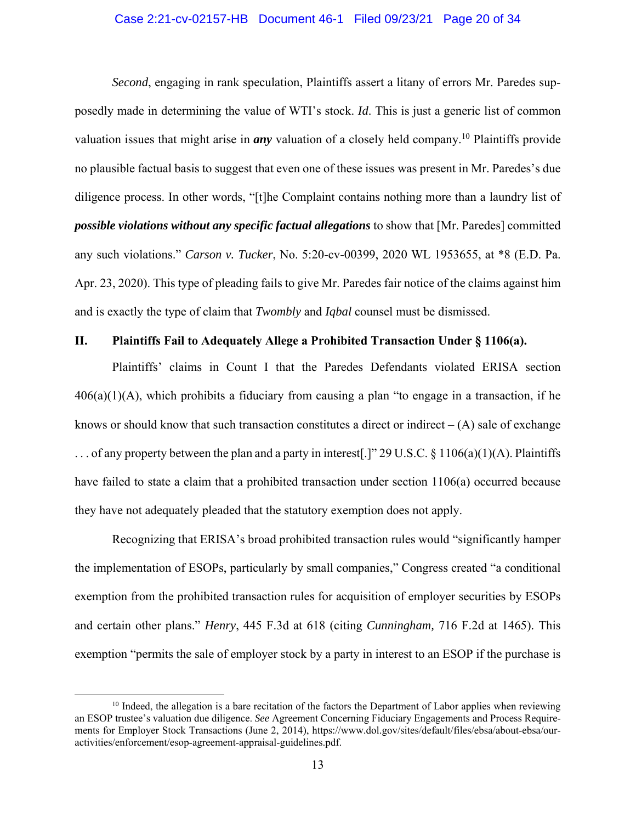#### Case 2:21-cv-02157-HB Document 46-1 Filed 09/23/21 Page 20 of 34

*Second*, engaging in rank speculation, Plaintiffs assert a litany of errors Mr. Paredes supposedly made in determining the value of WTI's stock. *Id*. This is just a generic list of common valuation issues that might arise in *any* valuation of a closely held company.10 Plaintiffs provide no plausible factual basis to suggest that even one of these issues was present in Mr. Paredes's due diligence process. In other words, "[t]he Complaint contains nothing more than a laundry list of *possible violations without any specific factual allegations* to show that [Mr. Paredes] committed any such violations." *Carson v. Tucker*, No. 5:20-cv-00399, 2020 WL 1953655, at \*8 (E.D. Pa. Apr. 23, 2020). This type of pleading fails to give Mr. Paredes fair notice of the claims against him and is exactly the type of claim that *Twombly* and *Iqbal* counsel must be dismissed.

#### **II. Plaintiffs Fail to Adequately Allege a Prohibited Transaction Under § 1106(a).**

Plaintiffs' claims in Count I that the Paredes Defendants violated ERISA section  $406(a)(1)(A)$ , which prohibits a fiduciary from causing a plan "to engage in a transaction, if he knows or should know that such transaction constitutes a direct or indirect  $-(A)$  sale of exchange ... of any property between the plan and a party in interest.]" 29 U.S.C.  $\S 1106(a)(1)(A)$ . Plaintiffs have failed to state a claim that a prohibited transaction under section 1106(a) occurred because they have not adequately pleaded that the statutory exemption does not apply.

Recognizing that ERISA's broad prohibited transaction rules would "significantly hamper the implementation of ESOPs, particularly by small companies," Congress created "a conditional exemption from the prohibited transaction rules for acquisition of employer securities by ESOPs and certain other plans." *Henry*, 445 F.3d at 618 (citing *Cunningham,* 716 F.2d at 1465). This exemption "permits the sale of employer stock by a party in interest to an ESOP if the purchase is

<sup>&</sup>lt;sup>10</sup> Indeed, the allegation is a bare recitation of the factors the Department of Labor applies when reviewing an ESOP trustee's valuation due diligence. *See* Agreement Concerning Fiduciary Engagements and Process Requirements for Employer Stock Transactions (June 2, 2014), https://www.dol.gov/sites/default/files/ebsa/about-ebsa/ouractivities/enforcement/esop-agreement-appraisal-guidelines.pdf.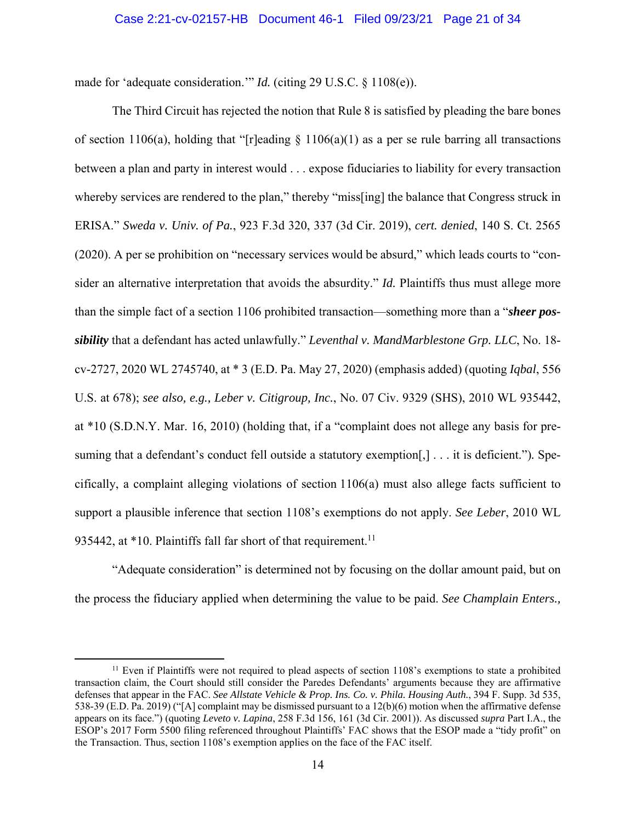made for 'adequate consideration.'" *Id.* (citing 29 U.S.C. § 1108(e)).

The Third Circuit has rejected the notion that Rule 8 is satisfied by pleading the bare bones of section 1106(a), holding that "[r]eading  $\S$  1106(a)(1) as a per se rule barring all transactions between a plan and party in interest would . . . expose fiduciaries to liability for every transaction whereby services are rendered to the plan," thereby "miss[ing] the balance that Congress struck in ERISA." *Sweda v. Univ. of Pa.*, 923 F.3d 320, 337 (3d Cir. 2019), *cert. denied*, 140 S. Ct. 2565 (2020). A per se prohibition on "necessary services would be absurd," which leads courts to "consider an alternative interpretation that avoids the absurdity." *Id.* Plaintiffs thus must allege more than the simple fact of a section 1106 prohibited transaction—something more than a "*sheer possibility* that a defendant has acted unlawfully." *Leventhal v. MandMarblestone Grp. LLC*, No. 18 cv-2727, 2020 WL 2745740, at \* 3 (E.D. Pa. May 27, 2020) (emphasis added) (quoting *Iqbal*, 556 U.S. at 678); *see also, e.g., Leber v. Citigroup, Inc.*, No. 07 Civ. 9329 (SHS), 2010 WL 935442, at \*10 (S.D.N.Y. Mar. 16, 2010) (holding that, if a "complaint does not allege any basis for presuming that a defendant's conduct fell outside a statutory exemption[,] . . . it is deficient.")*.* Specifically, a complaint alleging violations of section 1106(a) must also allege facts sufficient to support a plausible inference that section 1108's exemptions do not apply. *See Leber*, 2010 WL 935442, at  $*10$ . Plaintiffs fall far short of that requirement.<sup>11</sup>

"Adequate consideration" is determined not by focusing on the dollar amount paid, but on the process the fiduciary applied when determining the value to be paid. *See Champlain Enters.,* 

 $11$  Even if Plaintiffs were not required to plead aspects of section 1108's exemptions to state a prohibited transaction claim, the Court should still consider the Paredes Defendants' arguments because they are affirmative defenses that appear in the FAC. *See Allstate Vehicle & Prop. Ins. Co. v. Phila. Housing Auth.*, 394 F. Supp. 3d 535, 538-39 (E.D. Pa. 2019) ("[A] complaint may be dismissed pursuant to a 12(b)(6) motion when the affirmative defense appears on its face.") (quoting *Leveto v. Lapina*, 258 F.3d 156, 161 (3d Cir. 2001)). As discussed *supra* Part I.A., the ESOP's 2017 Form 5500 filing referenced throughout Plaintiffs' FAC shows that the ESOP made a "tidy profit" on the Transaction. Thus, section 1108's exemption applies on the face of the FAC itself.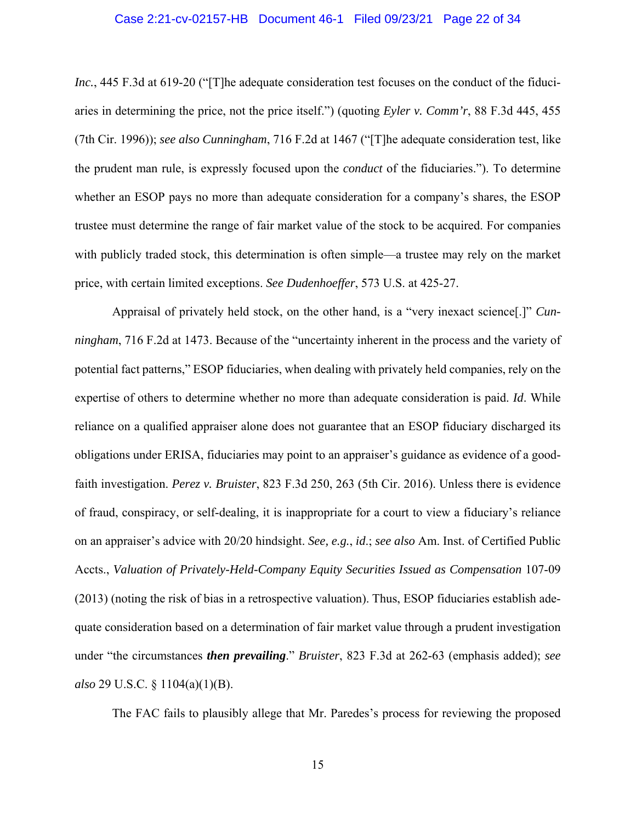#### Case 2:21-cv-02157-HB Document 46-1 Filed 09/23/21 Page 22 of 34

*Inc.*, 445 F.3d at 619-20 ("The adequate consideration test focuses on the conduct of the fiduciaries in determining the price, not the price itself.") (quoting *Eyler v. Comm'r*, 88 F.3d 445, 455 (7th Cir. 1996)); *see also Cunningham*, 716 F.2d at 1467 ("[T]he adequate consideration test, like the prudent man rule, is expressly focused upon the *conduct* of the fiduciaries."). To determine whether an ESOP pays no more than adequate consideration for a company's shares, the ESOP trustee must determine the range of fair market value of the stock to be acquired. For companies with publicly traded stock, this determination is often simple—a trustee may rely on the market price, with certain limited exceptions. *See Dudenhoeffer*, 573 U.S. at 425-27.

Appraisal of privately held stock, on the other hand, is a "very inexact science[.]" *Cunningham*, 716 F.2d at 1473. Because of the "uncertainty inherent in the process and the variety of potential fact patterns," ESOP fiduciaries, when dealing with privately held companies, rely on the expertise of others to determine whether no more than adequate consideration is paid. *Id*. While reliance on a qualified appraiser alone does not guarantee that an ESOP fiduciary discharged its obligations under ERISA, fiduciaries may point to an appraiser's guidance as evidence of a goodfaith investigation. *Perez v. Bruister*, 823 F.3d 250, 263 (5th Cir. 2016). Unless there is evidence of fraud, conspiracy, or self-dealing, it is inappropriate for a court to view a fiduciary's reliance on an appraiser's advice with 20/20 hindsight. *See, e.g.*, *id*.; *see also* Am. Inst. of Certified Public Accts., *Valuation of Privately-Held-Company Equity Securities Issued as Compensation* 107-09 (2013) (noting the risk of bias in a retrospective valuation). Thus, ESOP fiduciaries establish adequate consideration based on a determination of fair market value through a prudent investigation under "the circumstances *then prevailing*." *Bruister*, 823 F.3d at 262-63 (emphasis added); *see also* 29 U.S.C. § 1104(a)(1)(B).

The FAC fails to plausibly allege that Mr. Paredes's process for reviewing the proposed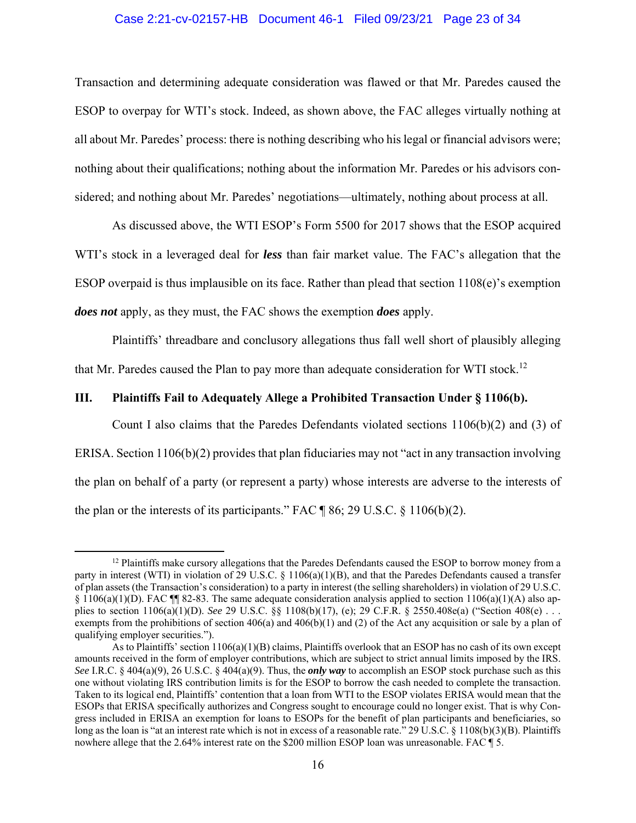#### Case 2:21-cv-02157-HB Document 46-1 Filed 09/23/21 Page 23 of 34

Transaction and determining adequate consideration was flawed or that Mr. Paredes caused the ESOP to overpay for WTI's stock. Indeed, as shown above, the FAC alleges virtually nothing at all about Mr. Paredes' process: there is nothing describing who his legal or financial advisors were; nothing about their qualifications; nothing about the information Mr. Paredes or his advisors considered; and nothing about Mr. Paredes' negotiations—ultimately, nothing about process at all.

As discussed above, the WTI ESOP's Form 5500 for 2017 shows that the ESOP acquired WTI's stock in a leveraged deal for *less* than fair market value. The FAC's allegation that the ESOP overpaid is thus implausible on its face. Rather than plead that section 1108(e)'s exemption *does not* apply, as they must, the FAC shows the exemption *does* apply.

Plaintiffs' threadbare and conclusory allegations thus fall well short of plausibly alleging that Mr. Paredes caused the Plan to pay more than adequate consideration for WTI stock.<sup>12</sup>

#### **III. Plaintiffs Fail to Adequately Allege a Prohibited Transaction Under § 1106(b).**

Count I also claims that the Paredes Defendants violated sections  $1106(b)(2)$  and (3) of ERISA. Section 1106(b)(2) provides that plan fiduciaries may not "act in any transaction involving the plan on behalf of a party (or represent a party) whose interests are adverse to the interests of the plan or the interests of its participants." FAC  $\P$  86; 29 U.S.C. § 1106(b)(2).

 $12$  Plaintiffs make cursory allegations that the Paredes Defendants caused the ESOP to borrow money from a party in interest (WTI) in violation of 29 U.S.C. § 1106(a)(1)(B), and that the Paredes Defendants caused a transfer of plan assets (the Transaction's consideration) to a party in interest (the selling shareholders) in violation of 29 U.S.C. § 1106(a)(1)(D). FAC ¶¶ 82-83. The same adequate consideration analysis applied to section 1106(a)(1)(A) also applies to section 1106(a)(1)(D). *See* 29 U.S.C. §§ 1108(b)(17), (e); 29 C.F.R. § 2550.408e(a) ("Section 408(e) . . . exempts from the prohibitions of section  $406(a)$  and  $406(b)(1)$  and (2) of the Act any acquisition or sale by a plan of qualifying employer securities.").

As to Plaintiffs' section 1106(a)(1)(B) claims, Plaintiffs overlook that an ESOP has no cash of its own except amounts received in the form of employer contributions, which are subject to strict annual limits imposed by the IRS. *See* I.R.C. § 404(a)(9), 26 U.S.C. § 404(a)(9). Thus, the *only way* to accomplish an ESOP stock purchase such as this one without violating IRS contribution limits is for the ESOP to borrow the cash needed to complete the transaction. Taken to its logical end, Plaintiffs' contention that a loan from WTI to the ESOP violates ERISA would mean that the ESOPs that ERISA specifically authorizes and Congress sought to encourage could no longer exist. That is why Congress included in ERISA an exemption for loans to ESOPs for the benefit of plan participants and beneficiaries, so long as the loan is "at an interest rate which is not in excess of a reasonable rate." 29 U.S.C. § 1108(b)(3)(B). Plaintiffs nowhere allege that the 2.64% interest rate on the \$200 million ESOP loan was unreasonable. FAC ¶ 5.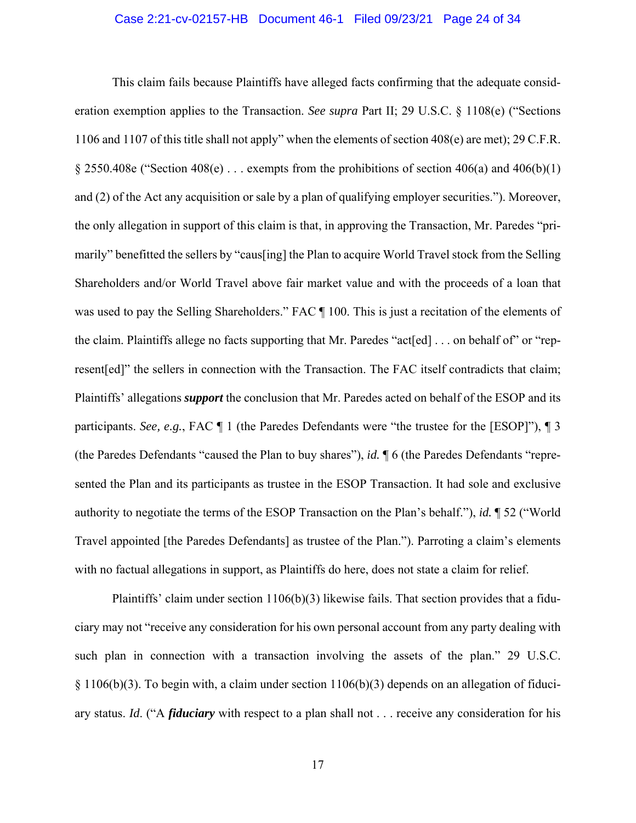#### Case 2:21-cv-02157-HB Document 46-1 Filed 09/23/21 Page 24 of 34

This claim fails because Plaintiffs have alleged facts confirming that the adequate consideration exemption applies to the Transaction. *See supra* Part II; 29 U.S.C. § 1108(e) ("Sections 1106 and 1107 of this title shall not apply" when the elements of section 408(e) are met); 29 C.F.R. § 2550.408e ("Section 408(e)  $\ldots$  exempts from the prohibitions of section 406(a) and 406(b)(1) and (2) of the Act any acquisition or sale by a plan of qualifying employer securities."). Moreover, the only allegation in support of this claim is that, in approving the Transaction, Mr. Paredes "primarily" benefitted the sellers by "caus[ing] the Plan to acquire World Travel stock from the Selling Shareholders and/or World Travel above fair market value and with the proceeds of a loan that was used to pay the Selling Shareholders." FAC  $\P$  100. This is just a recitation of the elements of the claim. Plaintiffs allege no facts supporting that Mr. Paredes "act[ed] . . . on behalf of" or "represent[ed]" the sellers in connection with the Transaction. The FAC itself contradicts that claim; Plaintiffs' allegations *support* the conclusion that Mr. Paredes acted on behalf of the ESOP and its participants. *See, e.g.*, FAC ¶ 1 (the Paredes Defendants were "the trustee for the [ESOP]"), ¶ 3 (the Paredes Defendants "caused the Plan to buy shares"), *id.* ¶ 6 (the Paredes Defendants "represented the Plan and its participants as trustee in the ESOP Transaction. It had sole and exclusive authority to negotiate the terms of the ESOP Transaction on the Plan's behalf."), *id.* ¶ 52 ("World Travel appointed [the Paredes Defendants] as trustee of the Plan."). Parroting a claim's elements with no factual allegations in support, as Plaintiffs do here, does not state a claim for relief.

Plaintiffs' claim under section  $1106(b)(3)$  likewise fails. That section provides that a fiduciary may not "receive any consideration for his own personal account from any party dealing with such plan in connection with a transaction involving the assets of the plan." 29 U.S.C. § 1106(b)(3). To begin with, a claim under section 1106(b)(3) depends on an allegation of fiduciary status. *Id*. ("A *fiduciary* with respect to a plan shall not . . . receive any consideration for his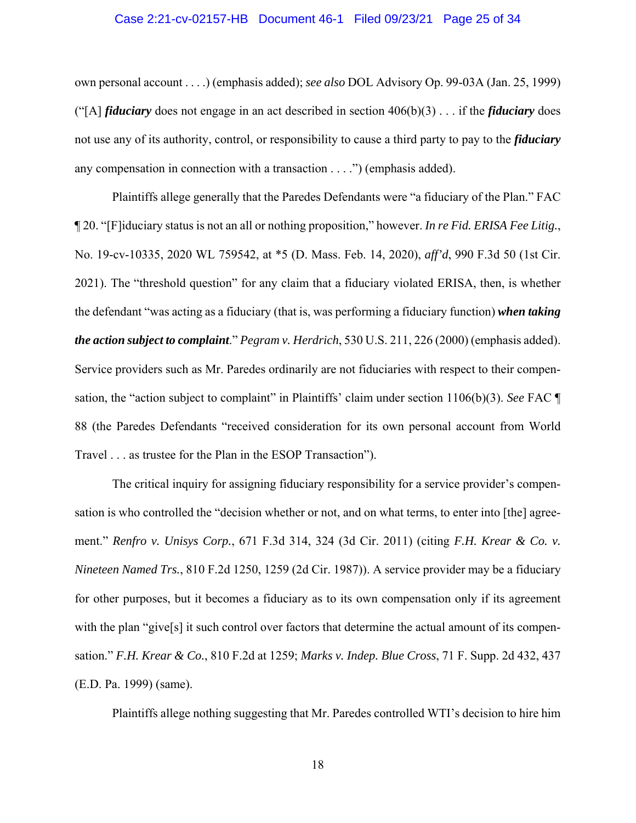#### Case 2:21-cv-02157-HB Document 46-1 Filed 09/23/21 Page 25 of 34

own personal account . . . .) (emphasis added); *see also* DOL Advisory Op. 99-03A (Jan. 25, 1999) ("[A] *fiduciary* does not engage in an act described in section 406(b)(3) . . . if the *fiduciary* does not use any of its authority, control, or responsibility to cause a third party to pay to the *fiduciary* any compensation in connection with a transaction . . . .") (emphasis added).

Plaintiffs allege generally that the Paredes Defendants were "a fiduciary of the Plan." FAC ¶ 20. "[F]iduciary status is not an all or nothing proposition," however. *In re Fid. ERISA Fee Litig.*, No. 19-cv-10335, 2020 WL 759542, at \*5 (D. Mass. Feb. 14, 2020), *aff'd*, 990 F.3d 50 (1st Cir. 2021). The "threshold question" for any claim that a fiduciary violated ERISA, then, is whether the defendant "was acting as a fiduciary (that is, was performing a fiduciary function) *when taking the action subject to complaint*." *Pegram v. Herdrich*, 530 U.S. 211, 226 (2000) (emphasis added). Service providers such as Mr. Paredes ordinarily are not fiduciaries with respect to their compensation, the "action subject to complaint" in Plaintiffs' claim under section 1106(b)(3). *See* FAC ¶ 88 (the Paredes Defendants "received consideration for its own personal account from World Travel . . . as trustee for the Plan in the ESOP Transaction").

The critical inquiry for assigning fiduciary responsibility for a service provider's compensation is who controlled the "decision whether or not, and on what terms, to enter into [the] agreement." *Renfro v. Unisys Corp.*, 671 F.3d 314, 324 (3d Cir. 2011) (citing *F.H. Krear & Co. v. Nineteen Named Trs.*, 810 F.2d 1250, 1259 (2d Cir. 1987)). A service provider may be a fiduciary for other purposes, but it becomes a fiduciary as to its own compensation only if its agreement with the plan "give<sup>[s]</sup> it such control over factors that determine the actual amount of its compensation." *F.H. Krear & Co.*, 810 F.2d at 1259; *Marks v. Indep. Blue Cross*, 71 F. Supp. 2d 432, 437 (E.D. Pa. 1999) (same).

Plaintiffs allege nothing suggesting that Mr. Paredes controlled WTI's decision to hire him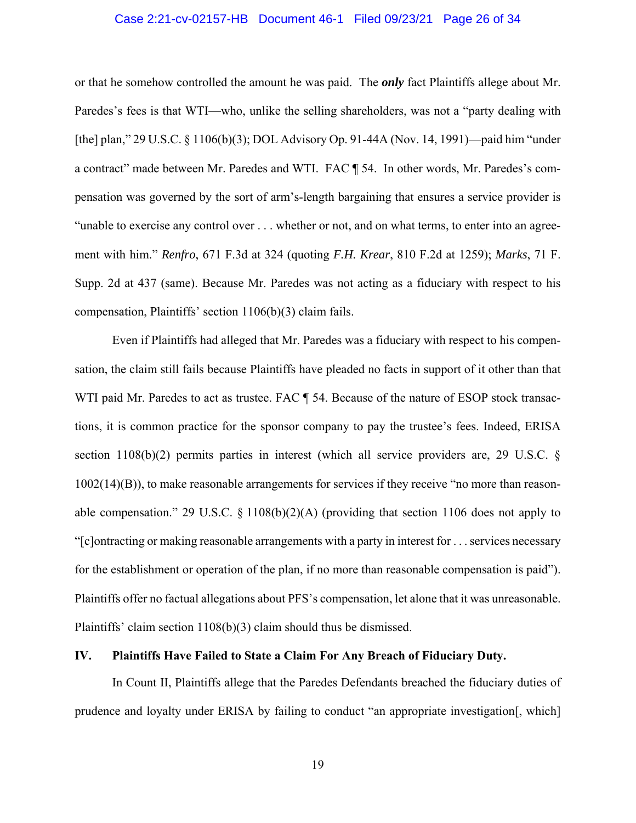#### Case 2:21-cv-02157-HB Document 46-1 Filed 09/23/21 Page 26 of 34

or that he somehow controlled the amount he was paid. The *only* fact Plaintiffs allege about Mr. Paredes's fees is that WTI—who, unlike the selling shareholders, was not a "party dealing with [the] plan," 29 U.S.C. § 1106(b)(3); DOL Advisory Op. 91-44A (Nov. 14, 1991)—paid him "under a contract" made between Mr. Paredes and WTI. FAC ¶ 54. In other words, Mr. Paredes's compensation was governed by the sort of arm's-length bargaining that ensures a service provider is "unable to exercise any control over . . . whether or not, and on what terms, to enter into an agreement with him." *Renfro*, 671 F.3d at 324 (quoting *F.H. Krear*, 810 F.2d at 1259); *Marks*, 71 F. Supp. 2d at 437 (same). Because Mr. Paredes was not acting as a fiduciary with respect to his compensation, Plaintiffs' section 1106(b)(3) claim fails.

Even if Plaintiffs had alleged that Mr. Paredes was a fiduciary with respect to his compensation, the claim still fails because Plaintiffs have pleaded no facts in support of it other than that WTI paid Mr. Paredes to act as trustee. FAC  $\parallel$  54. Because of the nature of ESOP stock transactions, it is common practice for the sponsor company to pay the trustee's fees. Indeed, ERISA section 1108(b)(2) permits parties in interest (which all service providers are, 29 U.S.C. § 1002(14)(B)), to make reasonable arrangements for services if they receive "no more than reasonable compensation." 29 U.S.C.  $\S$  1108(b)(2)(A) (providing that section 1106 does not apply to "[c]ontracting or making reasonable arrangements with a party in interest for . . . services necessary for the establishment or operation of the plan, if no more than reasonable compensation is paid"). Plaintiffs offer no factual allegations about PFS's compensation, let alone that it was unreasonable. Plaintiffs' claim section 1108(b)(3) claim should thus be dismissed.

#### **IV. Plaintiffs Have Failed to State a Claim For Any Breach of Fiduciary Duty.**

In Count II, Plaintiffs allege that the Paredes Defendants breached the fiduciary duties of prudence and loyalty under ERISA by failing to conduct "an appropriate investigation[, which]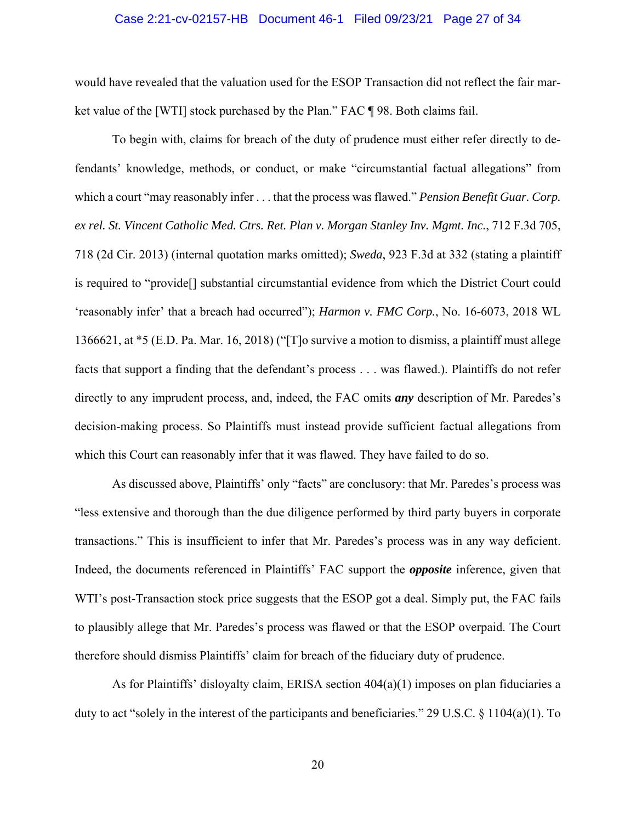#### Case 2:21-cv-02157-HB Document 46-1 Filed 09/23/21 Page 27 of 34

would have revealed that the valuation used for the ESOP Transaction did not reflect the fair market value of the [WTI] stock purchased by the Plan." FAC ¶ 98. Both claims fail.

To begin with, claims for breach of the duty of prudence must either refer directly to defendants' knowledge, methods, or conduct, or make "circumstantial factual allegations" from which a court "may reasonably infer . . . that the process was flawed." *Pension Benefit Guar. Corp. ex rel. St. Vincent Catholic Med. Ctrs. Ret. Plan v. Morgan Stanley Inv. Mgmt. Inc.*, 712 F.3d 705, 718 (2d Cir. 2013) (internal quotation marks omitted); *Sweda*, 923 F.3d at 332 (stating a plaintiff is required to "provide[] substantial circumstantial evidence from which the District Court could 'reasonably infer' that a breach had occurred"); *Harmon v. FMC Corp.*, No. 16-6073, 2018 WL 1366621, at \*5 (E.D. Pa. Mar. 16, 2018) ("[T]o survive a motion to dismiss, a plaintiff must allege facts that support a finding that the defendant's process . . . was flawed.). Plaintiffs do not refer directly to any imprudent process, and, indeed, the FAC omits *any* description of Mr. Paredes's decision-making process. So Plaintiffs must instead provide sufficient factual allegations from which this Court can reasonably infer that it was flawed. They have failed to do so.

As discussed above, Plaintiffs' only "facts" are conclusory: that Mr. Paredes's process was "less extensive and thorough than the due diligence performed by third party buyers in corporate transactions." This is insufficient to infer that Mr. Paredes's process was in any way deficient. Indeed, the documents referenced in Plaintiffs' FAC support the *opposite* inference, given that WTI's post-Transaction stock price suggests that the ESOP got a deal. Simply put, the FAC fails to plausibly allege that Mr. Paredes's process was flawed or that the ESOP overpaid. The Court therefore should dismiss Plaintiffs' claim for breach of the fiduciary duty of prudence.

As for Plaintiffs' disloyalty claim, ERISA section  $404(a)(1)$  imposes on plan fiduciaries a duty to act "solely in the interest of the participants and beneficiaries." 29 U.S.C. § 1104(a)(1). To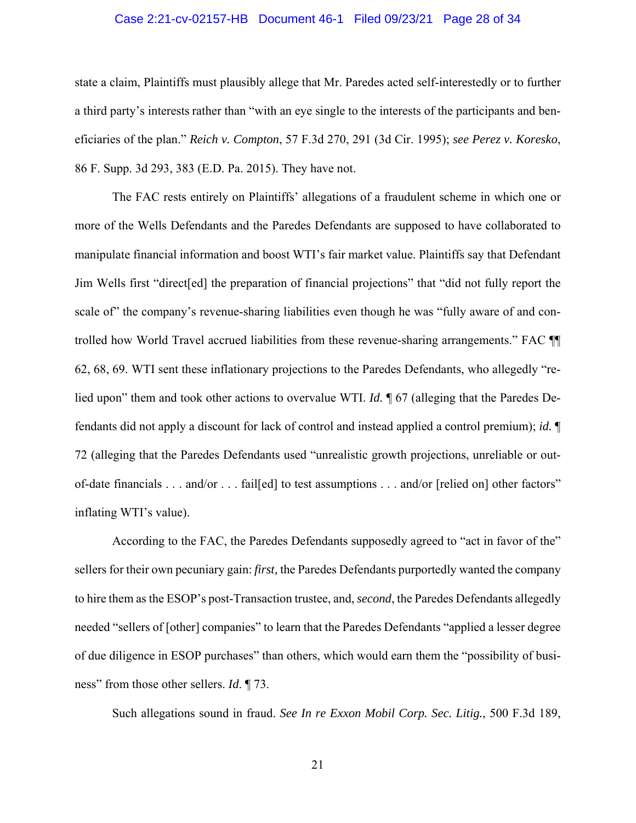#### Case 2:21-cv-02157-HB Document 46-1 Filed 09/23/21 Page 28 of 34

state a claim, Plaintiffs must plausibly allege that Mr. Paredes acted self-interestedly or to further a third party's interests rather than "with an eye single to the interests of the participants and beneficiaries of the plan." *Reich v. Compton*, 57 F.3d 270, 291 (3d Cir. 1995); *see Perez v. Koresko*, 86 F. Supp. 3d 293, 383 (E.D. Pa. 2015). They have not.

The FAC rests entirely on Plaintiffs' allegations of a fraudulent scheme in which one or more of the Wells Defendants and the Paredes Defendants are supposed to have collaborated to manipulate financial information and boost WTI's fair market value. Plaintiffs say that Defendant Jim Wells first "direct[ed] the preparation of financial projections" that "did not fully report the scale of" the company's revenue-sharing liabilities even though he was "fully aware of and controlled how World Travel accrued liabilities from these revenue-sharing arrangements." FAC ¶¶ 62, 68, 69. WTI sent these inflationary projections to the Paredes Defendants, who allegedly "relied upon" them and took other actions to overvalue WTI. *Id.* ¶ 67 (alleging that the Paredes Defendants did not apply a discount for lack of control and instead applied a control premium); *id.* ¶ 72 (alleging that the Paredes Defendants used "unrealistic growth projections, unreliable or outof-date financials . . . and/or . . . fail[ed] to test assumptions . . . and/or [relied on] other factors" inflating WTI's value).

According to the FAC, the Paredes Defendants supposedly agreed to "act in favor of the" sellers for their own pecuniary gain: *first,* the Paredes Defendants purportedly wanted the company to hire them as the ESOP's post-Transaction trustee, and, *second*, the Paredes Defendants allegedly needed "sellers of [other] companies" to learn that the Paredes Defendants "applied a lesser degree of due diligence in ESOP purchases" than others, which would earn them the "possibility of business" from those other sellers. *Id*. ¶ 73.

Such allegations sound in fraud. *See In re Exxon Mobil Corp. Sec. Litig.*, 500 F.3d 189,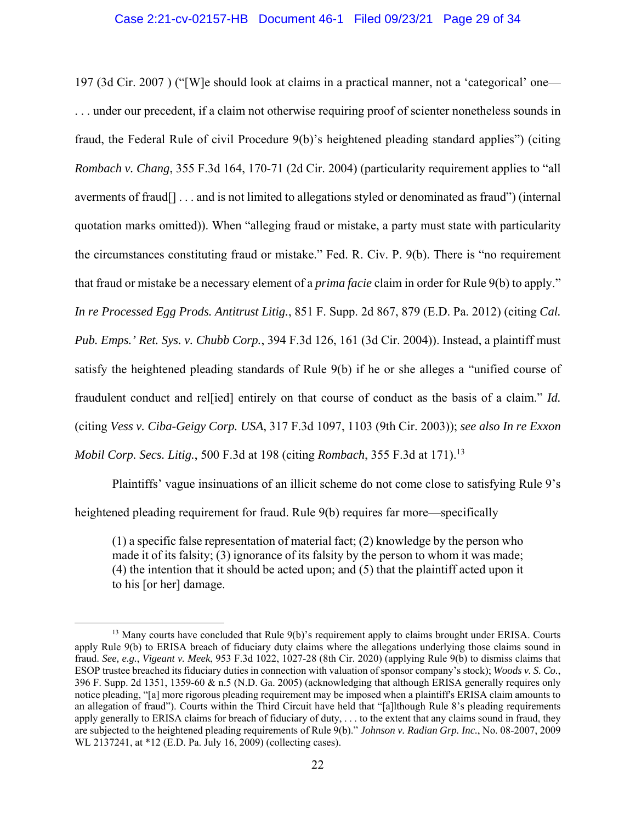#### Case 2:21-cv-02157-HB Document 46-1 Filed 09/23/21 Page 29 of 34

197 (3d Cir. 2007 ) ("[W]e should look at claims in a practical manner, not a 'categorical' one— . . . under our precedent, if a claim not otherwise requiring proof of scienter nonetheless sounds in fraud, the Federal Rule of civil Procedure 9(b)'s heightened pleading standard applies") (citing *Rombach v. Chang*, 355 F.3d 164, 170-71 (2d Cir. 2004) (particularity requirement applies to "all averments of fraud[] . . . and is not limited to allegations styled or denominated as fraud") (internal quotation marks omitted)). When "alleging fraud or mistake, a party must state with particularity the circumstances constituting fraud or mistake." Fed. R. Civ. P. 9(b). There is "no requirement that fraud or mistake be a necessary element of a *prima facie* claim in order for Rule 9(b) to apply." *In re Processed Egg Prods. Antitrust Litig.*, 851 F. Supp. 2d 867, 879 (E.D. Pa. 2012) (citing *Cal. Pub. Emps.' Ret. Sys. v. Chubb Corp.*, 394 F.3d 126, 161 (3d Cir. 2004)). Instead, a plaintiff must satisfy the heightened pleading standards of Rule 9(b) if he or she alleges a "unified course of fraudulent conduct and rel[ied] entirely on that course of conduct as the basis of a claim." *Id.* (citing *Vess v. Ciba-Geigy Corp. USA*, 317 F.3d 1097, 1103 (9th Cir. 2003)); *see also In re Exxon Mobil Corp. Secs. Litig.*, 500 F.3d at 198 (citing *Rombach*, 355 F.3d at 171).<sup>13</sup>

Plaintiffs' vague insinuations of an illicit scheme do not come close to satisfying Rule 9's heightened pleading requirement for fraud. Rule 9(b) requires far more—specifically

(1) a specific false representation of material fact; (2) knowledge by the person who made it of its falsity; (3) ignorance of its falsity by the person to whom it was made; (4) the intention that it should be acted upon; and (5) that the plaintiff acted upon it to his [or her] damage.

<sup>&</sup>lt;sup>13</sup> Many courts have concluded that Rule 9(b)'s requirement apply to claims brought under ERISA. Courts apply Rule 9(b) to ERISA breach of fiduciary duty claims where the allegations underlying those claims sound in fraud. *See, e.g.*, *Vigeant v. Meek*, 953 F.3d 1022, 1027-28 (8th Cir. 2020) (applying Rule 9(b) to dismiss claims that ESOP trustee breached its fiduciary duties in connection with valuation of sponsor company's stock); *Woods v. S. Co.*, 396 F. Supp. 2d 1351, 1359-60 & n.5 (N.D. Ga. 2005) (acknowledging that although ERISA generally requires only notice pleading, "[a] more rigorous pleading requirement may be imposed when a plaintiff's ERISA claim amounts to an allegation of fraud"). Courts within the Third Circuit have held that "[a]lthough Rule 8's pleading requirements apply generally to ERISA claims for breach of fiduciary of duty, . . . to the extent that any claims sound in fraud, they are subjected to the heightened pleading requirements of Rule 9(b)." *Johnson v. Radian Grp. Inc.*, No. 08-2007, 2009 WL 2137241, at \*12 (E.D. Pa. July 16, 2009) (collecting cases).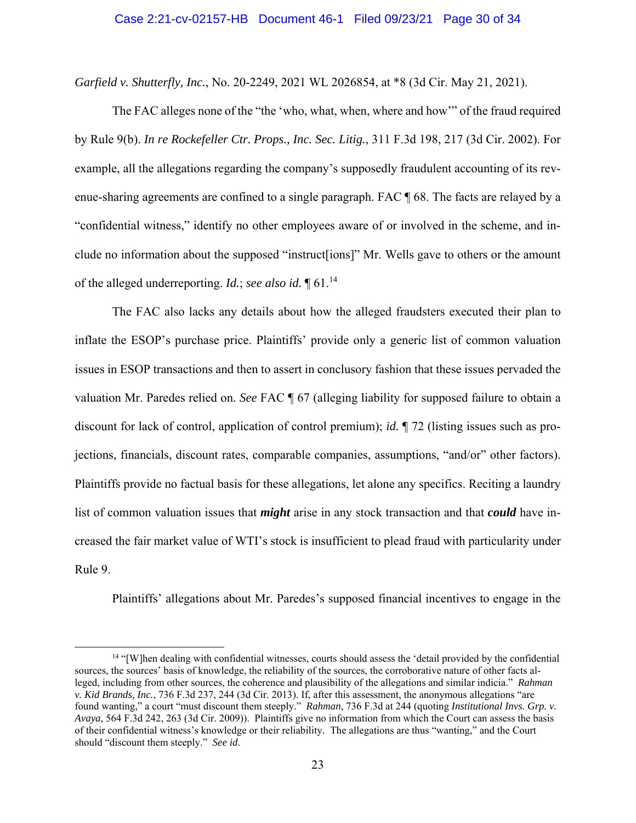*Garfield v. Shutterfly, Inc.*, No. 20-2249, 2021 WL 2026854, at \*8 (3d Cir. May 21, 2021).

The FAC alleges none of the "the 'who, what, when, where and how'" of the fraud required by Rule 9(b). *In re Rockefeller Ctr. Props., Inc. Sec. Litig.*, 311 F.3d 198, 217 (3d Cir. 2002). For example, all the allegations regarding the company's supposedly fraudulent accounting of its revenue-sharing agreements are confined to a single paragraph. FAC ¶ 68. The facts are relayed by a "confidential witness," identify no other employees aware of or involved in the scheme, and include no information about the supposed "instruct[ions]" Mr. Wells gave to others or the amount of the alleged underreporting. *Id.*; *see also id.* ¶ 61.14

The FAC also lacks any details about how the alleged fraudsters executed their plan to inflate the ESOP's purchase price. Plaintiffs' provide only a generic list of common valuation issues in ESOP transactions and then to assert in conclusory fashion that these issues pervaded the valuation Mr. Paredes relied on. *See* FAC ¶ 67 (alleging liability for supposed failure to obtain a discount for lack of control, application of control premium); *id.* ¶ 72 (listing issues such as projections, financials, discount rates, comparable companies, assumptions, "and/or" other factors). Plaintiffs provide no factual basis for these allegations, let alone any specifics. Reciting a laundry list of common valuation issues that *might* arise in any stock transaction and that *could* have increased the fair market value of WTI's stock is insufficient to plead fraud with particularity under Rule 9.

Plaintiffs' allegations about Mr. Paredes's supposed financial incentives to engage in the

<sup>14</sup> "[W]hen dealing with confidential witnesses, courts should assess the 'detail provided by the confidential sources, the sources' basis of knowledge, the reliability of the sources, the corroborative nature of other facts alleged, including from other sources, the coherence and plausibility of the allegations and similar indicia." *Rahman v. Kid Brands, Inc.*, 736 F.3d 237, 244 (3d Cir. 2013). If, after this assessment, the anonymous allegations "are found wanting," a court "must discount them steeply." *Rahman*, 736 F.3d at 244 (quoting *Institutional Invs. Grp. v. Avaya*, 564 F.3d 242, 263 (3d Cir. 2009)). Plaintiffs give no information from which the Court can assess the basis of their confidential witness's knowledge or their reliability. The allegations are thus "wanting," and the Court should "discount them steeply." *See id*.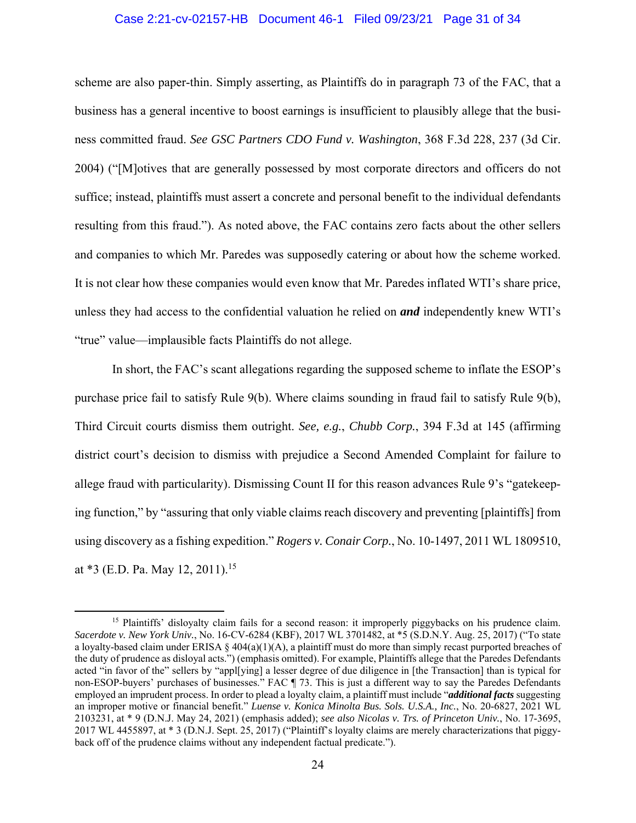#### Case 2:21-cv-02157-HB Document 46-1 Filed 09/23/21 Page 31 of 34

scheme are also paper-thin. Simply asserting, as Plaintiffs do in paragraph 73 of the FAC, that a business has a general incentive to boost earnings is insufficient to plausibly allege that the business committed fraud. *See GSC Partners CDO Fund v. Washington*, 368 F.3d 228, 237 (3d Cir. 2004) ("[M]otives that are generally possessed by most corporate directors and officers do not suffice; instead, plaintiffs must assert a concrete and personal benefit to the individual defendants resulting from this fraud."). As noted above, the FAC contains zero facts about the other sellers and companies to which Mr. Paredes was supposedly catering or about how the scheme worked. It is not clear how these companies would even know that Mr. Paredes inflated WTI's share price, unless they had access to the confidential valuation he relied on *and* independently knew WTI's "true" value—implausible facts Plaintiffs do not allege.

In short, the FAC's scant allegations regarding the supposed scheme to inflate the ESOP's purchase price fail to satisfy Rule 9(b). Where claims sounding in fraud fail to satisfy Rule 9(b), Third Circuit courts dismiss them outright. *See, e.g.*, *Chubb Corp.*, 394 F.3d at 145 (affirming district court's decision to dismiss with prejudice a Second Amended Complaint for failure to allege fraud with particularity). Dismissing Count II for this reason advances Rule 9's "gatekeeping function," by "assuring that only viable claims reach discovery and preventing [plaintiffs] from using discovery as a fishing expedition." *Rogers v. Conair Corp.*, No. 10-1497, 2011 WL 1809510, at  $*3$  (E.D. Pa. May 12, 2011).<sup>15</sup>

<sup>&</sup>lt;sup>15</sup> Plaintiffs' disloyalty claim fails for a second reason: it improperly piggybacks on his prudence claim. *Sacerdote v. New York Univ.*, No. 16-CV-6284 (KBF), 2017 WL 3701482, at \*5 (S.D.N.Y. Aug. 25, 2017) ("To state a loyalty-based claim under ERISA  $\S$  404(a)(1)(A), a plaintiff must do more than simply recast purported breaches of the duty of prudence as disloyal acts.") (emphasis omitted). For example, Plaintiffs allege that the Paredes Defendants acted "in favor of the" sellers by "appl[ying] a lesser degree of due diligence in [the Transaction] than is typical for non-ESOP-buyers' purchases of businesses." FAC ¶ 73. This is just a different way to say the Paredes Defendants employed an imprudent process. In order to plead a loyalty claim, a plaintiff must include "*additional facts* suggesting an improper motive or financial benefit." *Luense v. Konica Minolta Bus. Sols. U.S.A., Inc.*, No. 20-6827, 2021 WL 2103231, at \* 9 (D.N.J. May 24, 2021) (emphasis added); *see also Nicolas v. Trs. of Princeton Univ.*, No. 17-3695, 2017 WL 4455897, at \* 3 (D.N.J. Sept. 25, 2017) ("Plaintiff's loyalty claims are merely characterizations that piggyback off of the prudence claims without any independent factual predicate.").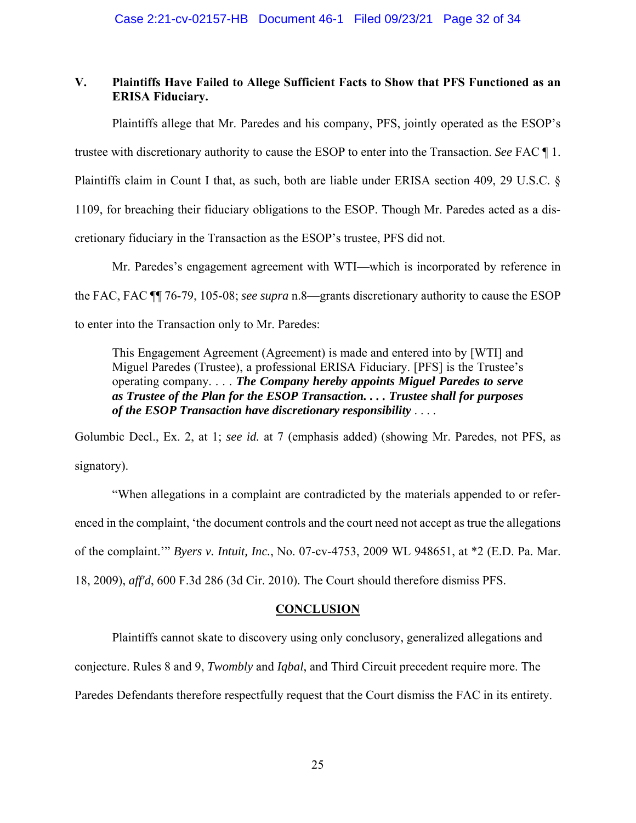## **V. Plaintiffs Have Failed to Allege Sufficient Facts to Show that PFS Functioned as an ERISA Fiduciary.**

Plaintiffs allege that Mr. Paredes and his company, PFS, jointly operated as the ESOP's trustee with discretionary authority to cause the ESOP to enter into the Transaction. *See* FAC ¶ 1. Plaintiffs claim in Count I that, as such, both are liable under ERISA section 409, 29 U.S.C. § 1109, for breaching their fiduciary obligations to the ESOP. Though Mr. Paredes acted as a discretionary fiduciary in the Transaction as the ESOP's trustee, PFS did not.

Mr. Paredes's engagement agreement with WTI—which is incorporated by reference in the FAC, FAC ¶¶ 76-79, 105-08; *see supra* n.8—grants discretionary authority to cause the ESOP to enter into the Transaction only to Mr. Paredes:

This Engagement Agreement (Agreement) is made and entered into by [WTI] and Miguel Paredes (Trustee), a professional ERISA Fiduciary. [PFS] is the Trustee's operating company. . . . *The Company hereby appoints Miguel Paredes to serve as Trustee of the Plan for the ESOP Transaction. . . . Trustee shall for purposes of the ESOP Transaction have discretionary responsibility* . . . .

Golumbic Decl., Ex. 2, at 1; *see id.* at 7 (emphasis added) (showing Mr. Paredes, not PFS, as signatory).

"When allegations in a complaint are contradicted by the materials appended to or referenced in the complaint, 'the document controls and the court need not accept as true the allegations of the complaint.'" *Byers v. Intuit, Inc.*, No. 07-cv-4753, 2009 WL 948651, at \*2 (E.D. Pa. Mar. 18, 2009), *aff'd*, 600 F.3d 286 (3d Cir. 2010). The Court should therefore dismiss PFS.

#### **CONCLUSION**

Plaintiffs cannot skate to discovery using only conclusory, generalized allegations and

conjecture. Rules 8 and 9, *Twombly* and *Iqbal*, and Third Circuit precedent require more. The

Paredes Defendants therefore respectfully request that the Court dismiss the FAC in its entirety.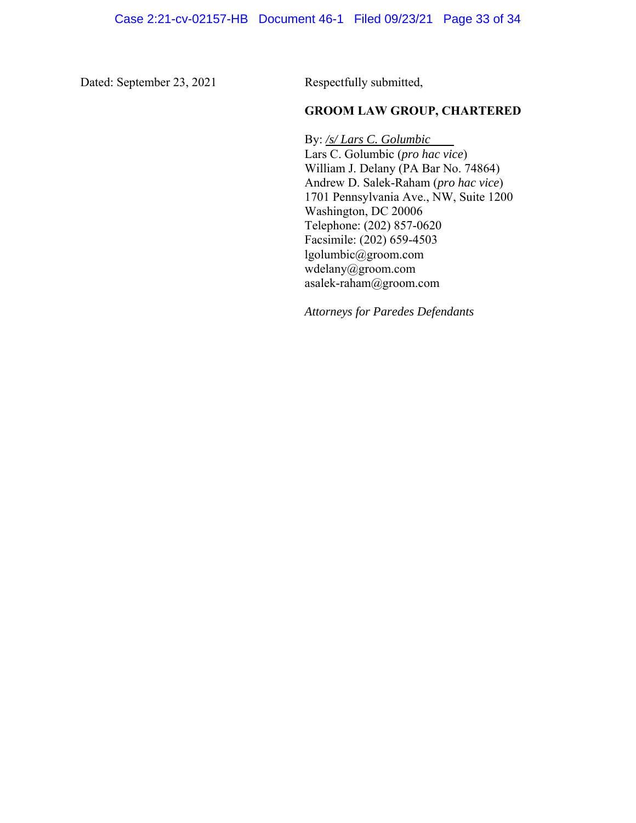Dated: September 23, 2021 Respectfully submitted,

## **GROOM LAW GROUP, CHARTERED**

By: */s/ Lars C. Golumbic* Lars C. Golumbic (*pro hac vice*) William J. Delany (PA Bar No. 74864) Andrew D. Salek-Raham (*pro hac vice*) 1701 Pennsylvania Ave., NW, Suite 1200 Washington, DC 20006 Telephone: (202) 857-0620 Facsimile: (202) 659-4503 lgolumbic@groom.com wdelany@groom.com asalek-raham@groom.com

*Attorneys for Paredes Defendants*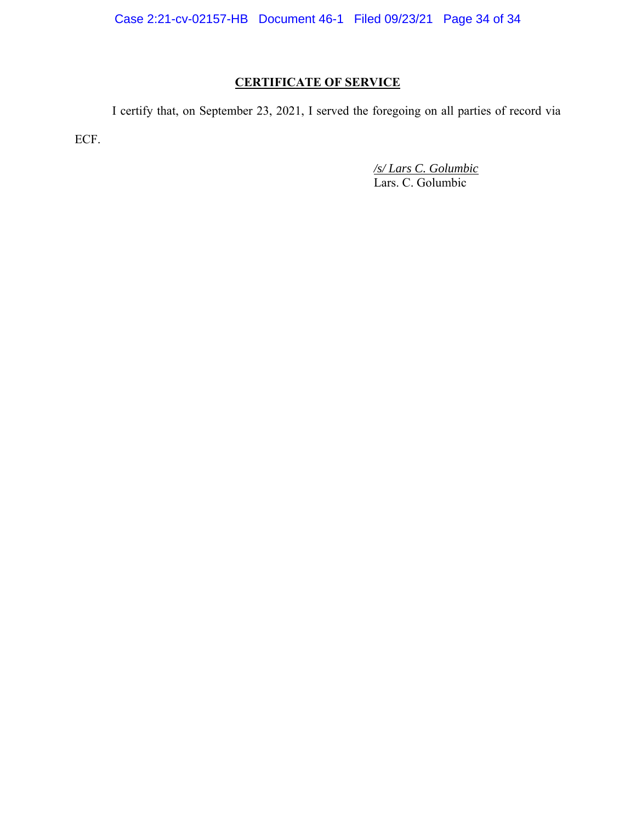Case 2:21-cv-02157-HB Document 46-1 Filed 09/23/21 Page 34 of 34

# **CERTIFICATE OF SERVICE**

 I certify that, on September 23, 2021, I served the foregoing on all parties of record via ECF.

 */s/ Lars C. Golumbic* Lars. C. Golumbic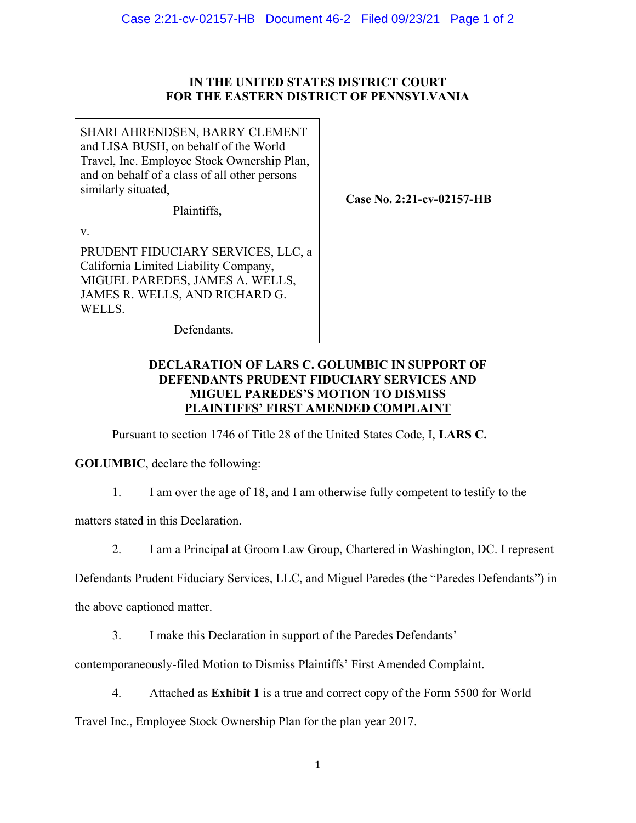## **IN THE UNITED STATES DISTRICT COURT FOR THE EASTERN DISTRICT OF PENNSYLVANIA**

SHARI AHRENDSEN, BARRY CLEMENT and LISA BUSH, on behalf of the World Travel, Inc. Employee Stock Ownership Plan, and on behalf of a class of all other persons similarly situated,

Plaintiffs,

**Case No. 2:21-cv-02157-HB** 

v.

PRUDENT FIDUCIARY SERVICES, LLC, a California Limited Liability Company, MIGUEL PAREDES, JAMES A. WELLS, JAMES R. WELLS, AND RICHARD G. WELLS.

Defendants.

## **DECLARATION OF LARS C. GOLUMBIC IN SUPPORT OF DEFENDANTS PRUDENT FIDUCIARY SERVICES AND MIGUEL PAREDES'S MOTION TO DISMISS PLAINTIFFS' FIRST AMENDED COMPLAINT**

Pursuant to section 1746 of Title 28 of the United States Code, I, **LARS C.** 

**GOLUMBIC**, declare the following:

1. I am over the age of 18, and I am otherwise fully competent to testify to the

matters stated in this Declaration.

2. I am a Principal at Groom Law Group, Chartered in Washington, DC. I represent

Defendants Prudent Fiduciary Services, LLC, and Miguel Paredes (the "Paredes Defendants") in

the above captioned matter.

3. I make this Declaration in support of the Paredes Defendants'

contemporaneously-filed Motion to Dismiss Plaintiffs' First Amended Complaint.

4. Attached as **Exhibit 1** is a true and correct copy of the Form 5500 for World

Travel Inc., Employee Stock Ownership Plan for the plan year 2017.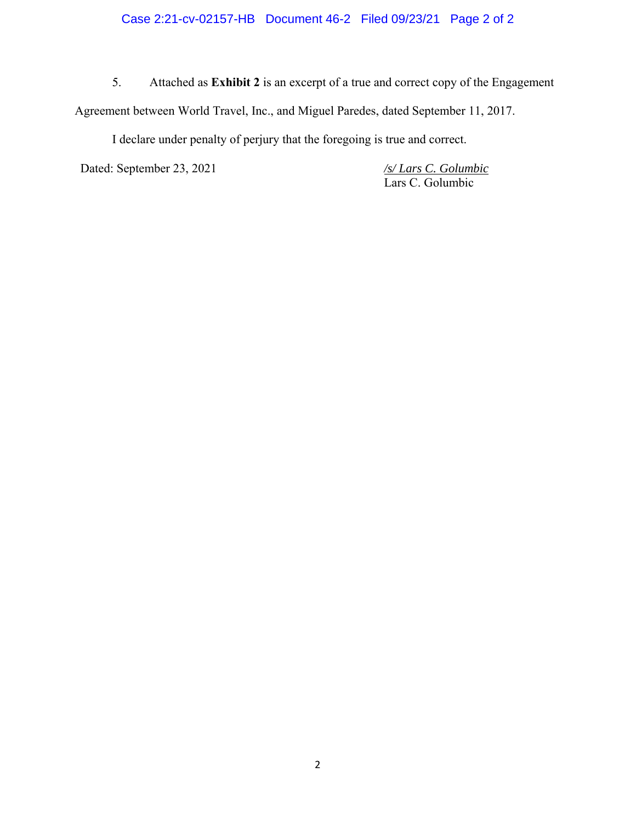# Case 2:21-cv-02157-HB Document 46-2 Filed 09/23/21 Page 2 of 2

5. Attached as **Exhibit 2** is an excerpt of a true and correct copy of the Engagement Agreement between World Travel, Inc., and Miguel Paredes, dated September 11, 2017.

I declare under penalty of perjury that the foregoing is true and correct.

Dated: September 23, 2021 */s/ Lars C. Golumbic* 

Lars C. Golumbic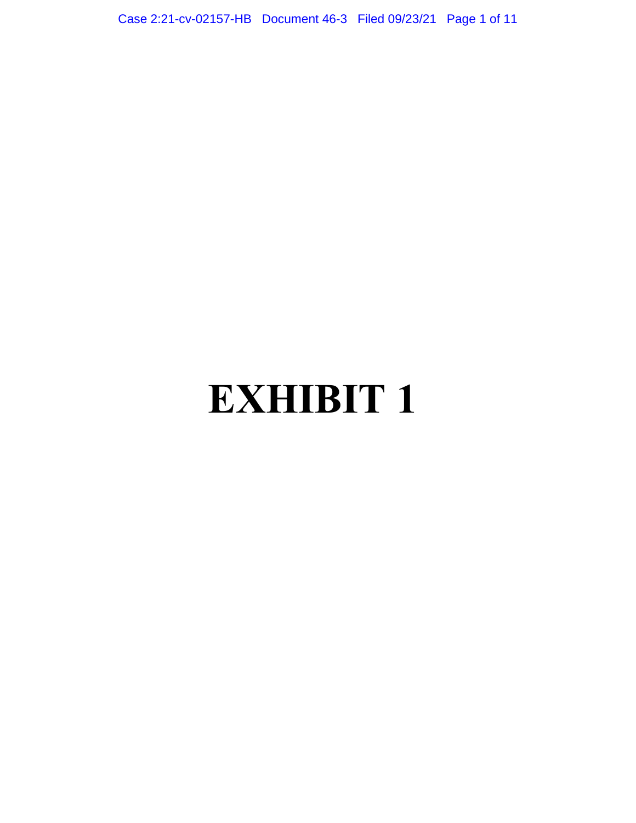Case 2:21-cv-02157-HB Document 46-3 Filed 09/23/21 Page 1 of 11

# **EXHIBIT 1**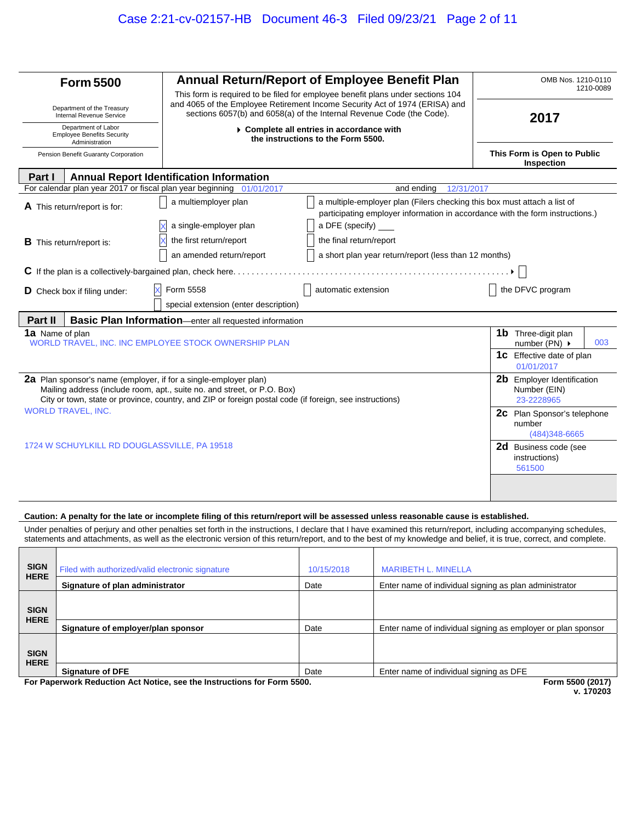| <b>Form 5500</b>                                                                           | Annual Return/Report of Employee Benefit Plan                                                                                                                                      |                                                                                                                                                           | OMB Nos. 1210-0110<br>1210-0089           |                                                          |     |
|--------------------------------------------------------------------------------------------|------------------------------------------------------------------------------------------------------------------------------------------------------------------------------------|-----------------------------------------------------------------------------------------------------------------------------------------------------------|-------------------------------------------|----------------------------------------------------------|-----|
| Department of the Treasury                                                                 | This form is required to be filed for employee benefit plans under sections 104<br>and 4065 of the Employee Retirement Income Security Act of 1974 (ERISA) and                     |                                                                                                                                                           |                                           |                                                          |     |
| <b>Internal Revenue Service</b>                                                            | sections 6057(b) and 6058(a) of the Internal Revenue Code (the Code).                                                                                                              |                                                                                                                                                           | 2017                                      |                                                          |     |
| Department of Labor<br><b>Employee Benefits Security</b><br>Administration                 |                                                                                                                                                                                    | ▶ Complete all entries in accordance with<br>the instructions to the Form 5500.                                                                           |                                           |                                                          |     |
| Pension Benefit Guaranty Corporation                                                       |                                                                                                                                                                                    |                                                                                                                                                           | This Form is Open to Public<br>Inspection |                                                          |     |
| Part I                                                                                     | <b>Annual Report Identification Information</b>                                                                                                                                    |                                                                                                                                                           |                                           |                                                          |     |
| For calendar plan year 2017 or fiscal plan year beginning                                  | 01/01/2017                                                                                                                                                                         | and ending<br>12/31/2017                                                                                                                                  |                                           |                                                          |     |
| A This return/report is for:                                                               | a multiemployer plan                                                                                                                                                               | a multiple-employer plan (Filers checking this box must attach a list of<br>participating employer information in accordance with the form instructions.) |                                           |                                                          |     |
|                                                                                            | a single-employer plan                                                                                                                                                             | a DFE (specify)                                                                                                                                           |                                           |                                                          |     |
| <b>B</b> This return/report is:                                                            | the first return/report                                                                                                                                                            | the final return/report                                                                                                                                   |                                           |                                                          |     |
|                                                                                            | an amended return/report                                                                                                                                                           | a short plan year return/report (less than 12 months)                                                                                                     |                                           |                                                          |     |
|                                                                                            | $C$ If the plan is a collectively-bargained plan, check here.                                                                                                                      |                                                                                                                                                           |                                           |                                                          |     |
| D Check box if filing under:                                                               | Form 5558                                                                                                                                                                          | automatic extension                                                                                                                                       |                                           | the DFVC program                                         |     |
|                                                                                            | special extension (enter description)                                                                                                                                              |                                                                                                                                                           |                                           |                                                          |     |
| Part II                                                                                    | <b>Basic Plan Information</b> —enter all requested information                                                                                                                     |                                                                                                                                                           |                                           |                                                          |     |
| <b>1a</b> Name of plan<br>WORLD TRAVEL, INC. INC EMPLOYEE STOCK OWNERSHIP PLAN             |                                                                                                                                                                                    |                                                                                                                                                           |                                           | <b>1b</b> Three-digit plan<br>number (PN) ▶              | 003 |
|                                                                                            |                                                                                                                                                                                    |                                                                                                                                                           |                                           | <b>1c</b> Effective date of plan<br>01/01/2017           |     |
| <b>2a</b> Plan sponsor's name (employer, if for a single-employer plan)                    | Mailing address (include room, apt., suite no. and street, or P.O. Box)<br>City or town, state or province, country, and ZIP or foreign postal code (if foreign, see instructions) |                                                                                                                                                           |                                           | 2b Employer Identification<br>Number (EIN)<br>23-2228965 |     |
| <b>WORLD TRAVEL, INC.</b><br><b>2C</b> Plan Sponsor's telephone<br>number<br>(484)348-6665 |                                                                                                                                                                                    |                                                                                                                                                           |                                           |                                                          |     |
| 1724 W SCHUYLKILL RD DOUGLASSVILLE, PA 19518                                               |                                                                                                                                                                                    |                                                                                                                                                           |                                           | 2d Business code (see<br>instructions)<br>561500         |     |
|                                                                                            |                                                                                                                                                                                    |                                                                                                                                                           |                                           |                                                          |     |

#### **Caution: A penalty for the late or incomplete filing of this return/report will be assessed unless reasonable cause is established.**

Under penalties of perjury and other penalties set forth in the instructions, I declare that I have examined this return/report, including accompanying schedules, statements and attachments, as well as the electronic version of this return/report, and to the best of my knowledge and belief, it is true, correct, and complete.

| <b>SIGN</b><br><b>HERE</b> | Filed with authorized/valid electronic signature | 10/15/2018 | <b>MARIBETH L. MINELLA</b>                                   |
|----------------------------|--------------------------------------------------|------------|--------------------------------------------------------------|
|                            | Signature of plan administrator                  | Date       | Enter name of individual signing as plan administrator       |
| <b>SIGN</b><br><b>HERE</b> |                                                  |            |                                                              |
|                            | Signature of employer/plan sponsor               | Date       | Enter name of individual signing as employer or plan sponsor |
| <b>SIGN</b><br><b>HERE</b> |                                                  |            |                                                              |
|                            | <b>Signature of DFE</b>                          | Date       | Enter name of individual signing as DFE                      |

**For Paperwork Reduction Act Notice, see the Instructions for Form 5500. Form 5500 (2017)**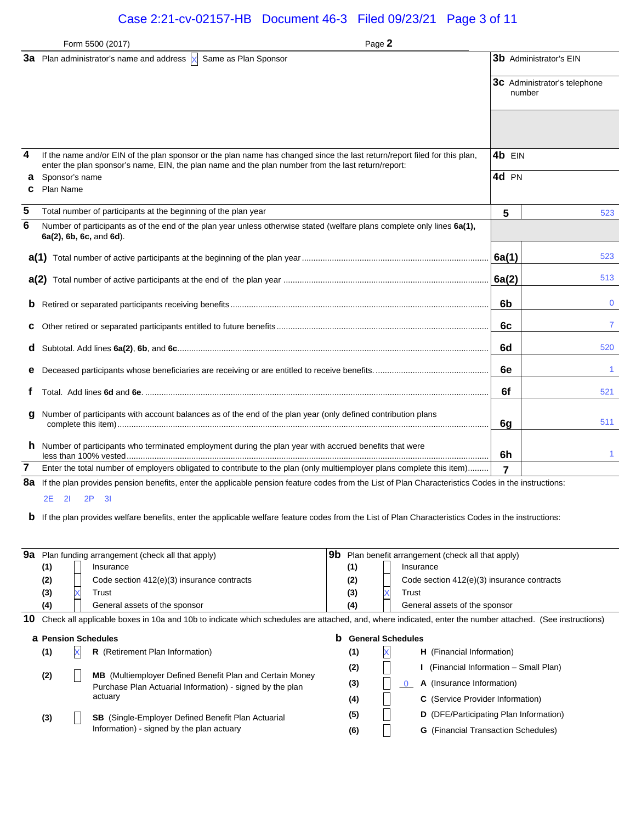# Case 2:21-cv-02157-HB Document 46-3 Filed 09/23/21 Page 3 of 11

|        | Form 5500 (2017)                                                                                                                                                                                                                | Page 2         |                                               |
|--------|---------------------------------------------------------------------------------------------------------------------------------------------------------------------------------------------------------------------------------|----------------|-----------------------------------------------|
|        | 3a Plan administrator's name and address $\overline{X}$ Same as Plan Sponsor                                                                                                                                                    |                | 3b Administrator's EIN                        |
|        |                                                                                                                                                                                                                                 |                | <b>3c</b> Administrator's telephone<br>number |
|        |                                                                                                                                                                                                                                 |                |                                               |
| 4      | If the name and/or EIN of the plan sponsor or the plan name has changed since the last return/report filed for this plan,<br>enter the plan sponsor's name, EIN, the plan name and the plan number from the last return/report: | 4b EIN         |                                               |
| а<br>c | Sponsor's name<br>Plan Name                                                                                                                                                                                                     | 4d PN          |                                               |
| 5      | Total number of participants at the beginning of the plan year                                                                                                                                                                  | 5              | 523                                           |
| 6      | Number of participants as of the end of the plan year unless otherwise stated (welfare plans complete only lines 6a(1),<br>6a(2), 6b, 6c, and 6d).                                                                              |                |                                               |
|        |                                                                                                                                                                                                                                 | 6a(1)          | 523                                           |
|        |                                                                                                                                                                                                                                 | 6a(2)          | 513                                           |
| b      |                                                                                                                                                                                                                                 | 6b             | $\mathbf 0$                                   |
| c      |                                                                                                                                                                                                                                 | 6c             | 7                                             |
| d      |                                                                                                                                                                                                                                 | 6d             | 520                                           |
|        |                                                                                                                                                                                                                                 | 6e             | 1.                                            |
|        |                                                                                                                                                                                                                                 | 6f             | 521                                           |
| g      | Number of participants with account balances as of the end of the plan year (only defined contribution plans                                                                                                                    | 6g             | 511                                           |
|        | <b>h</b> Number of participants who terminated employment during the plan year with accrued benefits that were                                                                                                                  | 6h             |                                               |
| 7      | Enter the total number of employers obligated to contribute to the plan (only multiemployer plans complete this item)                                                                                                           | $\overline{7}$ |                                               |
| 8a     | If the plan provides pension benefits, enter the applicable pension feature codes from the List of Plan Characteristics Codes in the instructions:                                                                              |                |                                               |

2E 2I 2P 3I

**b** If the plan provides welfare benefits, enter the applicable welfare feature codes from the List of Plan Characteristics Codes in the instructions:

| 9а |                                                                                                                                                         | Plan funding arrangement (check all that apply)                 | 9b<br>Plan benefit arrangement (check all that apply) |  |                                                       |  |
|----|---------------------------------------------------------------------------------------------------------------------------------------------------------|-----------------------------------------------------------------|-------------------------------------------------------|--|-------------------------------------------------------|--|
|    | (1)                                                                                                                                                     | Insurance                                                       | (1)                                                   |  | Insurance                                             |  |
|    | (2)                                                                                                                                                     | Code section 412(e)(3) insurance contracts                      | (2)                                                   |  | Code section 412(e)(3) insurance contracts            |  |
|    | (3)                                                                                                                                                     | Trust                                                           | (3)                                                   |  | Trust                                                 |  |
|    | (4)                                                                                                                                                     | General assets of the sponsor                                   | (4)                                                   |  | General assets of the sponsor                         |  |
| 10 | Check all applicable boxes in 10a and 10b to indicate which schedules are attached, and, where indicated, enter the number attached. (See instructions) |                                                                 |                                                       |  |                                                       |  |
|    | <b>a</b> Pension Schedules                                                                                                                              |                                                                 | b                                                     |  | <b>General Schedules</b>                              |  |
|    | (1)                                                                                                                                                     | R (Retirement Plan Information)                                 | (1)                                                   |  | <b>H</b> (Financial Information)                      |  |
|    |                                                                                                                                                         | <b>MB</b> (Multiemployer Defined Benefit Plan and Certain Money | (2)                                                   |  | (Financial Information – Small Plan)                  |  |
|    | (2)                                                                                                                                                     | Purchase Plan Actuarial Information) - signed by the plan       | (3)                                                   |  | A (Insurance Information)<br>$\overline{\phantom{0}}$ |  |
|    |                                                                                                                                                         | actuary                                                         | (4)                                                   |  | <b>C</b> (Service Provider Information)               |  |
|    | (3)                                                                                                                                                     | <b>SB</b> (Single-Employer Defined Benefit Plan Actuarial       | (5)                                                   |  | D (DFE/Participating Plan Information)                |  |
|    |                                                                                                                                                         | Information) - signed by the plan actuary                       | (6)                                                   |  | <b>G</b> (Financial Transaction Schedules)            |  |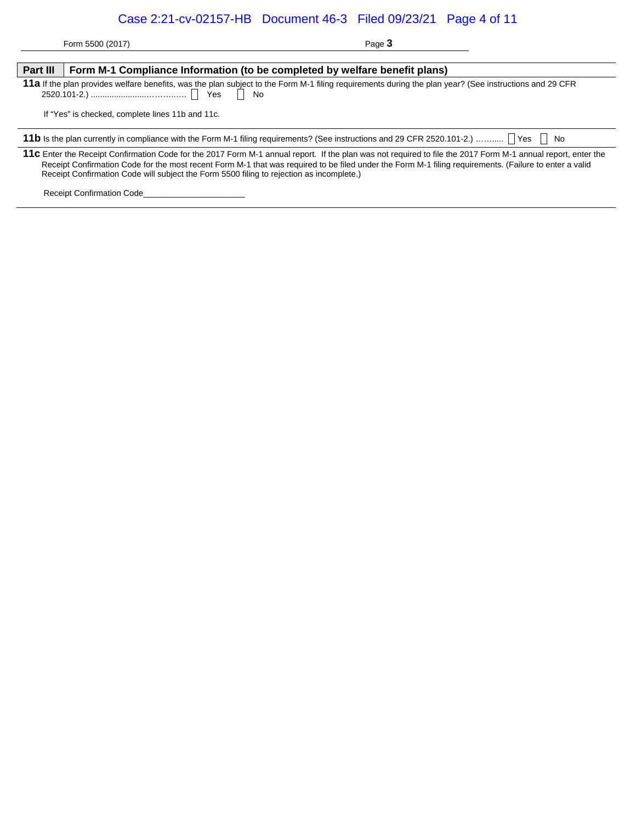# Case 2:21-cv-02157-HB Document 46-3 Filed 09/23/21 Page 4 of 11

Form 5500 (2017) Page 3

| Part III                                                                                                                                               | Form M-1 Compliance Information (to be completed by welfare benefit plans)                                                                                                                                                                                                                                                                                                                                         |  |  |  |  |  |  |
|--------------------------------------------------------------------------------------------------------------------------------------------------------|--------------------------------------------------------------------------------------------------------------------------------------------------------------------------------------------------------------------------------------------------------------------------------------------------------------------------------------------------------------------------------------------------------------------|--|--|--|--|--|--|
| 11a If the plan provides welfare benefits, was the plan subject to the Form M-1 filing requirements during the plan year? (See instructions and 29 CFR |                                                                                                                                                                                                                                                                                                                                                                                                                    |  |  |  |  |  |  |
|                                                                                                                                                        | If "Yes" is checked, complete lines 11b and 11c.                                                                                                                                                                                                                                                                                                                                                                   |  |  |  |  |  |  |
|                                                                                                                                                        | 11b Is the plan currently in compliance with the Form M-1 filing requirements? (See instructions and 29 CFR 2520.101-2.)  TYes T No                                                                                                                                                                                                                                                                                |  |  |  |  |  |  |
|                                                                                                                                                        | 11c Enter the Receipt Confirmation Code for the 2017 Form M-1 annual report. If the plan was not required to file the 2017 Form M-1 annual report, enter the<br>Receipt Confirmation Code for the most recent Form M-1 that was required to be filed under the Form M-1 filing requirements. (Failure to enter a valid<br>Receipt Confirmation Code will subject the Form 5500 filing to rejection as incomplete.) |  |  |  |  |  |  |

Receipt Confirmation Code\_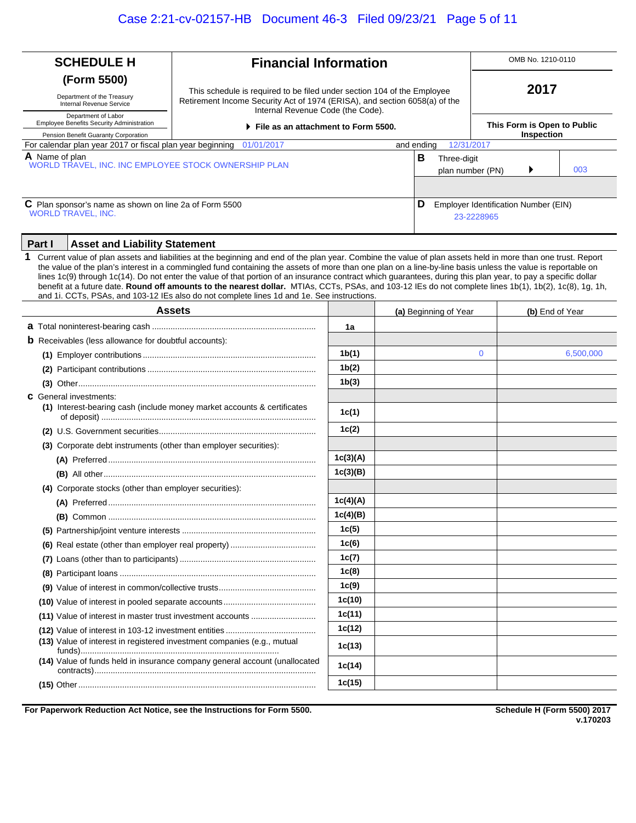| <b>SCHEDULE H</b><br><b>Financial Information</b>                                                                                            |                                                                                                                                                                                                                                                                                                                                                                                                                                                                                                                                                                                                                                                                                                                                                       |          |   |                                 | OMB No. 1210-0110     |              |                                      |           |  |
|----------------------------------------------------------------------------------------------------------------------------------------------|-------------------------------------------------------------------------------------------------------------------------------------------------------------------------------------------------------------------------------------------------------------------------------------------------------------------------------------------------------------------------------------------------------------------------------------------------------------------------------------------------------------------------------------------------------------------------------------------------------------------------------------------------------------------------------------------------------------------------------------------------------|----------|---|---------------------------------|-----------------------|--------------|--------------------------------------|-----------|--|
| (Form 5500)                                                                                                                                  |                                                                                                                                                                                                                                                                                                                                                                                                                                                                                                                                                                                                                                                                                                                                                       |          |   |                                 |                       |              |                                      |           |  |
| Department of the Treasury<br>Internal Revenue Service                                                                                       | This schedule is required to be filed under section 104 of the Employee<br>Retirement Income Security Act of 1974 (ERISA), and section 6058(a) of the                                                                                                                                                                                                                                                                                                                                                                                                                                                                                                                                                                                                 |          |   |                                 |                       | 2017         |                                      |           |  |
| Internal Revenue Code (the Code).<br>Department of Labor<br>Employee Benefits Security Administration<br>File as an attachment to Form 5500. |                                                                                                                                                                                                                                                                                                                                                                                                                                                                                                                                                                                                                                                                                                                                                       |          |   |                                 |                       |              | This Form is Open to Public          |           |  |
| Pension Benefit Guaranty Corporation<br>For calendar plan year 2017 or fiscal plan year beginning                                            | 01/01/2017                                                                                                                                                                                                                                                                                                                                                                                                                                                                                                                                                                                                                                                                                                                                            |          |   | and ending                      | 12/31/2017            |              | Inspection                           |           |  |
| A Name of plan<br>WORLD TRAVEL, INC. INC EMPLOYEE STOCK OWNERSHIP PLAN                                                                       |                                                                                                                                                                                                                                                                                                                                                                                                                                                                                                                                                                                                                                                                                                                                                       |          | В | Three-digit<br>plan number (PN) |                       |              | 003                                  |           |  |
|                                                                                                                                              |                                                                                                                                                                                                                                                                                                                                                                                                                                                                                                                                                                                                                                                                                                                                                       |          |   |                                 |                       |              |                                      |           |  |
| C Plan sponsor's name as shown on line 2a of Form 5500<br>D<br><b>WORLD TRAVEL, INC.</b>                                                     |                                                                                                                                                                                                                                                                                                                                                                                                                                                                                                                                                                                                                                                                                                                                                       |          |   |                                 |                       | 23-2228965   | Employer Identification Number (EIN) |           |  |
| Part I<br><b>Asset and Liability Statement</b>                                                                                               |                                                                                                                                                                                                                                                                                                                                                                                                                                                                                                                                                                                                                                                                                                                                                       |          |   |                                 |                       |              |                                      |           |  |
| 1                                                                                                                                            | Current value of plan assets and liabilities at the beginning and end of the plan year. Combine the value of plan assets held in more than one trust. Report<br>the value of the plan's interest in a commingled fund containing the assets of more than one plan on a line-by-line basis unless the value is reportable on<br>lines 1c(9) through 1c(14). Do not enter the value of that portion of an insurance contract which guarantees, during this plan year, to pay a specific dollar<br>benefit at a future date. Round off amounts to the nearest dollar. MTIAs, CCTs, PSAs, and 103-12 IEs do not complete lines 1b(1), 1b(2), 1c(8), 1g, 1h,<br>and 1i. CCTs, PSAs, and 103-12 IEs also do not complete lines 1d and 1e. See instructions. |          |   |                                 |                       |              |                                      |           |  |
|                                                                                                                                              | Assets                                                                                                                                                                                                                                                                                                                                                                                                                                                                                                                                                                                                                                                                                                                                                |          |   |                                 | (a) Beginning of Year |              | (b) End of Year                      |           |  |
|                                                                                                                                              |                                                                                                                                                                                                                                                                                                                                                                                                                                                                                                                                                                                                                                                                                                                                                       | 1a       |   |                                 |                       |              |                                      |           |  |
| <b>b</b> Receivables (less allowance for doubtful accounts):                                                                                 |                                                                                                                                                                                                                                                                                                                                                                                                                                                                                                                                                                                                                                                                                                                                                       |          |   |                                 |                       |              |                                      |           |  |
|                                                                                                                                              |                                                                                                                                                                                                                                                                                                                                                                                                                                                                                                                                                                                                                                                                                                                                                       | 1b(1)    |   |                                 |                       | $\mathbf{0}$ |                                      | 6,500,000 |  |
|                                                                                                                                              |                                                                                                                                                                                                                                                                                                                                                                                                                                                                                                                                                                                                                                                                                                                                                       | 1b(2)    |   |                                 |                       |              |                                      |           |  |
|                                                                                                                                              |                                                                                                                                                                                                                                                                                                                                                                                                                                                                                                                                                                                                                                                                                                                                                       | 1b(3)    |   |                                 |                       |              |                                      |           |  |
| <b>C</b> General investments:                                                                                                                | (1) Interest-bearing cash (include money market accounts & certificates                                                                                                                                                                                                                                                                                                                                                                                                                                                                                                                                                                                                                                                                               | 1c(1)    |   |                                 |                       |              |                                      |           |  |
|                                                                                                                                              |                                                                                                                                                                                                                                                                                                                                                                                                                                                                                                                                                                                                                                                                                                                                                       | 1c(2)    |   |                                 |                       |              |                                      |           |  |
| (3) Corporate debt instruments (other than employer securities):                                                                             |                                                                                                                                                                                                                                                                                                                                                                                                                                                                                                                                                                                                                                                                                                                                                       |          |   |                                 |                       |              |                                      |           |  |
|                                                                                                                                              |                                                                                                                                                                                                                                                                                                                                                                                                                                                                                                                                                                                                                                                                                                                                                       | 1c(3)(A) |   |                                 |                       |              |                                      |           |  |
|                                                                                                                                              |                                                                                                                                                                                                                                                                                                                                                                                                                                                                                                                                                                                                                                                                                                                                                       | 1c(3)(B) |   |                                 |                       |              |                                      |           |  |
| (4) Corporate stocks (other than employer securities):                                                                                       |                                                                                                                                                                                                                                                                                                                                                                                                                                                                                                                                                                                                                                                                                                                                                       |          |   |                                 |                       |              |                                      |           |  |
|                                                                                                                                              |                                                                                                                                                                                                                                                                                                                                                                                                                                                                                                                                                                                                                                                                                                                                                       | 1c(4)(A) |   |                                 |                       |              |                                      |           |  |
|                                                                                                                                              |                                                                                                                                                                                                                                                                                                                                                                                                                                                                                                                                                                                                                                                                                                                                                       | 1c(4)(B) |   |                                 |                       |              |                                      |           |  |
|                                                                                                                                              |                                                                                                                                                                                                                                                                                                                                                                                                                                                                                                                                                                                                                                                                                                                                                       | 1c(5)    |   |                                 |                       |              |                                      |           |  |
|                                                                                                                                              |                                                                                                                                                                                                                                                                                                                                                                                                                                                                                                                                                                                                                                                                                                                                                       | 1c(6)    |   |                                 |                       |              |                                      |           |  |
|                                                                                                                                              |                                                                                                                                                                                                                                                                                                                                                                                                                                                                                                                                                                                                                                                                                                                                                       | 1c(7)    |   |                                 |                       |              |                                      |           |  |
|                                                                                                                                              |                                                                                                                                                                                                                                                                                                                                                                                                                                                                                                                                                                                                                                                                                                                                                       | 1c(8)    |   |                                 |                       |              |                                      |           |  |
|                                                                                                                                              |                                                                                                                                                                                                                                                                                                                                                                                                                                                                                                                                                                                                                                                                                                                                                       | 1c(9)    |   |                                 |                       |              |                                      |           |  |
|                                                                                                                                              |                                                                                                                                                                                                                                                                                                                                                                                                                                                                                                                                                                                                                                                                                                                                                       | 1c(10)   |   |                                 |                       |              |                                      |           |  |
|                                                                                                                                              | (11) Value of interest in master trust investment accounts                                                                                                                                                                                                                                                                                                                                                                                                                                                                                                                                                                                                                                                                                            | 1c(11)   |   |                                 |                       |              |                                      |           |  |
|                                                                                                                                              |                                                                                                                                                                                                                                                                                                                                                                                                                                                                                                                                                                                                                                                                                                                                                       | 1c(12)   |   |                                 |                       |              |                                      |           |  |
| (13) Value of interest in registered investment companies (e.g., mutual                                                                      |                                                                                                                                                                                                                                                                                                                                                                                                                                                                                                                                                                                                                                                                                                                                                       | 1c(13)   |   |                                 |                       |              |                                      |           |  |
|                                                                                                                                              | (14) Value of funds held in insurance company general account (unallocated                                                                                                                                                                                                                                                                                                                                                                                                                                                                                                                                                                                                                                                                            | 1c(14)   |   |                                 |                       |              |                                      |           |  |
|                                                                                                                                              |                                                                                                                                                                                                                                                                                                                                                                                                                                                                                                                                                                                                                                                                                                                                                       | 1c(15)   |   |                                 |                       |              |                                      |           |  |

**For Paperwork Reduction Act Notice, see the Instructions for Form 5500.**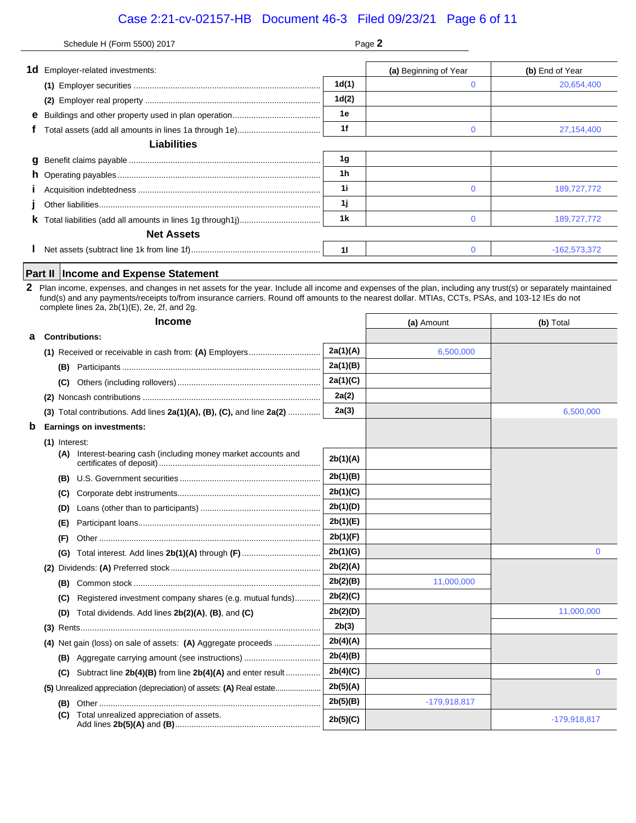# Case 2:21-cv-02157-HB Document 46-3 Filed 09/23/21 Page 6 of 11

|             | Schedule H (Form 5500) 2017                                                                                                                                                                                                                                                                                                                                                                                      | Page 2         |                       |                 |
|-------------|------------------------------------------------------------------------------------------------------------------------------------------------------------------------------------------------------------------------------------------------------------------------------------------------------------------------------------------------------------------------------------------------------------------|----------------|-----------------------|-----------------|
|             | <b>1d</b> Employer-related investments:                                                                                                                                                                                                                                                                                                                                                                          |                | (a) Beginning of Year | (b) End of Year |
|             |                                                                                                                                                                                                                                                                                                                                                                                                                  | 1d(1)          | 0                     | 20,654,400      |
|             |                                                                                                                                                                                                                                                                                                                                                                                                                  | 1d(2)          |                       |                 |
|             |                                                                                                                                                                                                                                                                                                                                                                                                                  | 1е             |                       |                 |
|             |                                                                                                                                                                                                                                                                                                                                                                                                                  | 1f             | $\mathbf 0$           | 27,154,400      |
|             | <b>Liabilities</b>                                                                                                                                                                                                                                                                                                                                                                                               |                |                       |                 |
|             |                                                                                                                                                                                                                                                                                                                                                                                                                  | 1g             |                       |                 |
|             |                                                                                                                                                                                                                                                                                                                                                                                                                  | 1 <sub>h</sub> |                       |                 |
|             |                                                                                                                                                                                                                                                                                                                                                                                                                  | 1i             | 0                     | 189,727,772     |
|             |                                                                                                                                                                                                                                                                                                                                                                                                                  | 1j             |                       |                 |
|             |                                                                                                                                                                                                                                                                                                                                                                                                                  | 1k             | $\mathbf 0$           | 189,727,772     |
|             | <b>Net Assets</b>                                                                                                                                                                                                                                                                                                                                                                                                |                |                       |                 |
|             |                                                                                                                                                                                                                                                                                                                                                                                                                  | 11             | $\mathbf{0}$          | $-162,573,372$  |
|             |                                                                                                                                                                                                                                                                                                                                                                                                                  |                |                       |                 |
| 2           | <b>Income and Expense Statement</b><br>Part II<br>Plan income, expenses, and changes in net assets for the year. Include all income and expenses of the plan, including any trust(s) or separately maintained<br>fund(s) and any payments/receipts to/from insurance carriers. Round off amounts to the nearest dollar. MTIAs, CCTs, PSAs, and 103-12 IEs do not<br>complete lines 2a, 2b(1)(E), 2e, 2f, and 2g. |                |                       |                 |
|             | <b>Income</b>                                                                                                                                                                                                                                                                                                                                                                                                    |                | (a) Amount            | (b) Total       |
| a           | <b>Contributions:</b>                                                                                                                                                                                                                                                                                                                                                                                            |                |                       |                 |
|             | (1) Received or receivable in cash from: (A) Employers                                                                                                                                                                                                                                                                                                                                                           | 2a(1)(A)       | 6,500,000             |                 |
|             |                                                                                                                                                                                                                                                                                                                                                                                                                  | 2a(1)(B)       |                       |                 |
|             |                                                                                                                                                                                                                                                                                                                                                                                                                  | 2a(1)(C)       |                       |                 |
|             |                                                                                                                                                                                                                                                                                                                                                                                                                  | 2a(2)          |                       |                 |
|             | (3) Total contributions. Add lines $2a(1)(A)$ , $(B)$ , $(C)$ , and line $2a(2)$                                                                                                                                                                                                                                                                                                                                 | 2a(3)          |                       | 6,500,000       |
| $\mathbf b$ | <b>Earnings on investments:</b>                                                                                                                                                                                                                                                                                                                                                                                  |                |                       |                 |
|             | $(1)$ Interest:                                                                                                                                                                                                                                                                                                                                                                                                  |                |                       |                 |
|             | (A) Interest-bearing cash (including money market accounts and                                                                                                                                                                                                                                                                                                                                                   | 2b(1)(A)       |                       |                 |
|             |                                                                                                                                                                                                                                                                                                                                                                                                                  | 2b(1)(B)       |                       |                 |
|             |                                                                                                                                                                                                                                                                                                                                                                                                                  | 2b(1)(C)       |                       |                 |
|             | (D)                                                                                                                                                                                                                                                                                                                                                                                                              | 2b(1)(D)       |                       |                 |
|             | (E)                                                                                                                                                                                                                                                                                                                                                                                                              | 2b(1)(E)       |                       |                 |
|             | (F)                                                                                                                                                                                                                                                                                                                                                                                                              | 2b(1)(F)       |                       |                 |
|             | Total interest. Add lines 2b(1)(A) through (F)<br>(G)                                                                                                                                                                                                                                                                                                                                                            | 2b(1)(G)       |                       | 0               |
|             |                                                                                                                                                                                                                                                                                                                                                                                                                  | 2b(2)(A)       |                       |                 |
|             | (B)                                                                                                                                                                                                                                                                                                                                                                                                              | 2b(2)(B)       | 11,000,000            |                 |
|             | Registered investment company shares (e.g. mutual funds)<br>(C)                                                                                                                                                                                                                                                                                                                                                  | 2b(2)(C)       |                       |                 |
|             | Total dividends. Add lines 2b(2)(A), (B), and (C)<br>(D)                                                                                                                                                                                                                                                                                                                                                         | 2b(2)(D)       |                       | 11,000,000      |
|             |                                                                                                                                                                                                                                                                                                                                                                                                                  | 2b(3)          |                       |                 |
|             | (4) Net gain (loss) on sale of assets: (A) Aggregate proceeds                                                                                                                                                                                                                                                                                                                                                    | 2b(4)(A)       |                       |                 |
|             | (B) Aggregate carrying amount (see instructions)                                                                                                                                                                                                                                                                                                                                                                 | 2b(4)(B)       |                       |                 |
|             | Subtract line 2b(4)(B) from line 2b(4)(A) and enter result<br>(C)                                                                                                                                                                                                                                                                                                                                                | 2b(4)(C)       |                       | 0               |
|             | (5) Unrealized appreciation (depreciation) of assets: (A) Real estate                                                                                                                                                                                                                                                                                                                                            | 2b(5)(A)       |                       |                 |
|             | (B)                                                                                                                                                                                                                                                                                                                                                                                                              | 2b(5)(B)       | $-179,918,817$        |                 |
|             | Total unrealized appreciation of assets.<br>(C)                                                                                                                                                                                                                                                                                                                                                                  | 2b(5)(C)       |                       | -179,918,817    |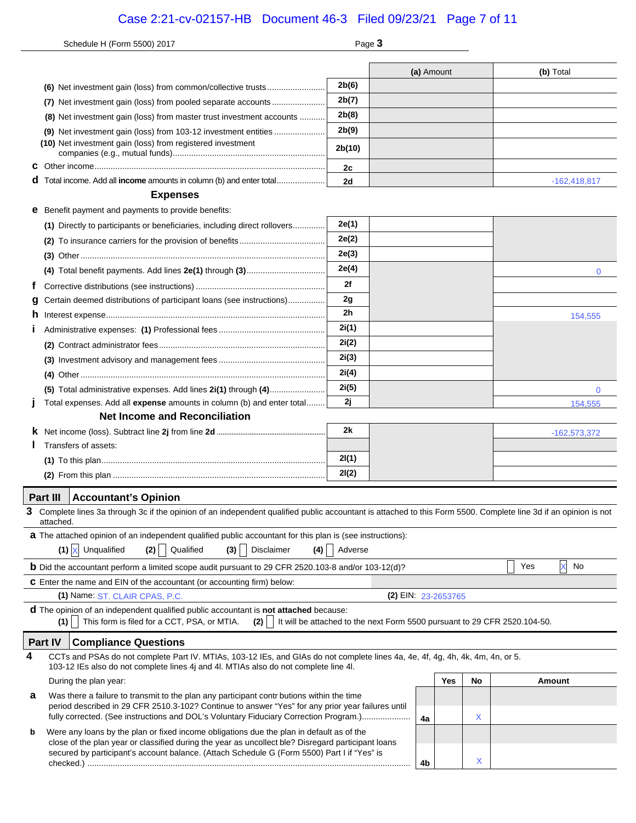# Case 2:21-cv-02157-HB Document 46-3 Filed 09/23/21 Page 7 of 11

|   | Schedule H (Form 5500) 2017                                                                                                                                                                                                                                                                                                   | Page 3         |  |            |  |    |     |                |              |
|---|-------------------------------------------------------------------------------------------------------------------------------------------------------------------------------------------------------------------------------------------------------------------------------------------------------------------------------|----------------|--|------------|--|----|-----|----------------|--------------|
|   |                                                                                                                                                                                                                                                                                                                               |                |  |            |  |    |     |                |              |
|   |                                                                                                                                                                                                                                                                                                                               | 2b(6)          |  | (a) Amount |  |    |     | (b) Total      |              |
|   | (7) Net investment gain (loss) from pooled separate accounts                                                                                                                                                                                                                                                                  | 2b(7)          |  |            |  |    |     |                |              |
|   |                                                                                                                                                                                                                                                                                                                               | 2b(8)          |  |            |  |    |     |                |              |
|   | (8) Net investment gain (loss) from master trust investment accounts                                                                                                                                                                                                                                                          | 2b(9)          |  |            |  |    |     |                |              |
|   | (10) Net investment gain (loss) from registered investment                                                                                                                                                                                                                                                                    |                |  |            |  |    |     |                |              |
|   |                                                                                                                                                                                                                                                                                                                               | 2b(10)         |  |            |  |    |     |                |              |
| С |                                                                                                                                                                                                                                                                                                                               | 2c             |  |            |  |    |     |                |              |
|   | Total income. Add all income amounts in column (b) and enter total                                                                                                                                                                                                                                                            | 2d             |  |            |  |    |     | $-162,418,817$ |              |
|   | <b>Expenses</b>                                                                                                                                                                                                                                                                                                               |                |  |            |  |    |     |                |              |
| е | Benefit payment and payments to provide benefits:                                                                                                                                                                                                                                                                             |                |  |            |  |    |     |                |              |
|   | (1) Directly to participants or beneficiaries, including direct rollovers                                                                                                                                                                                                                                                     | 2e(1)          |  |            |  |    |     |                |              |
|   |                                                                                                                                                                                                                                                                                                                               | 2e(2)          |  |            |  |    |     |                |              |
|   |                                                                                                                                                                                                                                                                                                                               | 2e(3)          |  |            |  |    |     |                |              |
|   |                                                                                                                                                                                                                                                                                                                               | 2e(4)          |  |            |  |    |     |                | $\mathbf{0}$ |
|   |                                                                                                                                                                                                                                                                                                                               | 2f             |  |            |  |    |     |                |              |
| g | Certain deemed distributions of participant loans (see instructions)                                                                                                                                                                                                                                                          | 2g             |  |            |  |    |     |                |              |
| n |                                                                                                                                                                                                                                                                                                                               | 2 <sub>h</sub> |  |            |  |    |     |                | 154,555      |
|   |                                                                                                                                                                                                                                                                                                                               | 2i(1)          |  |            |  |    |     |                |              |
|   |                                                                                                                                                                                                                                                                                                                               | 2i(2)          |  |            |  |    |     |                |              |
|   |                                                                                                                                                                                                                                                                                                                               | 2i(3)<br>2i(4) |  |            |  |    |     |                |              |
|   |                                                                                                                                                                                                                                                                                                                               | 2i(5)          |  |            |  |    |     |                |              |
|   | (5) Total administrative expenses. Add lines 2i(1) through (4)<br>Total expenses. Add all expense amounts in column (b) and enter total                                                                                                                                                                                       | 2j             |  |            |  |    |     |                | 0<br>154,555 |
|   | <b>Net Income and Reconciliation</b>                                                                                                                                                                                                                                                                                          |                |  |            |  |    |     |                |              |
|   |                                                                                                                                                                                                                                                                                                                               | 2k             |  |            |  |    |     | $-162,573,372$ |              |
|   | Transfers of assets:                                                                                                                                                                                                                                                                                                          |                |  |            |  |    |     |                |              |
|   |                                                                                                                                                                                                                                                                                                                               | 2I(1)          |  |            |  |    |     |                |              |
|   |                                                                                                                                                                                                                                                                                                                               | 2I(2)          |  |            |  |    |     |                |              |
|   | Part III<br><b>Accountant's Opinion</b>                                                                                                                                                                                                                                                                                       |                |  |            |  |    |     |                |              |
| 3 | Complete lines 3a through 3c if the opinion of an independent qualified public accountant is attached to this Form 5500. Complete line 3d if an opinion is not                                                                                                                                                                |                |  |            |  |    |     |                |              |
|   | attached.                                                                                                                                                                                                                                                                                                                     |                |  |            |  |    |     |                |              |
|   | a The attached opinion of an independent qualified public accountant for this plan is (see instructions):                                                                                                                                                                                                                     |                |  |            |  |    |     |                |              |
|   | $(1)$ X Unqualified<br>(2) Qualified<br>Disclaimer<br>(3)<br>(4)                                                                                                                                                                                                                                                              | Adverse        |  |            |  |    |     |                |              |
|   | <b>b</b> Did the accountant perform a limited scope audit pursuant to 29 CFR 2520.103-8 and/or 103-12(d)?                                                                                                                                                                                                                     |                |  |            |  |    | Yes | X<br>No        |              |
|   | C Enter the name and EIN of the accountant (or accounting firm) below:                                                                                                                                                                                                                                                        |                |  |            |  |    |     |                |              |
|   | (2) EIN: 23-2653765<br>(1) Name: ST. CLAIR CPAS, P.C.                                                                                                                                                                                                                                                                         |                |  |            |  |    |     |                |              |
|   | d The opinion of an independent qualified public accountant is not attached because:<br>This form is filed for a CCT, PSA, or MTIA.<br>$(2)$     It will be attached to the next Form 5500 pursuant to 29 CFR 2520.104-50.<br>(1)                                                                                             |                |  |            |  |    |     |                |              |
|   | Part IV<br><b>Compliance Questions</b>                                                                                                                                                                                                                                                                                        |                |  |            |  |    |     |                |              |
| 4 | CCTs and PSAs do not complete Part IV. MTIAs, 103-12 IEs, and GIAs do not complete lines 4a, 4e, 4f, 4g, 4h, 4k, 4m, 4n, or 5.                                                                                                                                                                                                |                |  |            |  |    |     |                |              |
|   | 103-12 IEs also do not complete lines 4j and 4l. MTIAs also do not complete line 4l.                                                                                                                                                                                                                                          |                |  |            |  |    |     |                |              |
|   | Yes<br>During the plan year:<br>Was there a failure to transmit to the plan any participant contr butions within the time<br>period described in 29 CFR 2510.3-102? Continue to answer "Yes" for any prior year failures until<br>fully corrected. (See instructions and DOL's Voluntary Fiduciary Correction Program.)<br>4a |                |  |            |  | No |     | Amount         |              |
| а |                                                                                                                                                                                                                                                                                                                               |                |  |            |  | X  |     |                |              |
| b | Were any loans by the plan or fixed income obligations due the plan in default as of the                                                                                                                                                                                                                                      |                |  |            |  |    |     |                |              |
|   | close of the plan year or classified during the year as uncollect ble? Disregard participant loans                                                                                                                                                                                                                            |                |  |            |  |    |     |                |              |
|   | secured by participant's account balance. (Attach Schedule G (Form 5500) Part I if "Yes" is                                                                                                                                                                                                                                   |                |  | 4b         |  | X  |     |                |              |
|   |                                                                                                                                                                                                                                                                                                                               |                |  |            |  |    |     |                |              |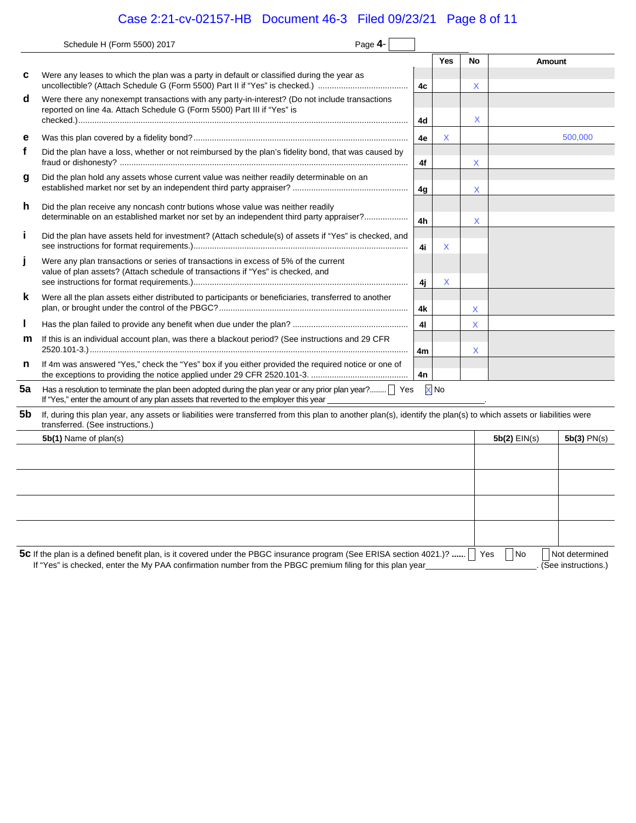# Case 2:21-cv-02157-HB Document 46-3 Filed 09/23/21 Page 8 of 11

|    | Page 4-<br>Schedule H (Form 5500) 2017                                                                                                                                                                                                    |    |                 |    |                |                                         |
|----|-------------------------------------------------------------------------------------------------------------------------------------------------------------------------------------------------------------------------------------------|----|-----------------|----|----------------|-----------------------------------------|
|    |                                                                                                                                                                                                                                           |    | Yes             | No | <b>Amount</b>  |                                         |
| с  | Were any leases to which the plan was a party in default or classified during the year as<br>uncollectible? (Attach Schedule G (Form 5500) Part II if "Yes" is checked.)                                                                  | 4c |                 | X  |                |                                         |
| d  | Were there any nonexempt transactions with any party-in-interest? (Do not include transactions<br>reported on line 4a. Attach Schedule G (Form 5500) Part III if "Yes" is                                                                 | 4d |                 | X  |                |                                         |
| е  |                                                                                                                                                                                                                                           | 4e | X               |    |                | 500,000                                 |
| f  | Did the plan have a loss, whether or not reimbursed by the plan's fidelity bond, that was caused by                                                                                                                                       | 4f |                 | X  |                |                                         |
| g  | Did the plan hold any assets whose current value was neither readily determinable on an                                                                                                                                                   | 4g |                 | X  |                |                                         |
| h  | Did the plan receive any noncash contributions whose value was neither readily<br>determinable on an established market nor set by an independent third party appraiser?                                                                  | 4h |                 | X  |                |                                         |
| Ť  | Did the plan have assets held for investment? (Attach schedule(s) of assets if "Yes" is checked, and                                                                                                                                      | 4i | X               |    |                |                                         |
| J  | Were any plan transactions or series of transactions in excess of 5% of the current<br>value of plan assets? (Attach schedule of transactions if "Yes" is checked, and                                                                    | 4j | Χ               |    |                |                                         |
| k  | Were all the plan assets either distributed to participants or beneficiaries, transferred to another                                                                                                                                      | 4k |                 | X  |                |                                         |
| L  |                                                                                                                                                                                                                                           | 41 |                 | X  |                |                                         |
| m  | If this is an individual account plan, was there a blackout period? (See instructions and 29 CFR                                                                                                                                          | 4m |                 | X  |                |                                         |
| n  | If 4m was answered "Yes," check the "Yes" box if you either provided the required notice or one of                                                                                                                                        | 4n |                 |    |                |                                         |
| 5a | Has a resolution to terminate the plan been adopted during the plan year or any prior plan year?     Yes<br>If "Yes," enter the amount of any plan assets that reverted to the employer this year                                         |    | X <sub>No</sub> |    |                |                                         |
| 5b | If, during this plan year, any assets or liabilities were transferred from this plan to another plan(s), identify the plan(s) to which assets or liabilities were<br>transferred. (See instructions.)                                     |    |                 |    |                |                                         |
|    | 5b(1) Name of plan(s)                                                                                                                                                                                                                     |    |                 |    | $5b(2)$ EIN(s) | $5b(3)$ PN(s)                           |
|    |                                                                                                                                                                                                                                           |    |                 |    |                |                                         |
|    |                                                                                                                                                                                                                                           |    |                 |    |                |                                         |
|    |                                                                                                                                                                                                                                           |    |                 |    |                |                                         |
|    |                                                                                                                                                                                                                                           |    |                 |    |                |                                         |
|    | 5C If the plan is a defined benefit plan, is it covered under the PBGC insurance program (See ERISA section 4021.)?      Yes<br>If "Yes" is checked, enter the My PAA confirmation number from the PBGC premium filing for this plan year |    |                 |    | No.            | Not determined<br>. (See instructions.) |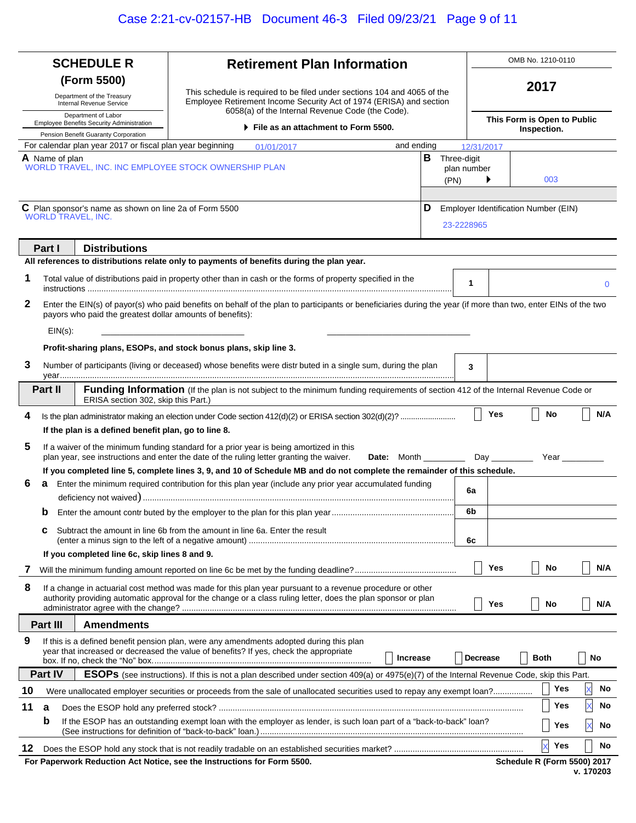| <b>SCHEDULE R</b> |                |                                                                                                   | <b>Retirement Plan Information</b>                                                                                                                                                                                                  |                 |                    |                             |               | OMB No. 1210-0110                    |             |
|-------------------|----------------|---------------------------------------------------------------------------------------------------|-------------------------------------------------------------------------------------------------------------------------------------------------------------------------------------------------------------------------------------|-----------------|--------------------|-----------------------------|---------------|--------------------------------------|-------------|
|                   |                | (Form 5500)                                                                                       |                                                                                                                                                                                                                                     |                 |                    |                             |               | 2017                                 |             |
|                   |                | Department of the Treasury<br>Internal Revenue Service                                            | This schedule is required to be filed under sections 104 and 4065 of the<br>Employee Retirement Income Security Act of 1974 (ERISA) and section                                                                                     |                 |                    |                             |               |                                      |             |
|                   |                | Department of Labor<br>Employee Benefits Security Administration                                  | 6058(a) of the Internal Revenue Code (the Code).<br>▶ File as an attachment to Form 5500.                                                                                                                                           |                 |                    | This Form is Open to Public |               |                                      |             |
|                   |                | Pension Benefit Guaranty Corporation<br>For calendar plan year 2017 or fiscal plan year beginning |                                                                                                                                                                                                                                     |                 |                    |                             |               | Inspection.                          |             |
|                   | A Name of plan |                                                                                                   | 01/01/2017                                                                                                                                                                                                                          | and ending      | В<br>Three-digit   | 12/31/2017                  |               |                                      |             |
|                   |                |                                                                                                   | WORLD TRAVEL, INC. INC EMPLOYEE STOCK OWNERSHIP PLAN                                                                                                                                                                                |                 |                    | plan number                 |               |                                      |             |
|                   |                |                                                                                                   |                                                                                                                                                                                                                                     |                 | (PN)               |                             |               | 003                                  |             |
|                   |                | C Plan sponsor's name as shown on line 2a of Form 5500                                            |                                                                                                                                                                                                                                     |                 | D                  |                             |               | Employer Identification Number (EIN) |             |
|                   |                | WORLD TRAVEL, INC.                                                                                |                                                                                                                                                                                                                                     |                 | 23-2228965         |                             |               |                                      |             |
|                   |                |                                                                                                   |                                                                                                                                                                                                                                     |                 |                    |                             |               |                                      |             |
|                   | Part I         | <b>Distributions</b>                                                                              |                                                                                                                                                                                                                                     |                 |                    |                             |               |                                      |             |
|                   |                |                                                                                                   | All references to distributions relate only to payments of benefits during the plan year.                                                                                                                                           |                 |                    |                             |               |                                      |             |
| 1                 |                |                                                                                                   | Total value of distributions paid in property other than in cash or the forms of property specified in the                                                                                                                          |                 |                    | 1                           |               |                                      | $\mathbf 0$ |
| 2                 |                |                                                                                                   | Enter the EIN(s) of payor(s) who paid benefits on behalf of the plan to participants or beneficiaries during the year (if more than two, enter EINs of the two                                                                      |                 |                    |                             |               |                                      |             |
|                   |                | payors who paid the greatest dollar amounts of benefits):                                         |                                                                                                                                                                                                                                     |                 |                    |                             |               |                                      |             |
|                   | $EIN(s)$ :     |                                                                                                   |                                                                                                                                                                                                                                     |                 |                    |                             |               |                                      |             |
|                   |                |                                                                                                   | Profit-sharing plans, ESOPs, and stock bonus plans, skip line 3.                                                                                                                                                                    |                 |                    |                             |               |                                      |             |
| 3                 |                |                                                                                                   | Number of participants (living or deceased) whose benefits were distributed in a single sum, during the plan                                                                                                                        |                 |                    | 3                           |               |                                      |             |
|                   | <b>Part II</b> | ERISA section 302, skip this Part.)                                                               | <b>Funding Information</b> (If the plan is not subject to the minimum funding requirements of section 412 of the Internal Revenue Code or                                                                                           |                 |                    |                             |               |                                      |             |
| 4                 |                |                                                                                                   | Is the plan administrator making an election under Code section 412(d)(2) or ERISA section 302(d)(2)?                                                                                                                               |                 |                    |                             | Yes           | No                                   | N/A         |
|                   |                | If the plan is a defined benefit plan, go to line 8.                                              |                                                                                                                                                                                                                                     |                 |                    |                             |               |                                      |             |
| 5                 |                |                                                                                                   | If a waiver of the minimum funding standard for a prior year is being amortized in this                                                                                                                                             |                 |                    |                             |               |                                      |             |
|                   |                |                                                                                                   | plan year, see instructions and enter the date of the ruling letter granting the waiver.                                                                                                                                            |                 | <b>Date:</b> Month |                             | Day _________ | Year                                 |             |
| 6                 |                |                                                                                                   | If you completed line 5, complete lines 3, 9, and 10 of Schedule MB and do not complete the remainder of this schedule.<br>a Enter the minimum required contribution for this plan year (include any prior year accumulated funding |                 |                    |                             |               |                                      |             |
|                   |                |                                                                                                   |                                                                                                                                                                                                                                     |                 |                    | 6a                          |               |                                      |             |
|                   |                |                                                                                                   |                                                                                                                                                                                                                                     |                 |                    | 6 <sub>b</sub>              |               |                                      |             |
|                   | с              |                                                                                                   | Subtract the amount in line 6b from the amount in line 6a. Enter the result                                                                                                                                                         |                 |                    |                             |               |                                      |             |
|                   |                |                                                                                                   |                                                                                                                                                                                                                                     |                 |                    | 6c                          |               |                                      |             |
|                   |                | If you completed line 6c, skip lines 8 and 9.                                                     |                                                                                                                                                                                                                                     |                 |                    |                             |               |                                      |             |
| 7                 |                |                                                                                                   |                                                                                                                                                                                                                                     |                 |                    |                             | Yes           | No                                   | N/A         |
| 8                 |                |                                                                                                   | If a change in actuarial cost method was made for this plan year pursuant to a revenue procedure or other<br>authority providing automatic approval for the change or a class ruling letter, does the plan sponsor or plan          |                 |                    |                             |               |                                      |             |
|                   |                |                                                                                                   |                                                                                                                                                                                                                                     |                 |                    |                             | Yes           | No                                   | N/A         |
|                   | Part III       | <b>Amendments</b>                                                                                 |                                                                                                                                                                                                                                     |                 |                    |                             |               |                                      |             |
| 9                 |                |                                                                                                   | If this is a defined benefit pension plan, were any amendments adopted during this plan<br>year that increased or decreased the value of benefits? If yes, check the appropriate                                                    |                 |                    |                             |               |                                      |             |
|                   |                |                                                                                                   |                                                                                                                                                                                                                                     | <b>Increase</b> |                    | Decrease                    |               | <b>Both</b>                          | No          |
|                   | Part IV        |                                                                                                   | ESOPs (see instructions). If this is not a plan described under section 409(a) or 4975(e)(7) of the Internal Revenue Code, skip this Part.                                                                                          |                 |                    |                             |               |                                      |             |
| 10                |                |                                                                                                   |                                                                                                                                                                                                                                     |                 |                    |                             |               | Yes                                  | No          |
| 11                | a              |                                                                                                   |                                                                                                                                                                                                                                     |                 |                    |                             |               | Yes                                  | No          |
|                   | b              |                                                                                                   | If the ESOP has an outstanding exempt loan with the employer as lender, is such loan part of a "back-to-back" loan?                                                                                                                 |                 |                    |                             |               | Yes                                  | X<br>No     |
| 12                |                |                                                                                                   |                                                                                                                                                                                                                                     |                 |                    |                             |               | $\overline{\mathsf{x}}$<br>Yes       | No          |
|                   |                |                                                                                                   | For Paperwork Reduction Act Notice, see the Instructions for Form 5500.                                                                                                                                                             |                 |                    |                             |               | <b>Schedule R (Form 5500) 2017</b>   |             |
|                   | v. 170203      |                                                                                                   |                                                                                                                                                                                                                                     |                 |                    |                             |               |                                      |             |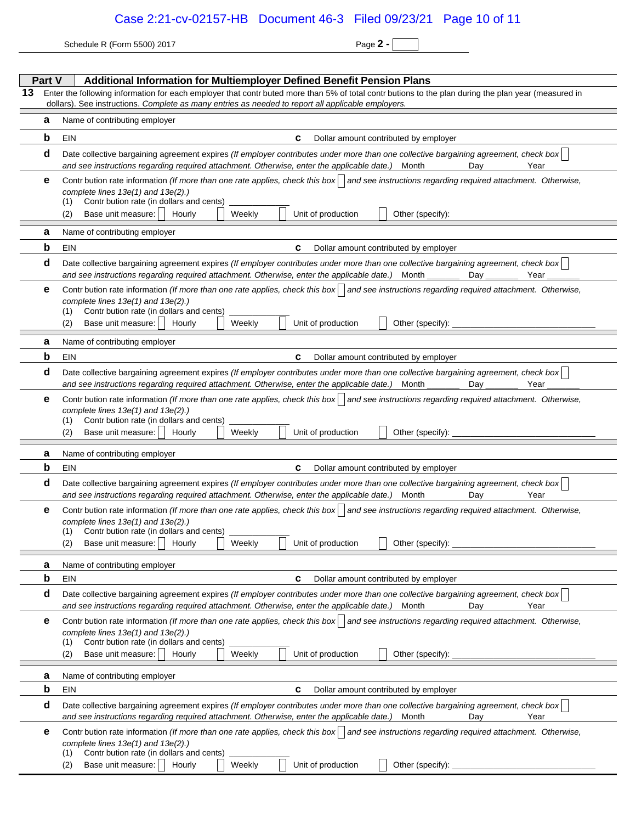Schedule R (Form 5500) 2017 **Page 2 - Page 2 -** 

|    | Part V<br>Additional Information for Multiemployer Defined Benefit Pension Plans |                                                                                                                                                                                                                                                                                                                                        |  |  |  |  |  |  |  |  |
|----|----------------------------------------------------------------------------------|----------------------------------------------------------------------------------------------------------------------------------------------------------------------------------------------------------------------------------------------------------------------------------------------------------------------------------------|--|--|--|--|--|--|--|--|
| 13 |                                                                                  | Enter the following information for each employer that contr buted more than 5% of total contr butions to the plan during the plan year (measured in<br>dollars). See instructions. Complete as many entries as needed to report all applicable employers.                                                                             |  |  |  |  |  |  |  |  |
|    | а                                                                                | Name of contributing employer                                                                                                                                                                                                                                                                                                          |  |  |  |  |  |  |  |  |
|    | b                                                                                | EIN<br>c<br>Dollar amount contributed by employer                                                                                                                                                                                                                                                                                      |  |  |  |  |  |  |  |  |
|    | d                                                                                | Date collective bargaining agreement expires (If employer contributes under more than one collective bargaining agreement, check box<br>and see instructions regarding required attachment. Otherwise, enter the applicable date.)<br>Month<br>Year<br>Dav                                                                             |  |  |  |  |  |  |  |  |
|    | е                                                                                | Contr bution rate information (If more than one rate applies, check this box) and see instructions regarding required attachment. Otherwise,<br>complete lines $13e(1)$ and $13e(2)$ .)<br>Contr bution rate (in dollars and cents)<br>(1)<br>Unit of production<br>Base unit measure:<br>Hourly<br>Weekly<br>Other (specify):<br>(2)  |  |  |  |  |  |  |  |  |
|    | a                                                                                | Name of contributing employer                                                                                                                                                                                                                                                                                                          |  |  |  |  |  |  |  |  |
|    | b                                                                                | Dollar amount contributed by employer<br>EIN<br>C                                                                                                                                                                                                                                                                                      |  |  |  |  |  |  |  |  |
|    | d                                                                                | Date collective bargaining agreement expires (If employer contributes under more than one collective bargaining agreement, check box<br>and see instructions regarding required attachment. Otherwise, enter the applicable date.)<br>Year<br>Month<br>Dav                                                                             |  |  |  |  |  |  |  |  |
|    | е                                                                                | Contr bution rate information (If more than one rate applies, check this box   and see instructions regarding required attachment. Otherwise,<br>complete lines $13e(1)$ and $13e(2)$ .)<br>Contr bution rate (in dollars and cents)<br>(1)<br>Unit of production<br>Base unit measure:<br>Hourly<br>Weekly<br>Other (specify):<br>(2) |  |  |  |  |  |  |  |  |
|    |                                                                                  |                                                                                                                                                                                                                                                                                                                                        |  |  |  |  |  |  |  |  |
|    | а<br>b                                                                           | Name of contributing employer<br>EIN<br>C<br>Dollar amount contributed by employer                                                                                                                                                                                                                                                     |  |  |  |  |  |  |  |  |
|    | d                                                                                | Date collective bargaining agreement expires (If employer contributes under more than one collective bargaining agreement, check box                                                                                                                                                                                                   |  |  |  |  |  |  |  |  |
|    |                                                                                  | and see instructions regarding required attachment. Otherwise, enter the applicable date.)<br>Month<br>Year<br>Day                                                                                                                                                                                                                     |  |  |  |  |  |  |  |  |
|    | е                                                                                | Contr bution rate information (If more than one rate applies, check this box   and see instructions regarding required attachment. Otherwise,<br>complete lines 13e(1) and 13e(2).)<br>Contr bution rate (in dollars and cents)<br>(1)<br>Base unit measure:<br>Unit of production<br>(2)<br>Hourly<br>Weekly<br>Other (specify):      |  |  |  |  |  |  |  |  |
|    | а                                                                                | Name of contributing employer                                                                                                                                                                                                                                                                                                          |  |  |  |  |  |  |  |  |
|    | b                                                                                | <b>EIN</b><br>C<br>Dollar amount contributed by employer                                                                                                                                                                                                                                                                               |  |  |  |  |  |  |  |  |
|    | d                                                                                | Date collective bargaining agreement expires (If employer contributes under more than one collective bargaining agreement, check box<br>and see instructions regarding required attachment. Otherwise, enter the applicable date.)<br>Dav<br>Year<br>Month                                                                             |  |  |  |  |  |  |  |  |
|    | е                                                                                | Contr bution rate information (If more than one rate applies, check this box   and see instructions regarding required attachment. Otherwise,<br>complete lines $13e(1)$ and $13e(2)$ .)<br>Contr bution rate (in dollars and cents)<br>(1)<br>Base unit measure:<br>Hourly<br>Weekly<br>Unit of production<br>Other (specify):<br>(2) |  |  |  |  |  |  |  |  |
|    | а                                                                                | Name of contributing employer                                                                                                                                                                                                                                                                                                          |  |  |  |  |  |  |  |  |
|    | b                                                                                | EIN<br>c<br>Dollar amount contributed by employer                                                                                                                                                                                                                                                                                      |  |  |  |  |  |  |  |  |
|    | d                                                                                | Date collective bargaining agreement expires (If employer contributes under more than one collective bargaining agreement, check box<br>and see instructions regarding required attachment. Otherwise, enter the applicable date.)<br>Month<br>Day<br>Year                                                                             |  |  |  |  |  |  |  |  |
|    | е                                                                                | Contr bution rate information (If more than one rate applies, check this box) and see instructions regarding required attachment. Otherwise,<br>complete lines 13e(1) and 13e(2).)<br>Contr bution rate (in dollars and cents)<br>(1)<br>Unit of production<br>Base unit measure:<br>Weekly<br>Other (specify):<br>(2)<br>Hourly       |  |  |  |  |  |  |  |  |
|    | а                                                                                | Name of contributing employer                                                                                                                                                                                                                                                                                                          |  |  |  |  |  |  |  |  |
|    | b                                                                                | EIN<br>c<br>Dollar amount contributed by employer                                                                                                                                                                                                                                                                                      |  |  |  |  |  |  |  |  |
|    | d                                                                                | Date collective bargaining agreement expires (If employer contributes under more than one collective bargaining agreement, check box)<br>and see instructions regarding required attachment. Otherwise, enter the applicable date.)<br>Day<br>Year<br>Month                                                                            |  |  |  |  |  |  |  |  |
|    | е                                                                                | Contr bution rate information (If more than one rate applies, check this box   and see instructions regarding required attachment. Otherwise,<br>complete lines $13e(1)$ and $13e(2)$ .)<br>Contr bution rate (in dollars and cents)<br>(1)<br>Unit of production<br>Other (specify):<br>Base unit measure:<br>Weekly<br>(2)<br>Hourly |  |  |  |  |  |  |  |  |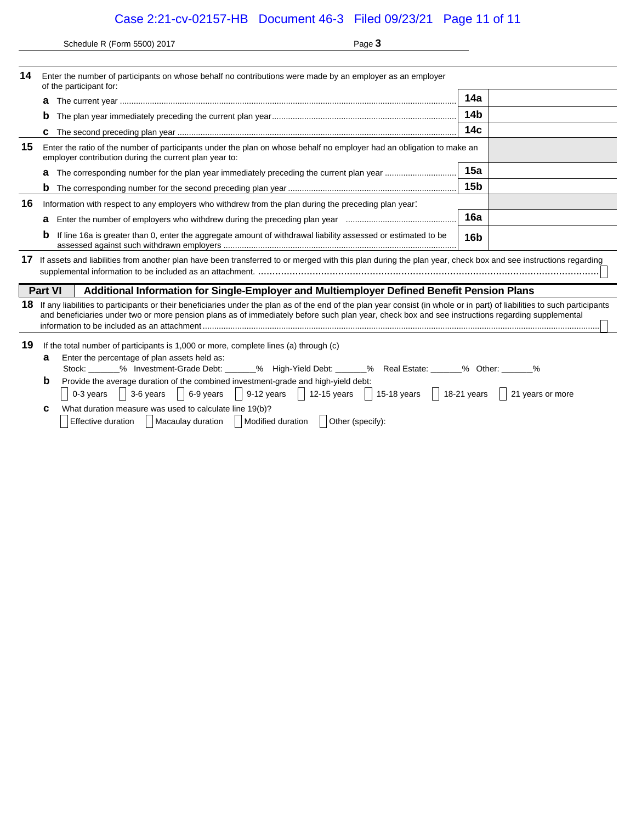Case 2:21-cv-02157-HB Document 46-3 Filed 09/23/21 Page 11 of 11

Schedule R (Form 5500) 2017 Page **3**

| 14 | Enter the number of participants on whose behalf no contributions were made by an employer as an employer<br>of the participant for:                                                                                                                                                                                                                                                                                                                                                                                                                                                          |                 |  |  |  |  |  |
|----|-----------------------------------------------------------------------------------------------------------------------------------------------------------------------------------------------------------------------------------------------------------------------------------------------------------------------------------------------------------------------------------------------------------------------------------------------------------------------------------------------------------------------------------------------------------------------------------------------|-----------------|--|--|--|--|--|
|    | а                                                                                                                                                                                                                                                                                                                                                                                                                                                                                                                                                                                             | 14a             |  |  |  |  |  |
|    | b                                                                                                                                                                                                                                                                                                                                                                                                                                                                                                                                                                                             | 14b             |  |  |  |  |  |
|    |                                                                                                                                                                                                                                                                                                                                                                                                                                                                                                                                                                                               | 14 <sub>c</sub> |  |  |  |  |  |
| 15 | Enter the ratio of the number of participants under the plan on whose behalf no employer had an obligation to make an<br>employer contribution during the current plan year to:                                                                                                                                                                                                                                                                                                                                                                                                               |                 |  |  |  |  |  |
|    | a                                                                                                                                                                                                                                                                                                                                                                                                                                                                                                                                                                                             | 15a             |  |  |  |  |  |
|    |                                                                                                                                                                                                                                                                                                                                                                                                                                                                                                                                                                                               | 15 <sub>b</sub> |  |  |  |  |  |
| 16 | Information with respect to any employers who withdrew from the plan during the preceding plan year.                                                                                                                                                                                                                                                                                                                                                                                                                                                                                          |                 |  |  |  |  |  |
|    | a                                                                                                                                                                                                                                                                                                                                                                                                                                                                                                                                                                                             | 16a             |  |  |  |  |  |
|    | b<br>If line 16a is greater than 0, enter the aggregate amount of withdrawal liability assessed or estimated to be                                                                                                                                                                                                                                                                                                                                                                                                                                                                            | 16 <sub>b</sub> |  |  |  |  |  |
| 17 | If assets and liabilities from another plan have been transferred to or merged with this plan during the plan year, check box and see instructions regarding                                                                                                                                                                                                                                                                                                                                                                                                                                  |                 |  |  |  |  |  |
|    | <b>Part VI</b><br>Additional Information for Single-Employer and Multiemployer Defined Benefit Pension Plans                                                                                                                                                                                                                                                                                                                                                                                                                                                                                  |                 |  |  |  |  |  |
| 18 | If any liabilities to participants or their beneficiaries under the plan as of the end of the plan year consist (in whole or in part) of liabilities to such participants<br>and beneficiaries under two or more pension plans as of immediately before such plan year, check box and see instructions regarding supplemental                                                                                                                                                                                                                                                                 |                 |  |  |  |  |  |
| 19 | If the total number of participants is 1,000 or more, complete lines (a) through (c)<br>Enter the percentage of plan assets held as:<br>a<br>Stock: ______% Investment-Grade Debt: ______% High-Yield Debt: ______% Real Estate: ______% Other: ______%<br>b<br>Provide the average duration of the combined investment-grade and high-yield debt:<br>$\vert\,\,\vert$ 0-3 years $\vert\,\,\vert$ 3-6 years $\vert\,\,\vert$ 6-9 years $\vert\,\,\vert$ 9-12 years $\vert\,\,\vert$ 12-15 years $\vert\,\,\vert$ 15-18 years $\vert\,\,\vert$ 18-21 years $\vert\,\,\,\vert$ 21 years or more |                 |  |  |  |  |  |
|    | What duration measure was used to calculate line 19(b)?<br>С                                                                                                                                                                                                                                                                                                                                                                                                                                                                                                                                  |                 |  |  |  |  |  |

|  | <b>VITAL GUIDION INCORDIC WAS USED TO CAIGUIDIC INTO TO(D):</b>                                     |  |
|--|-----------------------------------------------------------------------------------------------------|--|
|  | $\Box$ Effective duration $\Box$ Macaulay duration $\Box$ Modified duration $\Box$ Other (specify): |  |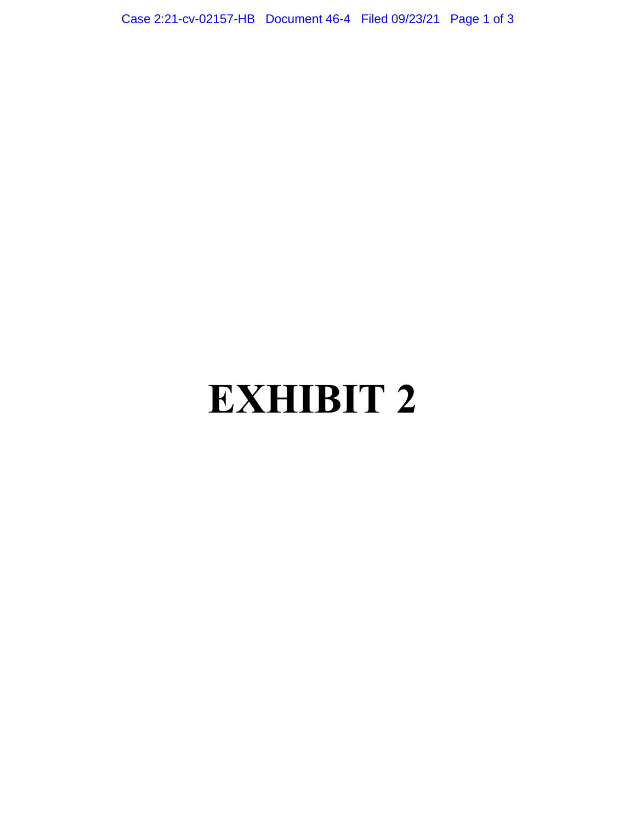Case 2:21-cv-02157-HB Document 46-4 Filed 09/23/21 Page 1 of 3

# **EXHIBIT 2**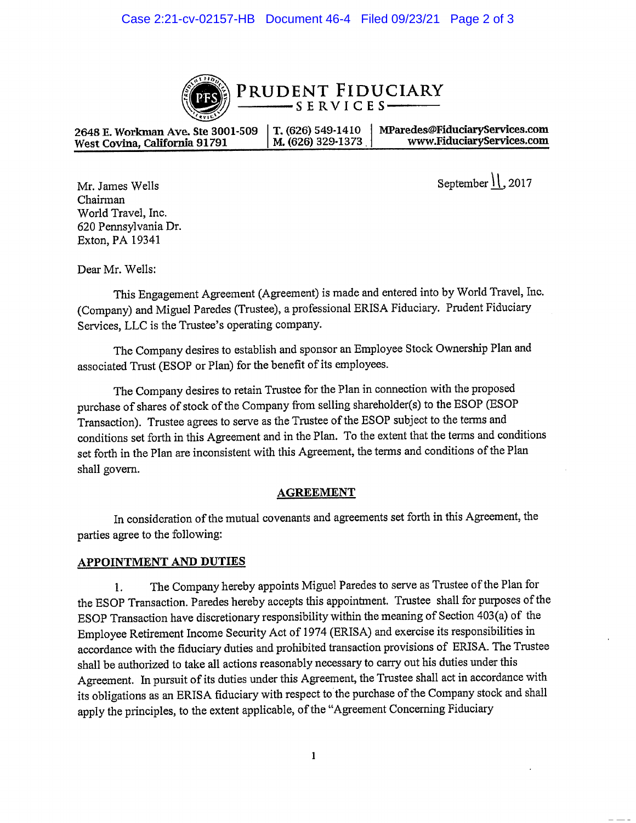

PRUDENT FIDUCIARY SERVICES-

2648 E. Workman Ave. Ste 3001-509 MParedes@FiduciaryServices.com T. (626) 549-1410 www.FiduciaryServices.com M. (626) 329-1373 West Covina, California 91791

September  $\mathcal{V}$ , 2017

Mr. James Wells Chairman World Travel, Inc. 620 Pennsylvania Dr. Exton, PA 19341

Dear Mr. Wells:

This Engagement Agreement (Agreement) is made and entered into by World Travel, Inc. (Company) and Miguel Paredes (Trustee), a professional ERISA Fiduciary. Prudent Fiduciary Services, LLC is the Trustee's operating company.

The Company desires to establish and sponsor an Employee Stock Ownership Plan and associated Trust (ESOP or Plan) for the benefit of its employees.

The Company desires to retain Trustee for the Plan in connection with the proposed purchase of shares of stock of the Company from selling shareholder(s) to the ESOP (ESOP Transaction). Trustee agrees to serve as the Trustee of the ESOP subject to the terms and conditions set forth in this Agreement and in the Plan. To the extent that the terms and conditions set forth in the Plan are inconsistent with this Agreement, the terms and conditions of the Plan shall govern.

#### **AGREEMENT**

In consideration of the mutual covenants and agreements set forth in this Agreement, the parties agree to the following:

#### **APPOINTMENT AND DUTIES**

The Company hereby appoints Miguel Paredes to serve as Trustee of the Plan for 1. the ESOP Transaction. Paredes hereby accepts this appointment. Trustee shall for purposes of the ESOP Transaction have discretionary responsibility within the meaning of Section 403(a) of the Employee Retirement Income Security Act of 1974 (ERISA) and exercise its responsibilities in accordance with the fiduciary duties and prohibited transaction provisions of ERISA. The Trustee shall be authorized to take all actions reasonably necessary to carry out his duties under this Agreement. In pursuit of its duties under this Agreement, the Trustee shall act in accordance with its obligations as an ERISA fiduciary with respect to the purchase of the Company stock and shall apply the principles, to the extent applicable, of the "Agreement Concerning Fiduciary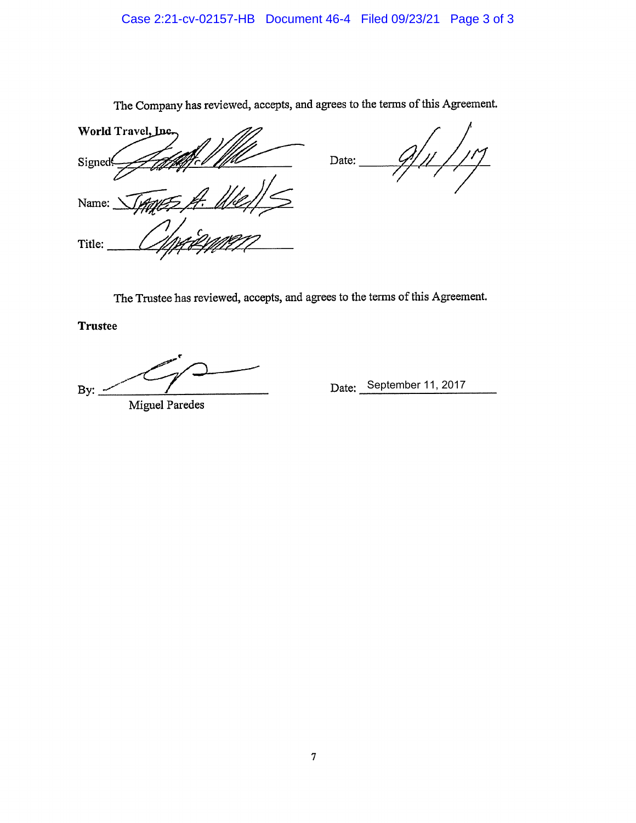## Case 2:21-cv-02157-HB Document 46-4 Filed 09/23/21 Page 3 of 3

World Travel, Inc. Date: Signed Name: Title:

The Company has reviewed, accepts, and agrees to the terms of this Agreement.

The Trustee has reviewed, accepts, and agrees to the terms of this Agreement.

**Trustee** 

 $By:$ 

**Miguel Paredes** 

Date: September 11, 2017